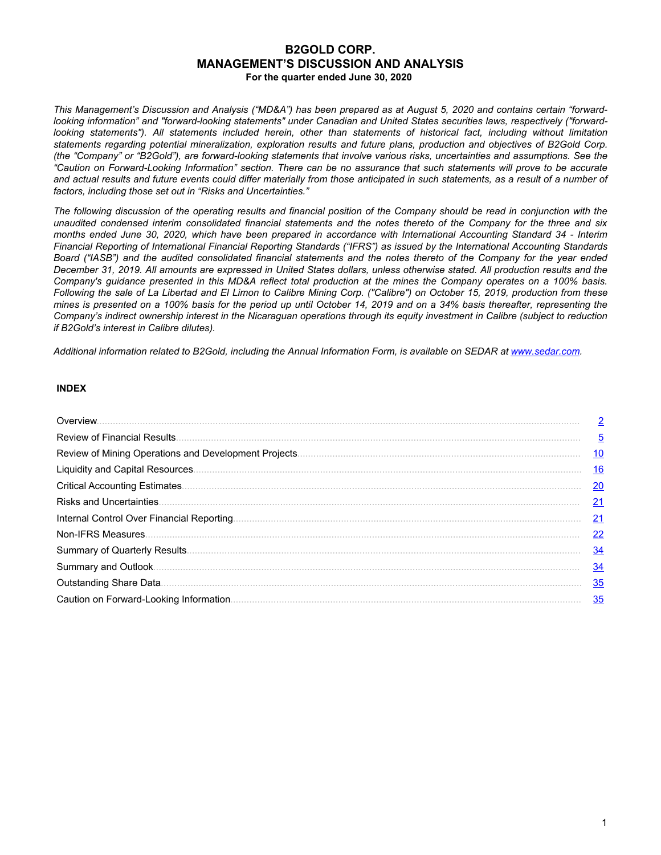# **B2GOLD CORP. MANAGEMENT'S DISCUSSION AND ANALYSIS For the quarter ended June 30, 2020**

*This Management's Discussion and Analysis ("MD&A") has been prepared as at August 5, 2020 and contains certain "forwardlooking information" and "forward-looking statements" under Canadian and United States securities laws, respectively ("forwardlooking statements"). All statements included herein, other than statements of historical fact, including without limitation statements regarding potential mineralization, exploration results and future plans, production and objectives of B2Gold Corp. (the "Company" or "B2Gold"), are forward-looking statements that involve various risks, uncertainties and assumptions. See the "Caution on Forward-Looking Information" section. There can be no assurance that such statements will prove to be accurate and actual results and future events could differ materially from those anticipated in such statements, as a result of a number of factors, including those set out in "Risks and Uncertainties."*

*The following discussion of the operating results and financial position of the Company should be read in conjunction with the unaudited condensed interim consolidated financial statements and the notes thereto of the Company for the three and six months ended June 30, 2020, which have been prepared in accordance with International Accounting Standard 34 - Interim Financial Reporting of International Financial Reporting Standards ("IFRS") as issued by the International Accounting Standards Board ("IASB") and the audited consolidated financial statements and the notes thereto of the Company for the year ended December 31, 2019. All amounts are expressed in United States dollars, unless otherwise stated. All production results and the Company's guidance presented in this MD&A reflect total production at the mines the Company operates on a 100% basis. Following the sale of La Libertad and El Limon to Calibre Mining Corp. ("Calibre") on October 15, 2019, production from these mines is presented on a 100% basis for the period up until October 14, 2019 and on a 34% basis thereafter, representing the Company's indirect ownership interest in the Nicaraguan operations through its equity investment in Calibre (subject to reduction if B2Gold's interest in Calibre dilutes).*

*Additional information related to B2Gold, including the Annual Information Form, is available on SEDAR at www.sedar.com.*

# **INDEX**

| Overview.                       | $\overline{2}$  |
|---------------------------------|-----------------|
|                                 | $\overline{5}$  |
|                                 | <u> 10</u>      |
|                                 | 16              |
|                                 | $\overline{20}$ |
| <b>Risks and Uncertainties.</b> | $\overline{21}$ |
|                                 | $\overline{21}$ |
|                                 | $\overline{22}$ |
|                                 | $\frac{34}{5}$  |
|                                 | 34              |
|                                 | <u>35</u>       |
|                                 | 35              |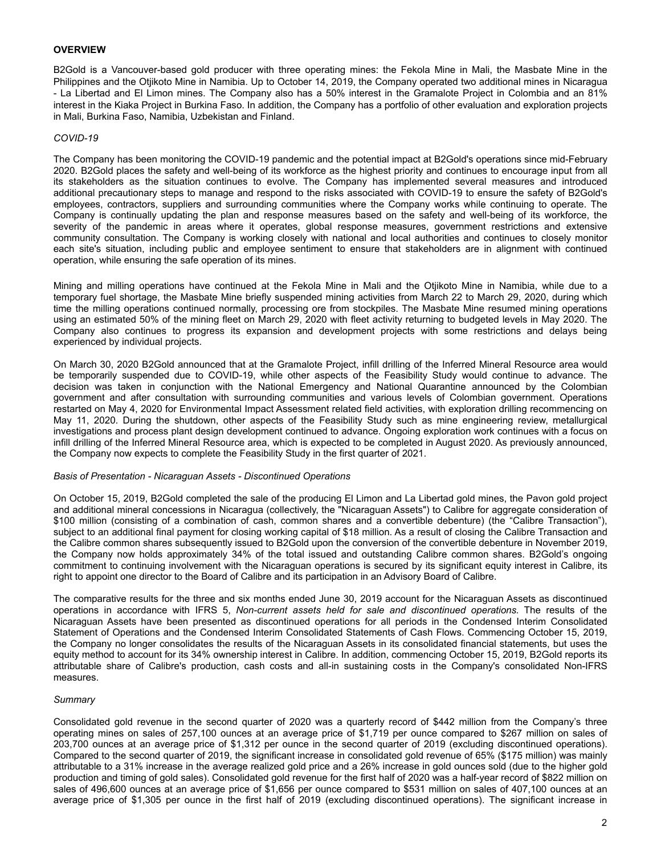# <span id="page-1-0"></span>**OVERVIEW**

B2Gold is a Vancouver-based gold producer with three operating mines: the Fekola Mine in Mali, the Masbate Mine in the Philippines and the Otjikoto Mine in Namibia. Up to October 14, 2019, the Company operated two additional mines in Nicaragua - La Libertad and El Limon mines. The Company also has a 50% interest in the Gramalote Project in Colombia and an 81% interest in the Kiaka Project in Burkina Faso. In addition, the Company has a portfolio of other evaluation and exploration projects in Mali, Burkina Faso, Namibia, Uzbekistan and Finland.

## *COVID-19*

The Company has been monitoring the COVID-19 pandemic and the potential impact at B2Gold's operations since mid-February 2020. B2Gold places the safety and well-being of its workforce as the highest priority and continues to encourage input from all its stakeholders as the situation continues to evolve. The Company has implemented several measures and introduced additional precautionary steps to manage and respond to the risks associated with COVID-19 to ensure the safety of B2Gold's employees, contractors, suppliers and surrounding communities where the Company works while continuing to operate. The Company is continually updating the plan and response measures based on the safety and well-being of its workforce, the severity of the pandemic in areas where it operates, global response measures, government restrictions and extensive community consultation. The Company is working closely with national and local authorities and continues to closely monitor each site's situation, including public and employee sentiment to ensure that stakeholders are in alignment with continued operation, while ensuring the safe operation of its mines.

Mining and milling operations have continued at the Fekola Mine in Mali and the Otjikoto Mine in Namibia, while due to a temporary fuel shortage, the Masbate Mine briefly suspended mining activities from March 22 to March 29, 2020, during which time the milling operations continued normally, processing ore from stockpiles. The Masbate Mine resumed mining operations using an estimated 50% of the mining fleet on March 29, 2020 with fleet activity returning to budgeted levels in May 2020. The Company also continues to progress its expansion and development projects with some restrictions and delays being experienced by individual projects.

On March 30, 2020 B2Gold announced that at the Gramalote Project, infill drilling of the Inferred Mineral Resource area would be temporarily suspended due to COVID-19, while other aspects of the Feasibility Study would continue to advance. The decision was taken in conjunction with the National Emergency and National Quarantine announced by the Colombian government and after consultation with surrounding communities and various levels of Colombian government. Operations restarted on May 4, 2020 for Environmental Impact Assessment related field activities, with exploration drilling recommencing on May 11, 2020. During the shutdown, other aspects of the Feasibility Study such as mine engineering review, metallurgical investigations and process plant design development continued to advance. Ongoing exploration work continues with a focus on infill drilling of the Inferred Mineral Resource area, which is expected to be completed in August 2020. As previously announced, the Company now expects to complete the Feasibility Study in the first quarter of 2021.

#### *Basis of Presentation - Nicaraguan Assets - Discontinued Operations*

On October 15, 2019, B2Gold completed the sale of the producing El Limon and La Libertad gold mines, the Pavon gold project and additional mineral concessions in Nicaragua (collectively, the "Nicaraguan Assets") to Calibre for aggregate consideration of \$100 million (consisting of a combination of cash, common shares and a convertible debenture) (the "Calibre Transaction"), subject to an additional final payment for closing working capital of \$18 million. As a result of closing the Calibre Transaction and the Calibre common shares subsequently issued to B2Gold upon the conversion of the convertible debenture in November 2019, the Company now holds approximately 34% of the total issued and outstanding Calibre common shares. B2Gold's ongoing commitment to continuing involvement with the Nicaraguan operations is secured by its significant equity interest in Calibre, its right to appoint one director to the Board of Calibre and its participation in an Advisory Board of Calibre.

The comparative results for the three and six months ended June 30, 2019 account for the Nicaraguan Assets as discontinued operations in accordance with IFRS 5, *Non-current assets held for sale and discontinued operations.* The results of the Nicaraguan Assets have been presented as discontinued operations for all periods in the Condensed Interim Consolidated Statement of Operations and the Condensed Interim Consolidated Statements of Cash Flows. Commencing October 15, 2019, the Company no longer consolidates the results of the Nicaraguan Assets in its consolidated financial statements, but uses the equity method to account for its 34% ownership interest in Calibre. In addition, commencing October 15, 2019, B2Gold reports its attributable share of Calibre's production, cash costs and all-in sustaining costs in the Company's consolidated Non-IFRS measures.

# *Summary*

Consolidated gold revenue in the second quarter of 2020 was a quarterly record of \$442 million from the Company's three operating mines on sales of 257,100 ounces at an average price of \$1,719 per ounce compared to \$267 million on sales of 203,700 ounces at an average price of \$1,312 per ounce in the second quarter of 2019 (excluding discontinued operations). Compared to the second quarter of 2019, the significant increase in consolidated gold revenue of 65% (\$175 million) was mainly attributable to a 31% increase in the average realized gold price and a 26% increase in gold ounces sold (due to the higher gold production and timing of gold sales). Consolidated gold revenue for the first half of 2020 was a half-year record of \$822 million on sales of 496,600 ounces at an average price of \$1,656 per ounce compared to \$531 million on sales of 407,100 ounces at an average price of \$1,305 per ounce in the first half of 2019 (excluding discontinued operations). The significant increase in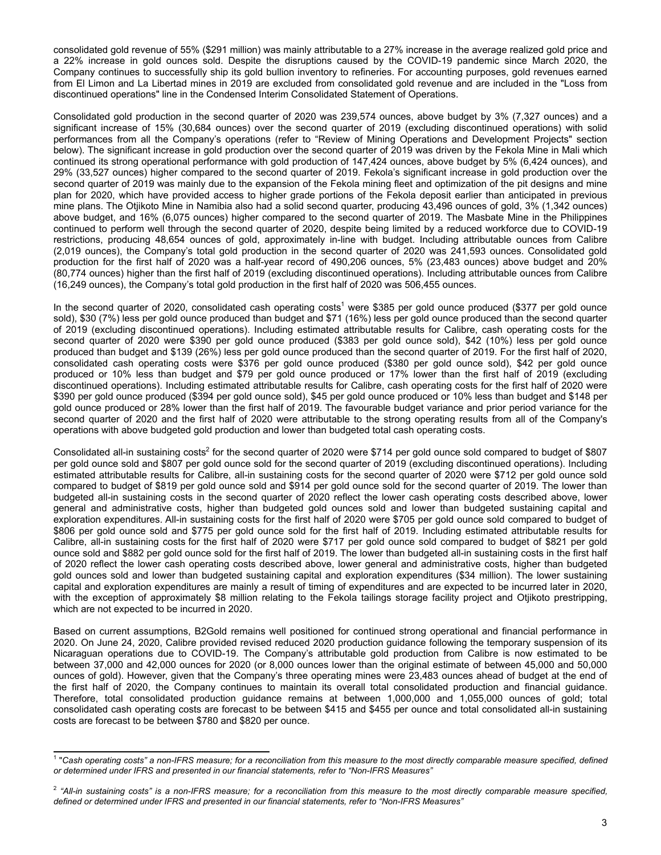consolidated gold revenue of 55% (\$291 million) was mainly attributable to a 27% increase in the average realized gold price and a 22% increase in gold ounces sold. Despite the disruptions caused by the COVID-19 pandemic since March 2020, the Company continues to successfully ship its gold bullion inventory to refineries. For accounting purposes, gold revenues earned from El Limon and La Libertad mines in 2019 are excluded from consolidated gold revenue and are included in the "Loss from discontinued operations" line in the Condensed Interim Consolidated Statement of Operations.

Consolidated gold production in the second quarter of 2020 was 239,574 ounces, above budget by 3% (7,327 ounces) and a significant increase of 15% (30,684 ounces) over the second quarter of 2019 (excluding discontinued operations) with solid performances from all the Company's operations (refer to "Review of Mining Operations and Development Projects" section below). The significant increase in gold production over the second quarter of 2019 was driven by the Fekola Mine in Mali which continued its strong operational performance with gold production of 147,424 ounces, above budget by 5% (6,424 ounces), and 29% (33,527 ounces) higher compared to the second quarter of 2019. Fekola's significant increase in gold production over the second quarter of 2019 was mainly due to the expansion of the Fekola mining fleet and optimization of the pit designs and mine plan for 2020, which have provided access to higher grade portions of the Fekola deposit earlier than anticipated in previous mine plans. The Otjikoto Mine in Namibia also had a solid second quarter, producing 43,496 ounces of gold, 3% (1,342 ounces) above budget, and 16% (6,075 ounces) higher compared to the second quarter of 2019. The Masbate Mine in the Philippines continued to perform well through the second quarter of 2020, despite being limited by a reduced workforce due to COVID-19 restrictions, producing 48,654 ounces of gold, approximately in-line with budget. Including attributable ounces from Calibre (2,019 ounces), the Company's total gold production in the second quarter of 2020 was 241,593 ounces. Consolidated gold production for the first half of 2020 was a half-year record of 490,206 ounces, 5% (23,483 ounces) above budget and 20% (80,774 ounces) higher than the first half of 2019 (excluding discontinued operations). Including attributable ounces from Calibre (16,249 ounces), the Company's total gold production in the first half of 2020 was 506,455 ounces.

In the second quarter of 2020, consolidated cash operating costs<sup>1</sup> were \$385 per gold ounce produced (\$377 per gold ounce sold), \$30 (7%) less per gold ounce produced than budget and \$71 (16%) less per gold ounce produced than the second quarter of 2019 (excluding discontinued operations). Including estimated attributable results for Calibre, cash operating costs for the second quarter of 2020 were \$390 per gold ounce produced (\$383 per gold ounce sold), \$42 (10%) less per gold ounce produced than budget and \$139 (26%) less per gold ounce produced than the second quarter of 2019. For the first half of 2020, consolidated cash operating costs were \$376 per gold ounce produced (\$380 per gold ounce sold), \$42 per gold ounce produced or 10% less than budget and \$79 per gold ounce produced or 17% lower than the first half of 2019 (excluding discontinued operations). Including estimated attributable results for Calibre, cash operating costs for the first half of 2020 were \$390 per gold ounce produced (\$394 per gold ounce sold), \$45 per gold ounce produced or 10% less than budget and \$148 per gold ounce produced or 28% lower than the first half of 2019. The favourable budget variance and prior period variance for the second quarter of 2020 and the first half of 2020 were attributable to the strong operating results from all of the Company's operations with above budgeted gold production and lower than budgeted total cash operating costs.

Consolidated all-in sustaining costs<sup>2</sup> for the second quarter of 2020 were \$714 per gold ounce sold compared to budget of \$807 per gold ounce sold and \$807 per gold ounce sold for the second quarter of 2019 (excluding discontinued operations). Including estimated attributable results for Calibre, all-in sustaining costs for the second quarter of 2020 were \$712 per gold ounce sold compared to budget of \$819 per gold ounce sold and \$914 per gold ounce sold for the second quarter of 2019. The lower than budgeted all-in sustaining costs in the second quarter of 2020 reflect the lower cash operating costs described above, lower general and administrative costs, higher than budgeted gold ounces sold and lower than budgeted sustaining capital and exploration expenditures. All-in sustaining costs for the first half of 2020 were \$705 per gold ounce sold compared to budget of \$806 per gold ounce sold and \$775 per gold ounce sold for the first half of 2019. Including estimated attributable results for Calibre, all-in sustaining costs for the first half of 2020 were \$717 per gold ounce sold compared to budget of \$821 per gold ounce sold and \$882 per gold ounce sold for the first half of 2019. The lower than budgeted all-in sustaining costs in the first half of 2020 reflect the lower cash operating costs described above, lower general and administrative costs, higher than budgeted gold ounces sold and lower than budgeted sustaining capital and exploration expenditures (\$34 million). The lower sustaining capital and exploration expenditures are mainly a result of timing of expenditures and are expected to be incurred later in 2020, with the exception of approximately \$8 million relating to the Fekola tailings storage facility project and Otjikoto prestripping, which are not expected to be incurred in 2020.

Based on current assumptions, B2Gold remains well positioned for continued strong operational and financial performance in 2020. On June 24, 2020, Calibre provided revised reduced 2020 production guidance following the temporary suspension of its Nicaraguan operations due to COVID-19. The Company's attributable gold production from Calibre is now estimated to be between 37,000 and 42,000 ounces for 2020 (or 8,000 ounces lower than the original estimate of between 45,000 and 50,000 ounces of gold). However, given that the Company's three operating mines were 23,483 ounces ahead of budget at the end of the first half of 2020, the Company continues to maintain its overall total consolidated production and financial guidance. Therefore, total consolidated production guidance remains at between 1,000,000 and 1,055,000 ounces of gold; total consolidated cash operating costs are forecast to be between \$415 and \$455 per ounce and total consolidated all-in sustaining costs are forecast to be between \$780 and \$820 per ounce.

<sup>&</sup>lt;sup>1</sup> "Cash operating costs" a non-IFRS measure; for a reconciliation from this measure to the most directly comparable measure specified, defined *or determined under IFRS and presented in our financial statements, refer to "Non-IFRS Measures"*

<sup>2</sup> *"All-in sustaining costs" is a non-IFRS measure; for a reconciliation from this measure to the most directly comparable measure specified, defined or determined under IFRS and presented in our financial statements, refer to "Non-IFRS Measures"*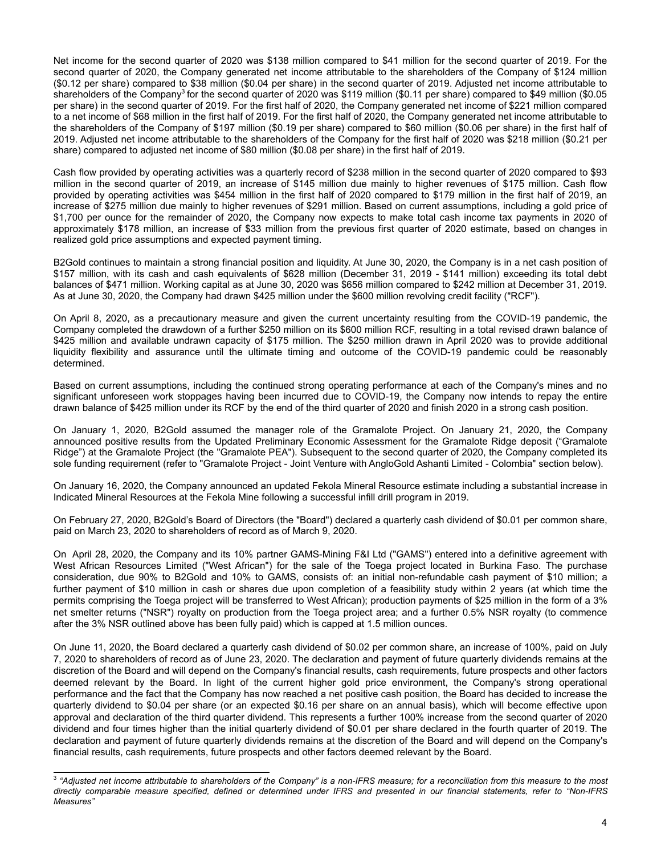Net income for the second quarter of 2020 was \$138 million compared to \$41 million for the second quarter of 2019. For the second quarter of 2020, the Company generated net income attributable to the shareholders of the Company of \$124 million (\$0.12 per share) compared to \$38 million (\$0.04 per share) in the second quarter of 2019. Adjusted net income attributable to shareholders of the Company<sup>3</sup> for the second quarter of 2020 was \$119 million (\$0.11 per share) compared to \$49 million (\$0.05 per share) in the second quarter of 2019. For the first half of 2020, the Company generated net income of \$221 million compared to a net income of \$68 million in the first half of 2019. For the first half of 2020, the Company generated net income attributable to the shareholders of the Company of \$197 million (\$0.19 per share) compared to \$60 million (\$0.06 per share) in the first half of 2019. Adjusted net income attributable to the shareholders of the Company for the first half of 2020 was \$218 million (\$0.21 per share) compared to adjusted net income of \$80 million (\$0.08 per share) in the first half of 2019.

Cash flow provided by operating activities was a quarterly record of \$238 million in the second quarter of 2020 compared to \$93 million in the second quarter of 2019, an increase of \$145 million due mainly to higher revenues of \$175 million. Cash flow provided by operating activities was \$454 million in the first half of 2020 compared to \$179 million in the first half of 2019, an increase of \$275 million due mainly to higher revenues of \$291 million. Based on current assumptions, including a gold price of \$1,700 per ounce for the remainder of 2020, the Company now expects to make total cash income tax payments in 2020 of approximately \$178 million, an increase of \$33 million from the previous first quarter of 2020 estimate, based on changes in realized gold price assumptions and expected payment timing.

B2Gold continues to maintain a strong financial position and liquidity. At June 30, 2020, the Company is in a net cash position of \$157 million, with its cash and cash equivalents of \$628 million (December 31, 2019 - \$141 million) exceeding its total debt balances of \$471 million. Working capital as at June 30, 2020 was \$656 million compared to \$242 million at December 31, 2019. As at June 30, 2020, the Company had drawn \$425 million under the \$600 million revolving credit facility ("RCF").

On April 8, 2020, as a precautionary measure and given the current uncertainty resulting from the COVID-19 pandemic, the Company completed the drawdown of a further \$250 million on its \$600 million RCF, resulting in a total revised drawn balance of \$425 million and available undrawn capacity of \$175 million. The \$250 million drawn in April 2020 was to provide additional liquidity flexibility and assurance until the ultimate timing and outcome of the COVID-19 pandemic could be reasonably determined.

Based on current assumptions, including the continued strong operating performance at each of the Company's mines and no significant unforeseen work stoppages having been incurred due to COVID-19, the Company now intends to repay the entire drawn balance of \$425 million under its RCF by the end of the third quarter of 2020 and finish 2020 in a strong cash position.

On January 1, 2020, B2Gold assumed the manager role of the Gramalote Project. On January 21, 2020, the Company announced positive results from the Updated Preliminary Economic Assessment for the Gramalote Ridge deposit ("Gramalote Ridge") at the Gramalote Project (the "Gramalote PEA"). Subsequent to the second quarter of 2020, the Company completed its sole funding requirement (refer to "Gramalote Project - Joint Venture with AngloGold Ashanti Limited - Colombia" section below).

On January 16, 2020, the Company announced an updated Fekola Mineral Resource estimate including a substantial increase in Indicated Mineral Resources at the Fekola Mine following a successful infill drill program in 2019.

On February 27, 2020, B2Gold's Board of Directors (the "Board") declared a quarterly cash dividend of \$0.01 per common share, paid on March 23, 2020 to shareholders of record as of March 9, 2020.

On April 28, 2020, the Company and its 10% partner GAMS-Mining F&I Ltd ("GAMS") entered into a definitive agreement with West African Resources Limited ("West African") for the sale of the Toega project located in Burkina Faso. The purchase consideration, due 90% to B2Gold and 10% to GAMS, consists of: an initial non-refundable cash payment of \$10 million; a further payment of \$10 million in cash or shares due upon completion of a feasibility study within 2 years (at which time the permits comprising the Toega project will be transferred to West African); production payments of \$25 million in the form of a 3% net smelter returns ("NSR") royalty on production from the Toega project area; and a further 0.5% NSR royalty (to commence after the 3% NSR outlined above has been fully paid) which is capped at 1.5 million ounces.

On June 11, 2020, the Board declared a quarterly cash dividend of \$0.02 per common share, an increase of 100%, paid on July 7, 2020 to shareholders of record as of June 23, 2020. The declaration and payment of future quarterly dividends remains at the discretion of the Board and will depend on the Company's financial results, cash requirements, future prospects and other factors deemed relevant by the Board. In light of the current higher gold price environment, the Company's strong operational performance and the fact that the Company has now reached a net positive cash position, the Board has decided to increase the quarterly dividend to \$0.04 per share (or an expected \$0.16 per share on an annual basis), which will become effective upon approval and declaration of the third quarter dividend. This represents a further 100% increase from the second quarter of 2020 dividend and four times higher than the initial quarterly dividend of \$0.01 per share declared in the fourth quarter of 2019. The declaration and payment of future quarterly dividends remains at the discretion of the Board and will depend on the Company's financial results, cash requirements, future prospects and other factors deemed relevant by the Board.

<sup>3</sup> *"Adjusted net income attributable to shareholders of the Company" is a non-IFRS measure; for a reconciliation from this measure to the most directly comparable measure specified, defined or determined under IFRS and presented in our financial statements, refer to "Non-IFRS Measures"*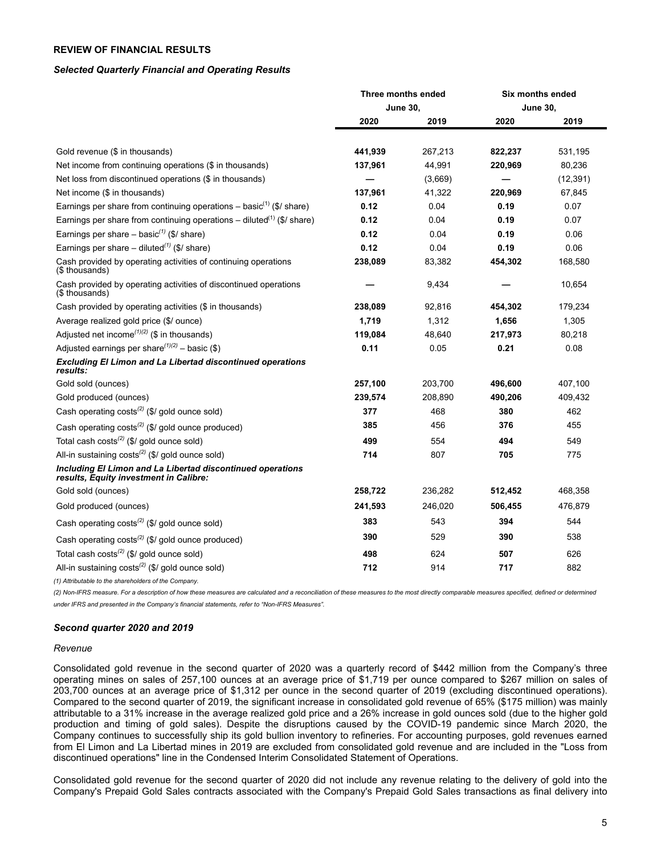# <span id="page-4-0"></span>**REVIEW OF FINANCIAL RESULTS**

## *Selected Quarterly Financial and Operating Results*

|                                                                                                      |                 | Three months ended | Six months ended |           |  |
|------------------------------------------------------------------------------------------------------|-----------------|--------------------|------------------|-----------|--|
|                                                                                                      | <b>June 30,</b> |                    | <b>June 30,</b>  |           |  |
|                                                                                                      | 2020            | 2019               | 2020             | 2019      |  |
| Gold revenue (\$ in thousands)                                                                       | 441.939         | 267,213            | 822.237          | 531,195   |  |
| Net income from continuing operations (\$ in thousands)                                              | 137,961         | 44,991             | 220,969          | 80,236    |  |
| Net loss from discontinued operations (\$ in thousands)                                              |                 | (3,669)            |                  | (12, 391) |  |
| Net income (\$ in thousands)                                                                         | 137,961         | 41,322             | 220,969          | 67,845    |  |
| Earnings per share from continuing operations - basic <sup>(1)</sup> (\$/ share)                     | 0.12            | 0.04               | 0.19             | 0.07      |  |
| Earnings per share from continuing operations – diluted <sup>(1)</sup> (\$/ share)                   | 0.12            | 0.04               | 0.19             | 0.07      |  |
| Earnings per share – basic <sup>(1)</sup> (\$/ share)                                                | 0.12            | 0.04               | 0.19             | 0.06      |  |
| Earnings per share – diluted <sup>(1)</sup> (\$/ share)                                              | 0.12            | 0.04               | 0.19             | 0.06      |  |
| Cash provided by operating activities of continuing operations<br>(\$ thousands)                     | 238,089         | 83,382             | 454,302          | 168,580   |  |
| Cash provided by operating activities of discontinued operations<br>(\$ thousands)                   |                 | 9,434              |                  | 10,654    |  |
| Cash provided by operating activities (\$ in thousands)                                              | 238,089         | 92,816             | 454,302          | 179,234   |  |
| Average realized gold price (\$/ ounce)                                                              | 1,719           | 1,312              | 1,656            | 1,305     |  |
| Adjusted net income <sup><math>(1)(2)</math></sup> (\$ in thousands)                                 | 119,084         | 48,640             | 217,973          | 80,218    |  |
| Adjusted earnings per share <sup>(1)(2)</sup> – basic (\$)                                           | 0.11            | 0.05               | 0.21             | 0.08      |  |
| <b>Excluding El Limon and La Libertad discontinued operations</b><br>results:                        |                 |                    |                  |           |  |
| Gold sold (ounces)                                                                                   | 257,100         | 203,700            | 496,600          | 407,100   |  |
| Gold produced (ounces)                                                                               | 239,574         | 208,890            | 490,206          | 409,432   |  |
| Cash operating $costs^{(2)}$ (\$/ gold ounce sold)                                                   | 377             | 468                | 380              | 462       |  |
| Cash operating $costs^{(2)}$ (\$/ gold ounce produced)                                               | 385             | 456                | 376              | 455       |  |
| Total cash costs <sup>(2)</sup> (\$/ gold ounce sold)                                                | 499             | 554                | 494              | 549       |  |
| All-in sustaining costs <sup>(2)</sup> (\$/ gold ounce sold)                                         | 714             | 807                | 705              | 775       |  |
| Including El Limon and La Libertad discontinued operations<br>results, Equity investment in Calibre: |                 |                    |                  |           |  |
| Gold sold (ounces)                                                                                   | 258,722         | 236,282            | 512,452          | 468,358   |  |
| Gold produced (ounces)                                                                               | 241,593         | 246,020            | 506,455          | 476,879   |  |
| Cash operating $costs^{(2)}$ (\$/ gold ounce sold)                                                   | 383             | 543                | 394              | 544       |  |
| Cash operating $costs^{(2)}$ (\$/ gold ounce produced)                                               | 390             | 529                | 390              | 538       |  |
| Total cash costs <sup>(2)</sup> (\$/ gold ounce sold)                                                | 498             | 624                | 507              | 626       |  |
| All-in sustaining $costs^{(2)}$ (\$/ gold ounce sold)                                                | 712             | 914                | 717              | 882       |  |

*(1) Attributable to the shareholders of the Company.*

*(2) Non-IFRS measure. For a description of how these measures are calculated and a reconciliation of these measures to the most directly comparable measures specified, defined or determined under IFRS and presented in the Company's financial statements, refer to "Non-IFRS Measures".*

# *Second quarter 2020 and 2019*

#### *Revenue*

Consolidated gold revenue in the second quarter of 2020 was a quarterly record of \$442 million from the Company's three operating mines on sales of 257,100 ounces at an average price of \$1,719 per ounce compared to \$267 million on sales of 203,700 ounces at an average price of \$1,312 per ounce in the second quarter of 2019 (excluding discontinued operations). Compared to the second quarter of 2019, the significant increase in consolidated gold revenue of 65% (\$175 million) was mainly attributable to a 31% increase in the average realized gold price and a 26% increase in gold ounces sold (due to the higher gold production and timing of gold sales). Despite the disruptions caused by the COVID-19 pandemic since March 2020, the Company continues to successfully ship its gold bullion inventory to refineries. For accounting purposes, gold revenues earned from El Limon and La Libertad mines in 2019 are excluded from consolidated gold revenue and are included in the "Loss from discontinued operations" line in the Condensed Interim Consolidated Statement of Operations.

Consolidated gold revenue for the second quarter of 2020 did not include any revenue relating to the delivery of gold into the Company's Prepaid Gold Sales contracts associated with the Company's Prepaid Gold Sales transactions as final delivery into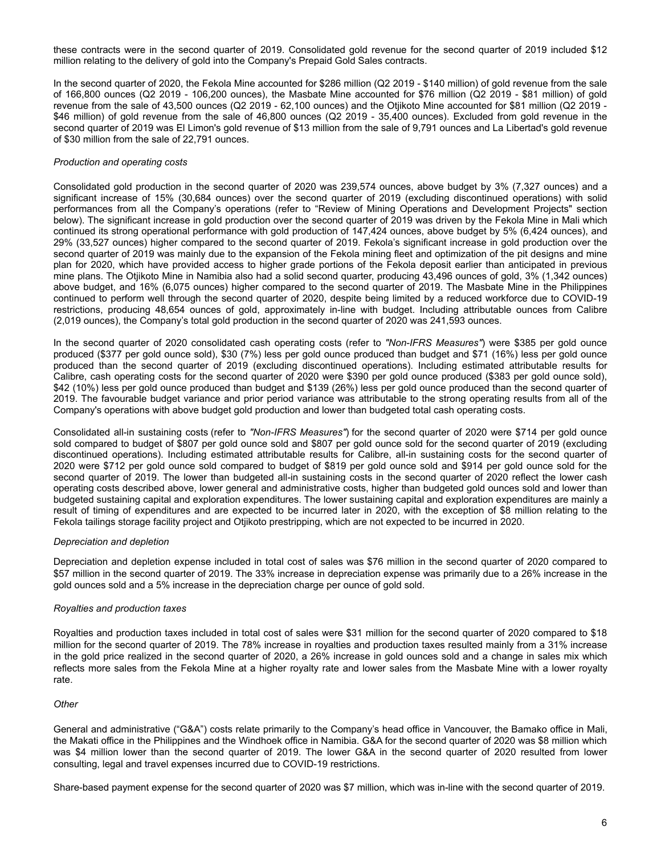these contracts were in the second quarter of 2019. Consolidated gold revenue for the second quarter of 2019 included \$12 million relating to the delivery of gold into the Company's Prepaid Gold Sales contracts.

In the second quarter of 2020, the Fekola Mine accounted for \$286 million (Q2 2019 - \$140 million) of gold revenue from the sale of 166,800 ounces (Q2 2019 - 106,200 ounces), the Masbate Mine accounted for \$76 million (Q2 2019 - \$81 million) of gold revenue from the sale of 43,500 ounces (Q2 2019 - 62,100 ounces) and the Otjikoto Mine accounted for \$81 million (Q2 2019 - \$46 million) of gold revenue from the sale of 46,800 ounces (Q2 2019 - 35,400 ounces). Excluded from gold revenue in the second quarter of 2019 was El Limon's gold revenue of \$13 million from the sale of 9,791 ounces and La Libertad's gold revenue of \$30 million from the sale of 22,791 ounces.

## *Production and operating costs*

Consolidated gold production in the second quarter of 2020 was 239,574 ounces, above budget by 3% (7,327 ounces) and a significant increase of 15% (30,684 ounces) over the second quarter of 2019 (excluding discontinued operations) with solid performances from all the Company's operations (refer to "Review of Mining Operations and Development Projects" section below). The significant increase in gold production over the second quarter of 2019 was driven by the Fekola Mine in Mali which continued its strong operational performance with gold production of 147,424 ounces, above budget by 5% (6,424 ounces), and 29% (33,527 ounces) higher compared to the second quarter of 2019. Fekola's significant increase in gold production over the second quarter of 2019 was mainly due to the expansion of the Fekola mining fleet and optimization of the pit designs and mine plan for 2020, which have provided access to higher grade portions of the Fekola deposit earlier than anticipated in previous mine plans. The Otjikoto Mine in Namibia also had a solid second quarter, producing 43,496 ounces of gold, 3% (1,342 ounces) above budget, and 16% (6,075 ounces) higher compared to the second quarter of 2019. The Masbate Mine in the Philippines continued to perform well through the second quarter of 2020, despite being limited by a reduced workforce due to COVID-19 restrictions, producing 48,654 ounces of gold, approximately in-line with budget. Including attributable ounces from Calibre (2,019 ounces), the Company's total gold production in the second quarter of 2020 was 241,593 ounces.

In the second quarter of 2020 consolidated cash operating costs (refer to *"Non-IFRS Measures"*) were \$385 per gold ounce produced (\$377 per gold ounce sold), \$30 (7%) less per gold ounce produced than budget and \$71 (16%) less per gold ounce produced than the second quarter of 2019 (excluding discontinued operations). Including estimated attributable results for Calibre, cash operating costs for the second quarter of 2020 were \$390 per gold ounce produced (\$383 per gold ounce sold), \$42 (10%) less per gold ounce produced than budget and \$139 (26%) less per gold ounce produced than the second quarter of 2019. The favourable budget variance and prior period variance was attributable to the strong operating results from all of the Company's operations with above budget gold production and lower than budgeted total cash operating costs.

Consolidated all-in sustaining costs (refer to *"Non-IFRS Measures"*) for the second quarter of 2020 were \$714 per gold ounce sold compared to budget of \$807 per gold ounce sold and \$807 per gold ounce sold for the second quarter of 2019 (excluding discontinued operations). Including estimated attributable results for Calibre, all-in sustaining costs for the second quarter of 2020 were \$712 per gold ounce sold compared to budget of \$819 per gold ounce sold and \$914 per gold ounce sold for the second quarter of 2019. The lower than budgeted all-in sustaining costs in the second quarter of 2020 reflect the lower cash operating costs described above, lower general and administrative costs, higher than budgeted gold ounces sold and lower than budgeted sustaining capital and exploration expenditures. The lower sustaining capital and exploration expenditures are mainly a result of timing of expenditures and are expected to be incurred later in 2020, with the exception of \$8 million relating to the Fekola tailings storage facility project and Otjikoto prestripping, which are not expected to be incurred in 2020.

# *Depreciation and depletion*

Depreciation and depletion expense included in total cost of sales was \$76 million in the second quarter of 2020 compared to \$57 million in the second quarter of 2019. The 33% increase in depreciation expense was primarily due to a 26% increase in the gold ounces sold and a 5% increase in the depreciation charge per ounce of gold sold.

# *Royalties and production taxes*

Royalties and production taxes included in total cost of sales were \$31 million for the second quarter of 2020 compared to \$18 million for the second quarter of 2019. The 78% increase in royalties and production taxes resulted mainly from a 31% increase in the gold price realized in the second quarter of 2020, a 26% increase in gold ounces sold and a change in sales mix which reflects more sales from the Fekola Mine at a higher royalty rate and lower sales from the Masbate Mine with a lower royalty rate.

# *Other*

General and administrative ("G&A") costs relate primarily to the Company's head office in Vancouver, the Bamako office in Mali, the Makati office in the Philippines and the Windhoek office in Namibia. G&A for the second quarter of 2020 was \$8 million which was \$4 million lower than the second quarter of 2019. The lower G&A in the second quarter of 2020 resulted from lower consulting, legal and travel expenses incurred due to COVID-19 restrictions.

Share-based payment expense for the second quarter of 2020 was \$7 million, which was in-line with the second quarter of 2019.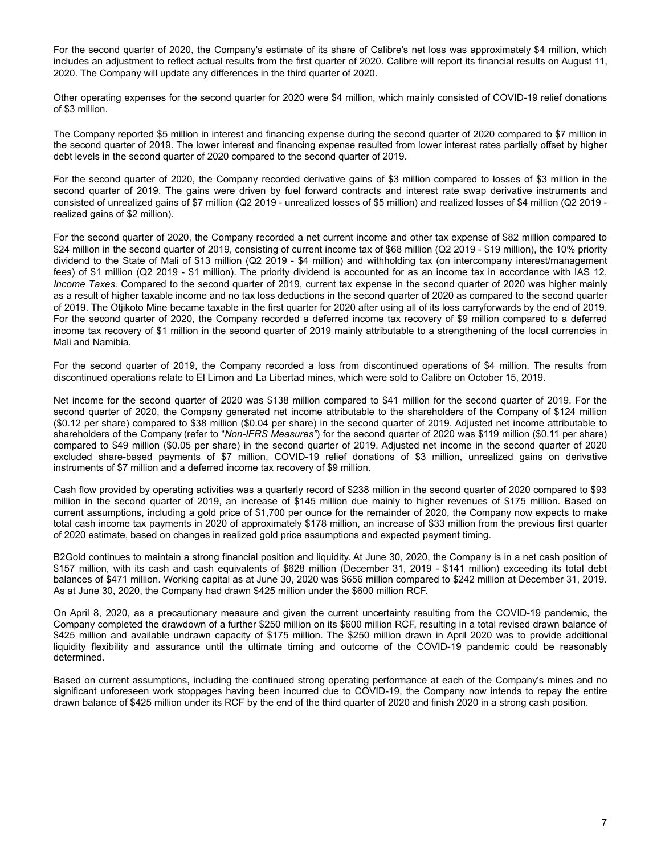For the second quarter of 2020, the Company's estimate of its share of Calibre's net loss was approximately \$4 million, which includes an adjustment to reflect actual results from the first quarter of 2020. Calibre will report its financial results on August 11, 2020. The Company will update any differences in the third quarter of 2020.

Other operating expenses for the second quarter for 2020 were \$4 million, which mainly consisted of COVID-19 relief donations of \$3 million.

The Company reported \$5 million in interest and financing expense during the second quarter of 2020 compared to \$7 million in the second quarter of 2019. The lower interest and financing expense resulted from lower interest rates partially offset by higher debt levels in the second quarter of 2020 compared to the second quarter of 2019.

For the second quarter of 2020, the Company recorded derivative gains of \$3 million compared to losses of \$3 million in the second quarter of 2019. The gains were driven by fuel forward contracts and interest rate swap derivative instruments and consisted of unrealized gains of \$7 million (Q2 2019 - unrealized losses of \$5 million) and realized losses of \$4 million (Q2 2019 realized gains of \$2 million).

For the second quarter of 2020, the Company recorded a net current income and other tax expense of \$82 million compared to \$24 million in the second quarter of 2019, consisting of current income tax of \$68 million (Q2 2019 - \$19 million), the 10% priority dividend to the State of Mali of \$13 million (Q2 2019 - \$4 million) and withholding tax (on intercompany interest/management fees) of \$1 million (Q2 2019 - \$1 million). The priority dividend is accounted for as an income tax in accordance with IAS 12, *Income Taxes.* Compared to the second quarter of 2019, current tax expense in the second quarter of 2020 was higher mainly as a result of higher taxable income and no tax loss deductions in the second quarter of 2020 as compared to the second quarter of 2019. The Otjikoto Mine became taxable in the first quarter for 2020 after using all of its loss carryforwards by the end of 2019. For the second quarter of 2020, the Company recorded a deferred income tax recovery of \$9 million compared to a deferred income tax recovery of \$1 million in the second quarter of 2019 mainly attributable to a strengthening of the local currencies in Mali and Namibia.

For the second quarter of 2019, the Company recorded a loss from discontinued operations of \$4 million. The results from discontinued operations relate to El Limon and La Libertad mines, which were sold to Calibre on October 15, 2019.

Net income for the second quarter of 2020 was \$138 million compared to \$41 million for the second quarter of 2019. For the second quarter of 2020, the Company generated net income attributable to the shareholders of the Company of \$124 million (\$0.12 per share) compared to \$38 million (\$0.04 per share) in the second quarter of 2019. Adjusted net income attributable to shareholders of the Company (refer to "*Non-IFRS Measures"*) for the second quarter of 2020 was \$119 million (\$0.11 per share) compared to \$49 million (\$0.05 per share) in the second quarter of 2019. Adjusted net income in the second quarter of 2020 excluded share-based payments of \$7 million, COVID-19 relief donations of \$3 million, unrealized gains on derivative instruments of \$7 million and a deferred income tax recovery of \$9 million.

Cash flow provided by operating activities was a quarterly record of \$238 million in the second quarter of 2020 compared to \$93 million in the second quarter of 2019, an increase of \$145 million due mainly to higher revenues of \$175 million. Based on current assumptions, including a gold price of \$1,700 per ounce for the remainder of 2020, the Company now expects to make total cash income tax payments in 2020 of approximately \$178 million, an increase of \$33 million from the previous first quarter of 2020 estimate, based on changes in realized gold price assumptions and expected payment timing.

B2Gold continues to maintain a strong financial position and liquidity. At June 30, 2020, the Company is in a net cash position of \$157 million, with its cash and cash equivalents of \$628 million (December 31, 2019 - \$141 million) exceeding its total debt balances of \$471 million. Working capital as at June 30, 2020 was \$656 million compared to \$242 million at December 31, 2019. As at June 30, 2020, the Company had drawn \$425 million under the \$600 million RCF.

On April 8, 2020, as a precautionary measure and given the current uncertainty resulting from the COVID-19 pandemic, the Company completed the drawdown of a further \$250 million on its \$600 million RCF, resulting in a total revised drawn balance of \$425 million and available undrawn capacity of \$175 million. The \$250 million drawn in April 2020 was to provide additional liquidity flexibility and assurance until the ultimate timing and outcome of the COVID-19 pandemic could be reasonably determined.

Based on current assumptions, including the continued strong operating performance at each of the Company's mines and no significant unforeseen work stoppages having been incurred due to COVID-19, the Company now intends to repay the entire drawn balance of \$425 million under its RCF by the end of the third quarter of 2020 and finish 2020 in a strong cash position.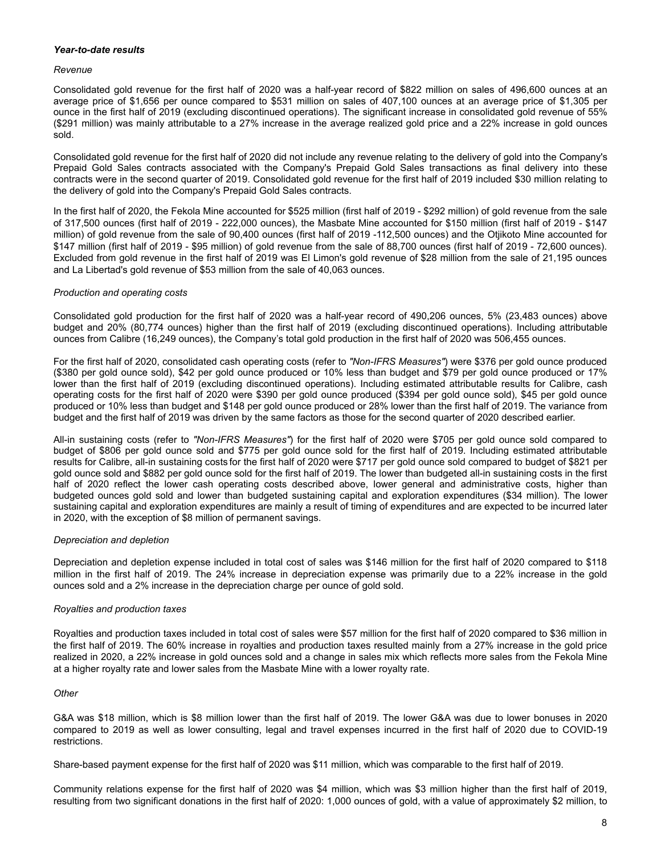# *Year-to-date results*

## *Revenue*

Consolidated gold revenue for the first half of 2020 was a half-year record of \$822 million on sales of 496,600 ounces at an average price of \$1,656 per ounce compared to \$531 million on sales of 407,100 ounces at an average price of \$1,305 per ounce in the first half of 2019 (excluding discontinued operations). The significant increase in consolidated gold revenue of 55% (\$291 million) was mainly attributable to a 27% increase in the average realized gold price and a 22% increase in gold ounces sold.

Consolidated gold revenue for the first half of 2020 did not include any revenue relating to the delivery of gold into the Company's Prepaid Gold Sales contracts associated with the Company's Prepaid Gold Sales transactions as final delivery into these contracts were in the second quarter of 2019. Consolidated gold revenue for the first half of 2019 included \$30 million relating to the delivery of gold into the Company's Prepaid Gold Sales contracts.

In the first half of 2020, the Fekola Mine accounted for \$525 million (first half of 2019 - \$292 million) of gold revenue from the sale of 317,500 ounces (first half of 2019 - 222,000 ounces), the Masbate Mine accounted for \$150 million (first half of 2019 - \$147 million) of gold revenue from the sale of 90,400 ounces (first half of 2019 -112,500 ounces) and the Otjikoto Mine accounted for \$147 million (first half of 2019 - \$95 million) of gold revenue from the sale of 88,700 ounces (first half of 2019 - 72,600 ounces). Excluded from gold revenue in the first half of 2019 was El Limon's gold revenue of \$28 million from the sale of 21,195 ounces and La Libertad's gold revenue of \$53 million from the sale of 40,063 ounces.

# *Production and operating costs*

Consolidated gold production for the first half of 2020 was a half-year record of 490,206 ounces, 5% (23,483 ounces) above budget and 20% (80,774 ounces) higher than the first half of 2019 (excluding discontinued operations). Including attributable ounces from Calibre (16,249 ounces), the Company's total gold production in the first half of 2020 was 506,455 ounces.

For the first half of 2020, consolidated cash operating costs (refer to *"Non-IFRS Measures"*) were \$376 per gold ounce produced (\$380 per gold ounce sold), \$42 per gold ounce produced or 10% less than budget and \$79 per gold ounce produced or 17% lower than the first half of 2019 (excluding discontinued operations). Including estimated attributable results for Calibre, cash operating costs for the first half of 2020 were \$390 per gold ounce produced (\$394 per gold ounce sold), \$45 per gold ounce produced or 10% less than budget and \$148 per gold ounce produced or 28% lower than the first half of 2019. The variance from budget and the first half of 2019 was driven by the same factors as those for the second quarter of 2020 described earlier.

All-in sustaining costs (refer to *"Non-IFRS Measures"*) for the first half of 2020 were \$705 per gold ounce sold compared to budget of \$806 per gold ounce sold and \$775 per gold ounce sold for the first half of 2019. Including estimated attributable results for Calibre, all-in sustaining costs for the first half of 2020 were \$717 per gold ounce sold compared to budget of \$821 per gold ounce sold and \$882 per gold ounce sold for the first half of 2019. The lower than budgeted all-in sustaining costs in the first half of 2020 reflect the lower cash operating costs described above, lower general and administrative costs, higher than budgeted ounces gold sold and lower than budgeted sustaining capital and exploration expenditures (\$34 million). The lower sustaining capital and exploration expenditures are mainly a result of timing of expenditures and are expected to be incurred later in 2020, with the exception of \$8 million of permanent savings.

# *Depreciation and depletion*

Depreciation and depletion expense included in total cost of sales was \$146 million for the first half of 2020 compared to \$118 million in the first half of 2019. The 24% increase in depreciation expense was primarily due to a 22% increase in the gold ounces sold and a 2% increase in the depreciation charge per ounce of gold sold.

# *Royalties and production taxes*

Royalties and production taxes included in total cost of sales were \$57 million for the first half of 2020 compared to \$36 million in the first half of 2019. The 60% increase in royalties and production taxes resulted mainly from a 27% increase in the gold price realized in 2020, a 22% increase in gold ounces sold and a change in sales mix which reflects more sales from the Fekola Mine at a higher royalty rate and lower sales from the Masbate Mine with a lower royalty rate.

# *Other*

G&A was \$18 million, which is \$8 million lower than the first half of 2019. The lower G&A was due to lower bonuses in 2020 compared to 2019 as well as lower consulting, legal and travel expenses incurred in the first half of 2020 due to COVID-19 restrictions.

Share-based payment expense for the first half of 2020 was \$11 million, which was comparable to the first half of 2019.

Community relations expense for the first half of 2020 was \$4 million, which was \$3 million higher than the first half of 2019, resulting from two significant donations in the first half of 2020: 1,000 ounces of gold, with a value of approximately \$2 million, to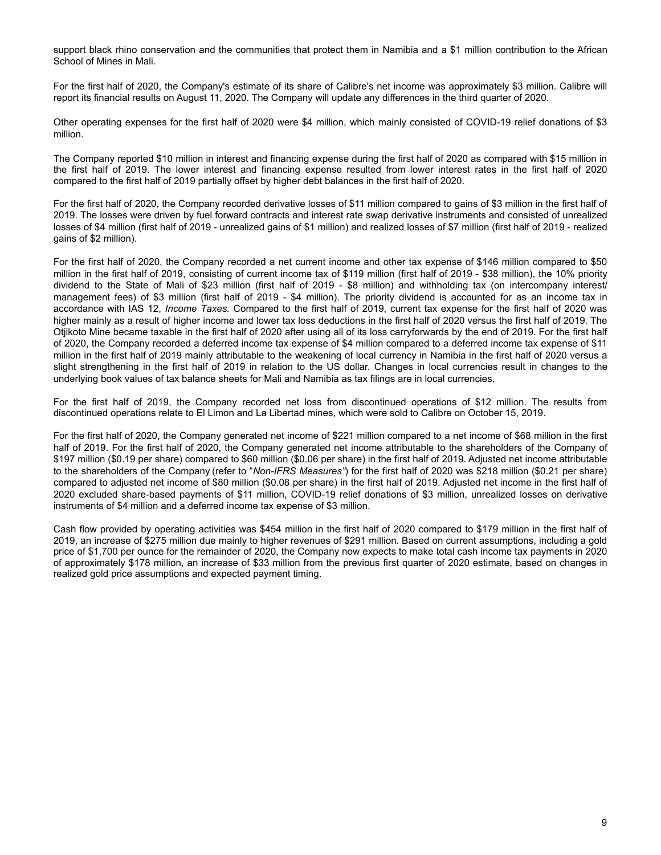support black rhino conservation and the communities that protect them in Namibia and a \$1 million contribution to the African School of Mines in Mali.

For the first half of 2020, the Company's estimate of its share of Calibre's net income was approximately \$3 million. Calibre will report its financial results on August 11, 2020. The Company will update any differences in the third quarter of 2020.

Other operating expenses for the first half of 2020 were \$4 million, which mainly consisted of COVID-19 relief donations of \$3 million.

The Company reported \$10 million in interest and financing expense during the first half of 2020 as compared with \$15 million in the first half of 2019. The lower interest and financing expense resulted from lower interest rates in the first half of 2020 compared to the first half of 2019 partially offset by higher debt balances in the first half of 2020.

For the first half of 2020, the Company recorded derivative losses of \$11 million compared to gains of \$3 million in the first half of 2019. The losses were driven by fuel forward contracts and interest rate swap derivative instruments and consisted of unrealized losses of \$4 million (first half of 2019 - unrealized gains of \$1 million) and realized losses of \$7 million (first half of 2019 - realized gains of \$2 million).

For the first half of 2020, the Company recorded a net current income and other tax expense of \$146 million compared to \$50 million in the first half of 2019, consisting of current income tax of \$119 million (first half of 2019 - \$38 million), the 10% priority dividend to the State of Mali of \$23 million (first half of 2019 - \$8 million) and withholding tax (on intercompany interest/ management fees) of \$3 million (first half of 2019 - \$4 million). The priority dividend is accounted for as an income tax in accordance with IAS 12, *Income Taxes.* Compared to the first half of 2019, current tax expense for the first half of 2020 was higher mainly as a result of higher income and lower tax loss deductions in the first half of 2020 versus the first half of 2019. The Otjikoto Mine became taxable in the first half of 2020 after using all of its loss carryforwards by the end of 2019. For the first half of 2020, the Company recorded a deferred income tax expense of \$4 million compared to a deferred income tax expense of \$11 million in the first half of 2019 mainly attributable to the weakening of local currency in Namibia in the first half of 2020 versus a slight strengthening in the first half of 2019 in relation to the US dollar. Changes in local currencies result in changes to the underlying book values of tax balance sheets for Mali and Namibia as tax filings are in local currencies.

For the first half of 2019, the Company recorded net loss from discontinued operations of \$12 million. The results from discontinued operations relate to El Limon and La Libertad mines, which were sold to Calibre on October 15, 2019.

For the first half of 2020, the Company generated net income of \$221 million compared to a net income of \$68 million in the first half of 2019. For the first half of 2020, the Company generated net income attributable to the shareholders of the Company of \$197 million (\$0.19 per share) compared to \$60 million (\$0.06 per share) in the first half of 2019. Adjusted net income attributable to the shareholders of the Company (refer to "*Non-IFRS Measures"*) for the first half of 2020 was \$218 million (\$0.21 per share) compared to adjusted net income of \$80 million (\$0.08 per share) in the first half of 2019. Adjusted net income in the first half of 2020 excluded share-based payments of \$11 million, COVID-19 relief donations of \$3 million, unrealized losses on derivative instruments of \$4 million and a deferred income tax expense of \$3 million.

Cash flow provided by operating activities was \$454 million in the first half of 2020 compared to \$179 million in the first half of 2019, an increase of \$275 million due mainly to higher revenues of \$291 million. Based on current assumptions, including a gold price of \$1,700 per ounce for the remainder of 2020, the Company now expects to make total cash income tax payments in 2020 of approximately \$178 million, an increase of \$33 million from the previous first quarter of 2020 estimate, based on changes in realized gold price assumptions and expected payment timing.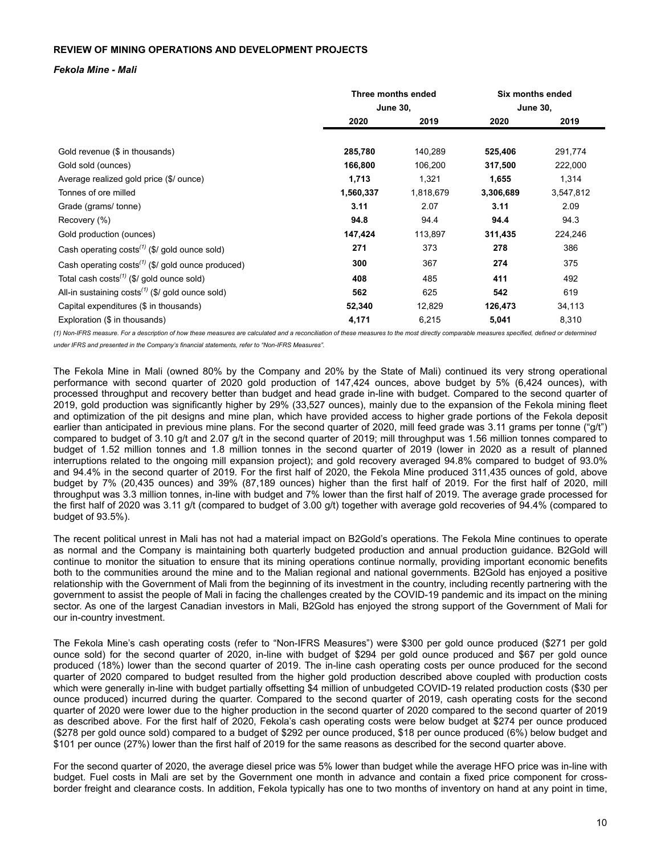# <span id="page-9-0"></span>**REVIEW OF MINING OPERATIONS AND DEVELOPMENT PROJECTS**

## *Fekola Mine - Mali*

|                                                               | Three months ended |           | Six months ended |                 |
|---------------------------------------------------------------|--------------------|-----------|------------------|-----------------|
|                                                               | <b>June 30,</b>    |           |                  | <b>June 30,</b> |
|                                                               | 2020               | 2019      | 2020             | 2019            |
|                                                               |                    |           |                  |                 |
| Gold revenue (\$ in thousands)                                | 285,780            | 140,289   | 525,406          | 291,774         |
| Gold sold (ounces)                                            | 166,800            | 106,200   | 317,500          | 222,000         |
| Average realized gold price (\$/ ounce)                       | 1,713              | 1,321     | 1,655            | 1,314           |
| Tonnes of ore milled                                          | 1,560,337          | 1,818,679 | 3,306,689        | 3,547,812       |
| Grade (grams/ tonne)                                          | 3.11               | 2.07      | 3.11             | 2.09            |
| Recovery (%)                                                  | 94.8               | 94.4      | 94.4             | 94.3            |
| Gold production (ounces)                                      | 147,424            | 113,897   | 311,435          | 224,246         |
| Cash operating $costs^{(1)}$ (\$/ gold ounce sold)            | 271                | 373       | 278              | 386             |
| Cash operating costs <sup>(1)</sup> (\$/ gold ounce produced) | 300                | 367       | 274              | 375             |
| Total cash costs $(1)$ (\$/ gold ounce sold)                  | 408                | 485       | 411              | 492             |
| All-in sustaining $costs^{(1)}$ (\$/ gold ounce sold)         | 562                | 625       | 542              | 619             |
| Capital expenditures (\$ in thousands)                        | 52,340             | 12,829    | 126,473          | 34,113          |
| Exploration (\$ in thousands)                                 | 4,171              | 6,215     | 5,041            | 8,310           |

*(1) Non-IFRS measure. For a description of how these measures are calculated and a reconciliation of these measures to the most directly comparable measures specified, defined or determined under IFRS and presented in the Company's financial statements, refer to "Non-IFRS Measures".*

The Fekola Mine in Mali (owned 80% by the Company and 20% by the State of Mali) continued its very strong operational performance with second quarter of 2020 gold production of 147,424 ounces, above budget by 5% (6,424 ounces), with processed throughput and recovery better than budget and head grade in-line with budget. Compared to the second quarter of 2019, gold production was significantly higher by 29% (33,527 ounces), mainly due to the expansion of the Fekola mining fleet and optimization of the pit designs and mine plan, which have provided access to higher grade portions of the Fekola deposit earlier than anticipated in previous mine plans. For the second quarter of 2020, mill feed grade was 3.11 grams per tonne ("g/t") compared to budget of 3.10 g/t and 2.07 g/t in the second quarter of 2019; mill throughput was 1.56 million tonnes compared to budget of 1.52 million tonnes and 1.8 million tonnes in the second quarter of 2019 (lower in 2020 as a result of planned interruptions related to the ongoing mill expansion project); and gold recovery averaged 94.8% compared to budget of 93.0% and 94.4% in the second quarter of 2019. For the first half of 2020, the Fekola Mine produced 311,435 ounces of gold, above budget by 7% (20,435 ounces) and 39% (87,189 ounces) higher than the first half of 2019. For the first half of 2020, mill throughput was 3.3 million tonnes, in-line with budget and 7% lower than the first half of 2019. The average grade processed for the first half of 2020 was 3.11 g/t (compared to budget of 3.00 g/t) together with average gold recoveries of 94.4% (compared to budget of 93.5%).

The recent political unrest in Mali has not had a material impact on B2Gold's operations. The Fekola Mine continues to operate as normal and the Company is maintaining both quarterly budgeted production and annual production guidance. B2Gold will continue to monitor the situation to ensure that its mining operations continue normally, providing important economic benefits both to the communities around the mine and to the Malian regional and national governments. B2Gold has enjoyed a positive relationship with the Government of Mali from the beginning of its investment in the country, including recently partnering with the government to assist the people of Mali in facing the challenges created by the COVID-19 pandemic and its impact on the mining sector. As one of the largest Canadian investors in Mali, B2Gold has enjoyed the strong support of the Government of Mali for our in-country investment.

The Fekola Mine's cash operating costs (refer to "Non-IFRS Measures") were \$300 per gold ounce produced (\$271 per gold ounce sold) for the second quarter of 2020, in-line with budget of \$294 per gold ounce produced and \$67 per gold ounce produced (18%) lower than the second quarter of 2019. The in-line cash operating costs per ounce produced for the second quarter of 2020 compared to budget resulted from the higher gold production described above coupled with production costs which were generally in-line with budget partially offsetting \$4 million of unbudgeted COVID-19 related production costs (\$30 per ounce produced) incurred during the quarter. Compared to the second quarter of 2019, cash operating costs for the second quarter of 2020 were lower due to the higher production in the second quarter of 2020 compared to the second quarter of 2019 as described above. For the first half of 2020, Fekola's cash operating costs were below budget at \$274 per ounce produced (\$278 per gold ounce sold) compared to a budget of \$292 per ounce produced, \$18 per ounce produced (6%) below budget and \$101 per ounce (27%) lower than the first half of 2019 for the same reasons as described for the second quarter above.

For the second quarter of 2020, the average diesel price was 5% lower than budget while the average HFO price was in-line with budget. Fuel costs in Mali are set by the Government one month in advance and contain a fixed price component for crossborder freight and clearance costs. In addition, Fekola typically has one to two months of inventory on hand at any point in time,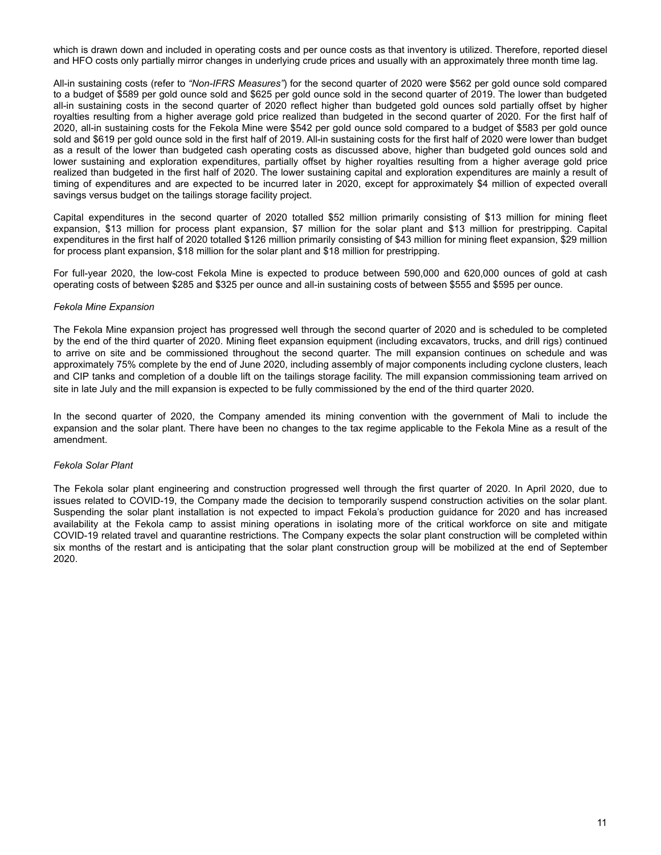which is drawn down and included in operating costs and per ounce costs as that inventory is utilized. Therefore, reported diesel and HFO costs only partially mirror changes in underlying crude prices and usually with an approximately three month time lag.

All-in sustaining costs (refer to *"Non-IFRS Measures"*) for the second quarter of 2020 were \$562 per gold ounce sold compared to a budget of \$589 per gold ounce sold and \$625 per gold ounce sold in the second quarter of 2019. The lower than budgeted all-in sustaining costs in the second quarter of 2020 reflect higher than budgeted gold ounces sold partially offset by higher royalties resulting from a higher average gold price realized than budgeted in the second quarter of 2020. For the first half of 2020, all-in sustaining costs for the Fekola Mine were \$542 per gold ounce sold compared to a budget of \$583 per gold ounce sold and \$619 per gold ounce sold in the first half of 2019. All-in sustaining costs for the first half of 2020 were lower than budget as a result of the lower than budgeted cash operating costs as discussed above, higher than budgeted gold ounces sold and lower sustaining and exploration expenditures, partially offset by higher royalties resulting from a higher average gold price realized than budgeted in the first half of 2020. The lower sustaining capital and exploration expenditures are mainly a result of timing of expenditures and are expected to be incurred later in 2020, except for approximately \$4 million of expected overall savings versus budget on the tailings storage facility project.

Capital expenditures in the second quarter of 2020 totalled \$52 million primarily consisting of \$13 million for mining fleet expansion, \$13 million for process plant expansion, \$7 million for the solar plant and \$13 million for prestripping. Capital expenditures in the first half of 2020 totalled \$126 million primarily consisting of \$43 million for mining fleet expansion, \$29 million for process plant expansion, \$18 million for the solar plant and \$18 million for prestripping.

For full-year 2020, the low-cost Fekola Mine is expected to produce between 590,000 and 620,000 ounces of gold at cash operating costs of between \$285 and \$325 per ounce and all-in sustaining costs of between \$555 and \$595 per ounce.

# *Fekola Mine Expansion*

The Fekola Mine expansion project has progressed well through the second quarter of 2020 and is scheduled to be completed by the end of the third quarter of 2020. Mining fleet expansion equipment (including excavators, trucks, and drill rigs) continued to arrive on site and be commissioned throughout the second quarter. The mill expansion continues on schedule and was approximately 75% complete by the end of June 2020, including assembly of major components including cyclone clusters, leach and CIP tanks and completion of a double lift on the tailings storage facility. The mill expansion commissioning team arrived on site in late July and the mill expansion is expected to be fully commissioned by the end of the third quarter 2020.

In the second quarter of 2020, the Company amended its mining convention with the government of Mali to include the expansion and the solar plant. There have been no changes to the tax regime applicable to the Fekola Mine as a result of the amendment.

# *Fekola Solar Plant*

The Fekola solar plant engineering and construction progressed well through the first quarter of 2020. In April 2020, due to issues related to COVID-19, the Company made the decision to temporarily suspend construction activities on the solar plant. Suspending the solar plant installation is not expected to impact Fekola's production guidance for 2020 and has increased availability at the Fekola camp to assist mining operations in isolating more of the critical workforce on site and mitigate COVID-19 related travel and quarantine restrictions. The Company expects the solar plant construction will be completed within six months of the restart and is anticipating that the solar plant construction group will be mobilized at the end of September 2020.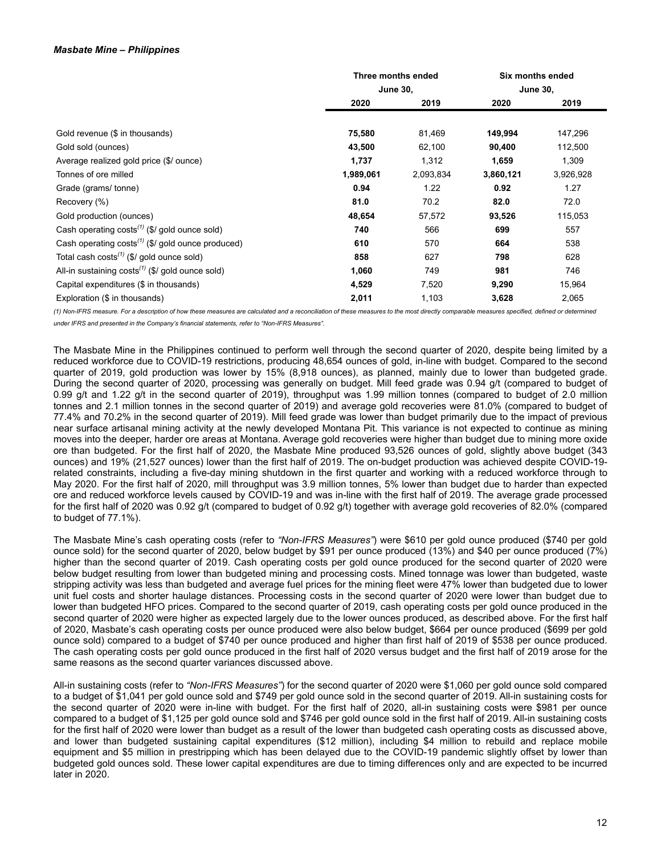# *Masbate Mine – Philippines*

|                                                                    |                 | Three months ended |           | Six months ended |
|--------------------------------------------------------------------|-----------------|--------------------|-----------|------------------|
|                                                                    | <b>June 30,</b> | <b>June 30,</b>    |           |                  |
|                                                                    | 2020            | 2019               | 2020      |                  |
|                                                                    |                 |                    |           |                  |
| Gold revenue (\$ in thousands)                                     | 75,580          | 81,469             | 149,994   | 147,296          |
| Gold sold (ounces)                                                 | 43,500          | 62,100             | 90,400    | 112,500          |
| Average realized gold price (\$/ ounce)                            | 1,737           | 1,312              | 1,659     | 1,309            |
| Tonnes of ore milled                                               | 1,989,061       | 2,093,834          | 3,860,121 | 3,926,928        |
| Grade (grams/tonne)                                                | 0.94            | 1.22               | 0.92      | 1.27             |
| Recovery (%)                                                       | 81.0            | 70.2               | 82.0      | 72.0             |
| Gold production (ounces)                                           | 48,654          | 57,572             | 93,526    | 115,053          |
| Cash operating $costs^{(1)}$ (\$/ gold ounce sold)                 | 740             | 566                | 699       | 557              |
| Cash operating $costs^{(1)}$ (\$/ gold ounce produced)             | 610             | 570                | 664       | 538              |
| Total cash costs <sup><math>(1)</math></sup> (\$/ gold ounce sold) | 858             | 627                | 798       | 628              |
| All-in sustaining $costs^{(1)}$ (\$/ gold ounce sold)              | 1,060           | 749                | 981       | 746              |
| Capital expenditures (\$ in thousands)                             | 4,529           | 7,520              | 9,290     | 15,964           |
| Exploration (\$ in thousands)                                      | 2,011           | 1,103              | 3,628     | 2,065            |

*(1) Non-IFRS measure. For a description of how these measures are calculated and a reconciliation of these measures to the most directly comparable measures specified, defined or determined under IFRS and presented in the Company's financial statements, refer to "Non-IFRS Measures".*

The Masbate Mine in the Philippines continued to perform well through the second quarter of 2020, despite being limited by a reduced workforce due to COVID-19 restrictions, producing 48,654 ounces of gold, in-line with budget. Compared to the second quarter of 2019, gold production was lower by 15% (8,918 ounces), as planned, mainly due to lower than budgeted grade. During the second quarter of 2020, processing was generally on budget. Mill feed grade was 0.94 g/t (compared to budget of 0.99 g/t and 1.22 g/t in the second quarter of 2019), throughput was 1.99 million tonnes (compared to budget of 2.0 million tonnes and 2.1 million tonnes in the second quarter of 2019) and average gold recoveries were 81.0% (compared to budget of 77.4% and 70.2% in the second quarter of 2019). Mill feed grade was lower than budget primarily due to the impact of previous near surface artisanal mining activity at the newly developed Montana Pit. This variance is not expected to continue as mining moves into the deeper, harder ore areas at Montana. Average gold recoveries were higher than budget due to mining more oxide ore than budgeted. For the first half of 2020, the Masbate Mine produced 93,526 ounces of gold, slightly above budget (343 ounces) and 19% (21,527 ounces) lower than the first half of 2019. The on-budget production was achieved despite COVID-19 related constraints, including a five-day mining shutdown in the first quarter and working with a reduced workforce through to May 2020. For the first half of 2020, mill throughput was 3.9 million tonnes, 5% lower than budget due to harder than expected ore and reduced workforce levels caused by COVID-19 and was in-line with the first half of 2019. The average grade processed for the first half of 2020 was 0.92 g/t (compared to budget of 0.92 g/t) together with average gold recoveries of 82.0% (compared to budget of 77.1%).

The Masbate Mine's cash operating costs (refer to *"Non-IFRS Measures"*) were \$610 per gold ounce produced (\$740 per gold ounce sold) for the second quarter of 2020, below budget by \$91 per ounce produced (13%) and \$40 per ounce produced (7%) higher than the second quarter of 2019. Cash operating costs per gold ounce produced for the second quarter of 2020 were below budget resulting from lower than budgeted mining and processing costs. Mined tonnage was lower than budgeted, waste stripping activity was less than budgeted and average fuel prices for the mining fleet were 47% lower than budgeted due to lower unit fuel costs and shorter haulage distances. Processing costs in the second quarter of 2020 were lower than budget due to lower than budgeted HFO prices. Compared to the second quarter of 2019, cash operating costs per gold ounce produced in the second quarter of 2020 were higher as expected largely due to the lower ounces produced, as described above. For the first half of 2020, Masbate's cash operating costs per ounce produced were also below budget, \$664 per ounce produced (\$699 per gold ounce sold) compared to a budget of \$740 per ounce produced and higher than first half of 2019 of \$538 per ounce produced. The cash operating costs per gold ounce produced in the first half of 2020 versus budget and the first half of 2019 arose for the same reasons as the second quarter variances discussed above.

All-in sustaining costs (refer to *"Non-IFRS Measures"*) for the second quarter of 2020 were \$1,060 per gold ounce sold compared to a budget of \$1,041 per gold ounce sold and \$749 per gold ounce sold in the second quarter of 2019. All-in sustaining costs for the second quarter of 2020 were in-line with budget. For the first half of 2020, all-in sustaining costs were \$981 per ounce compared to a budget of \$1,125 per gold ounce sold and \$746 per gold ounce sold in the first half of 2019. All-in sustaining costs for the first half of 2020 were lower than budget as a result of the lower than budgeted cash operating costs as discussed above, and lower than budgeted sustaining capital expenditures (\$12 million), including \$4 million to rebuild and replace mobile equipment and \$5 million in prestripping which has been delayed due to the COVID-19 pandemic slightly offset by lower than budgeted gold ounces sold. These lower capital expenditures are due to timing differences only and are expected to be incurred later in 2020.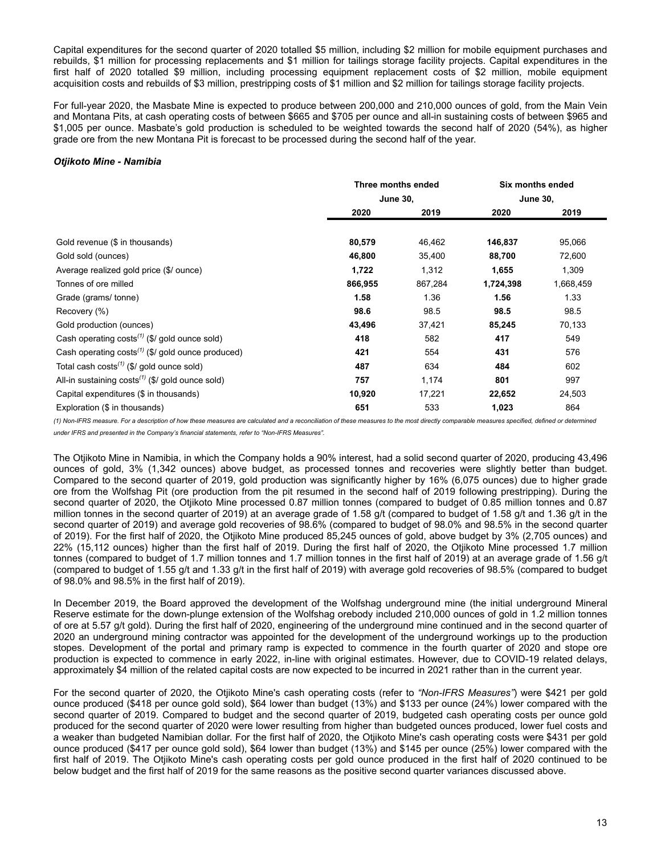Capital expenditures for the second quarter of 2020 totalled \$5 million, including \$2 million for mobile equipment purchases and rebuilds, \$1 million for processing replacements and \$1 million for tailings storage facility projects. Capital expenditures in the first half of 2020 totalled \$9 million, including processing equipment replacement costs of \$2 million, mobile equipment acquisition costs and rebuilds of \$3 million, prestripping costs of \$1 million and \$2 million for tailings storage facility projects.

For full-year 2020, the Masbate Mine is expected to produce between 200,000 and 210,000 ounces of gold, from the Main Vein and Montana Pits, at cash operating costs of between \$665 and \$705 per ounce and all-in sustaining costs of between \$965 and \$1,005 per ounce. Masbate's gold production is scheduled to be weighted towards the second half of 2020 (54%), as higher grade ore from the new Montana Pit is forecast to be processed during the second half of the year.

## *Otjikoto Mine - Namibia*

|                                                                    | Three months ended |         | Six months ended<br><b>June 30,</b> |           |  |
|--------------------------------------------------------------------|--------------------|---------|-------------------------------------|-----------|--|
|                                                                    | <b>June 30,</b>    |         |                                     |           |  |
|                                                                    | 2020               | 2019    | 2020                                | 2019      |  |
|                                                                    |                    |         |                                     |           |  |
| Gold revenue (\$ in thousands)                                     | 80,579             | 46,462  | 146,837                             | 95,066    |  |
| Gold sold (ounces)                                                 | 46,800             | 35,400  | 88,700                              | 72,600    |  |
| Average realized gold price (\$/ ounce)                            | 1,722              | 1,312   | 1,655                               | 1,309     |  |
| Tonnes of ore milled                                               | 866,955            | 867,284 | 1,724,398                           | 1,668,459 |  |
| Grade (grams/tonne)                                                | 1.58               | 1.36    | 1.56                                | 1.33      |  |
| Recovery (%)                                                       | 98.6               | 98.5    | 98.5                                | 98.5      |  |
| Gold production (ounces)                                           | 43,496             | 37,421  | 85,245                              | 70,133    |  |
| Cash operating $costs^{(1)}$ (\$/ gold ounce sold)                 | 418                | 582     | 417                                 | 549       |  |
| Cash operating $costs^{(1)}$ (\$/ gold ounce produced)             | 421                | 554     | 431                                 | 576       |  |
| Total cash costs <sup><math>(1)</math></sup> (\$/ gold ounce sold) | 487                | 634     | 484                                 | 602       |  |
| All-in sustaining $costs^{(1)}$ (\$/ gold ounce sold)              | 757                | 1,174   | 801                                 | 997       |  |
| Capital expenditures (\$ in thousands)                             | 10,920             | 17,221  | 22,652                              | 24,503    |  |
| Exploration (\$ in thousands)                                      | 651                | 533     | 1,023                               | 864       |  |

*(1) Non-IFRS measure. For a description of how these measures are calculated and a reconciliation of these measures to the most directly comparable measures specified, defined or determined under IFRS and presented in the Company's financial statements, refer to "Non-IFRS Measures".*

The Otjikoto Mine in Namibia, in which the Company holds a 90% interest, had a solid second quarter of 2020, producing 43,496 ounces of gold, 3% (1,342 ounces) above budget, as processed tonnes and recoveries were slightly better than budget. Compared to the second quarter of 2019, gold production was significantly higher by 16% (6,075 ounces) due to higher grade ore from the Wolfshag Pit (ore production from the pit resumed in the second half of 2019 following prestripping). During the second quarter of 2020, the Otjikoto Mine processed 0.87 million tonnes (compared to budget of 0.85 million tonnes and 0.87 million tonnes in the second quarter of 2019) at an average grade of 1.58 g/t (compared to budget of 1.58 g/t and 1.36 g/t in the second quarter of 2019) and average gold recoveries of 98.6% (compared to budget of 98.0% and 98.5% in the second quarter of 2019). For the first half of 2020, the Otjikoto Mine produced 85,245 ounces of gold, above budget by 3% (2,705 ounces) and 22% (15,112 ounces) higher than the first half of 2019. During the first half of 2020, the Otjikoto Mine processed 1.7 million tonnes (compared to budget of 1.7 million tonnes and 1.7 million tonnes in the first half of 2019) at an average grade of 1.56 g/t (compared to budget of 1.55 g/t and 1.33 g/t in the first half of 2019) with average gold recoveries of 98.5% (compared to budget of 98.0% and 98.5% in the first half of 2019).

In December 2019, the Board approved the development of the Wolfshag underground mine (the initial underground Mineral Reserve estimate for the down-plunge extension of the Wolfshag orebody included 210,000 ounces of gold in 1.2 million tonnes of ore at 5.57 g/t gold). During the first half of 2020, engineering of the underground mine continued and in the second quarter of 2020 an underground mining contractor was appointed for the development of the underground workings up to the production stopes. Development of the portal and primary ramp is expected to commence in the fourth quarter of 2020 and stope ore production is expected to commence in early 2022, in-line with original estimates. However, due to COVID-19 related delays, approximately \$4 million of the related capital costs are now expected to be incurred in 2021 rather than in the current year.

For the second quarter of 2020, the Otjikoto Mine's cash operating costs (refer to *"Non-IFRS Measures"*) were \$421 per gold ounce produced (\$418 per ounce gold sold), \$64 lower than budget (13%) and \$133 per ounce (24%) lower compared with the second quarter of 2019. Compared to budget and the second quarter of 2019, budgeted cash operating costs per ounce gold produced for the second quarter of 2020 were lower resulting from higher than budgeted ounces produced, lower fuel costs and a weaker than budgeted Namibian dollar. For the first half of 2020, the Otjikoto Mine's cash operating costs were \$431 per gold ounce produced (\$417 per ounce gold sold), \$64 lower than budget (13%) and \$145 per ounce (25%) lower compared with the first half of 2019. The Otjikoto Mine's cash operating costs per gold ounce produced in the first half of 2020 continued to be below budget and the first half of 2019 for the same reasons as the positive second quarter variances discussed above.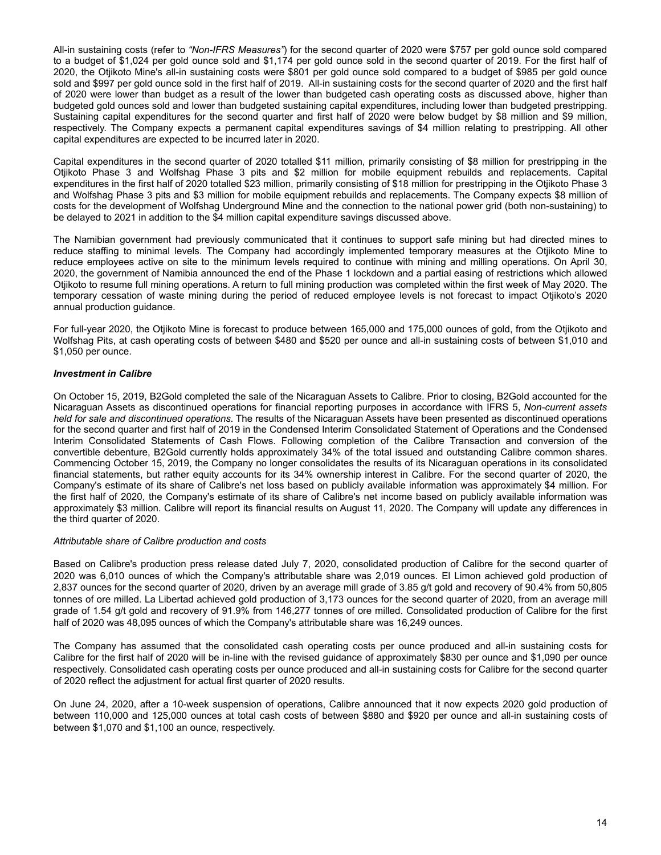All-in sustaining costs (refer to *"Non-IFRS Measures"*) for the second quarter of 2020 were \$757 per gold ounce sold compared to a budget of \$1,024 per gold ounce sold and \$1,174 per gold ounce sold in the second quarter of 2019. For the first half of 2020, the Otjikoto Mine's all-in sustaining costs were \$801 per gold ounce sold compared to a budget of \$985 per gold ounce sold and \$997 per gold ounce sold in the first half of 2019. All-in sustaining costs for the second quarter of 2020 and the first half of 2020 were lower than budget as a result of the lower than budgeted cash operating costs as discussed above, higher than budgeted gold ounces sold and lower than budgeted sustaining capital expenditures, including lower than budgeted prestripping. Sustaining capital expenditures for the second quarter and first half of 2020 were below budget by \$8 million and \$9 million, respectively. The Company expects a permanent capital expenditures savings of \$4 million relating to prestripping. All other capital expenditures are expected to be incurred later in 2020.

Capital expenditures in the second quarter of 2020 totalled \$11 million, primarily consisting of \$8 million for prestripping in the Otjikoto Phase 3 and Wolfshag Phase 3 pits and \$2 million for mobile equipment rebuilds and replacements. Capital expenditures in the first half of 2020 totalled \$23 million, primarily consisting of \$18 million for prestripping in the Otjikoto Phase 3 and Wolfshag Phase 3 pits and \$3 million for mobile equipment rebuilds and replacements. The Company expects \$8 million of costs for the development of Wolfshag Underground Mine and the connection to the national power grid (both non-sustaining) to be delayed to 2021 in addition to the \$4 million capital expenditure savings discussed above.

The Namibian government had previously communicated that it continues to support safe mining but had directed mines to reduce staffing to minimal levels. The Company had accordingly implemented temporary measures at the Otjikoto Mine to reduce employees active on site to the minimum levels required to continue with mining and milling operations. On April 30, 2020, the government of Namibia announced the end of the Phase 1 lockdown and a partial easing of restrictions which allowed Otjikoto to resume full mining operations. A return to full mining production was completed within the first week of May 2020. The temporary cessation of waste mining during the period of reduced employee levels is not forecast to impact Otjikoto's 2020 annual production guidance.

For full-year 2020, the Otjikoto Mine is forecast to produce between 165,000 and 175,000 ounces of gold, from the Otjikoto and Wolfshag Pits, at cash operating costs of between \$480 and \$520 per ounce and all-in sustaining costs of between \$1,010 and \$1,050 per ounce.

# *Investment in Calibre*

On October 15, 2019, B2Gold completed the sale of the Nicaraguan Assets to Calibre. Prior to closing, B2Gold accounted for the Nicaraguan Assets as discontinued operations for financial reporting purposes in accordance with IFRS 5, *Non-current assets held for sale and discontinued operations*. The results of the Nicaraguan Assets have been presented as discontinued operations for the second quarter and first half of 2019 in the Condensed Interim Consolidated Statement of Operations and the Condensed Interim Consolidated Statements of Cash Flows. Following completion of the Calibre Transaction and conversion of the convertible debenture, B2Gold currently holds approximately 34% of the total issued and outstanding Calibre common shares. Commencing October 15, 2019, the Company no longer consolidates the results of its Nicaraguan operations in its consolidated financial statements, but rather equity accounts for its 34% ownership interest in Calibre. For the second quarter of 2020, the Company's estimate of its share of Calibre's net loss based on publicly available information was approximately \$4 million. For the first half of 2020, the Company's estimate of its share of Calibre's net income based on publicly available information was approximately \$3 million. Calibre will report its financial results on August 11, 2020. The Company will update any differences in the third quarter of 2020.

# *Attributable share of Calibre production and costs*

Based on Calibre's production press release dated July 7, 2020, consolidated production of Calibre for the second quarter of 2020 was 6,010 ounces of which the Company's attributable share was 2,019 ounces. El Limon achieved gold production of 2,837 ounces for the second quarter of 2020, driven by an average mill grade of 3.85 g/t gold and recovery of 90.4% from 50,805 tonnes of ore milled. La Libertad achieved gold production of 3,173 ounces for the second quarter of 2020, from an average mill grade of 1.54 g/t gold and recovery of 91.9% from 146,277 tonnes of ore milled. Consolidated production of Calibre for the first half of 2020 was 48,095 ounces of which the Company's attributable share was 16,249 ounces.

The Company has assumed that the consolidated cash operating costs per ounce produced and all-in sustaining costs for Calibre for the first half of 2020 will be in-line with the revised guidance of approximately \$830 per ounce and \$1,090 per ounce respectively. Consolidated cash operating costs per ounce produced and all-in sustaining costs for Calibre for the second quarter of 2020 reflect the adjustment for actual first quarter of 2020 results.

On June 24, 2020, after a 10-week suspension of operations, Calibre announced that it now expects 2020 gold production of between 110,000 and 125,000 ounces at total cash costs of between \$880 and \$920 per ounce and all-in sustaining costs of between \$1,070 and \$1,100 an ounce, respectively.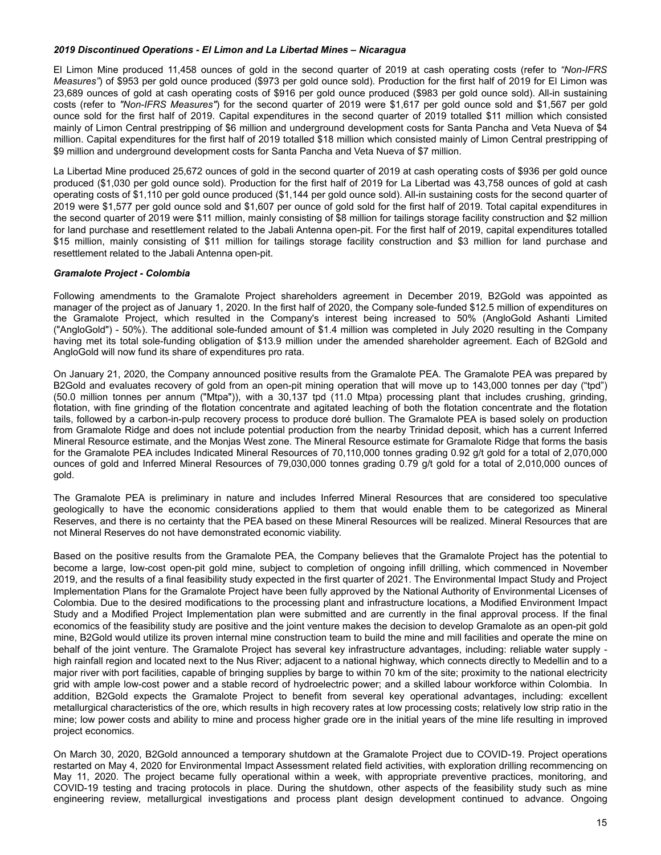## *2019 Discontinued Operations - El Limon and La Libertad Mines – Nicaragua*

El Limon Mine produced 11,458 ounces of gold in the second quarter of 2019 at cash operating costs (refer to *"Non-IFRS Measures"*) of \$953 per gold ounce produced (\$973 per gold ounce sold). Production for the first half of 2019 for El Limon was 23,689 ounces of gold at cash operating costs of \$916 per gold ounce produced (\$983 per gold ounce sold). All-in sustaining costs (refer to *"Non-IFRS Measures"*) for the second quarter of 2019 were \$1,617 per gold ounce sold and \$1,567 per gold ounce sold for the first half of 2019. Capital expenditures in the second quarter of 2019 totalled \$11 million which consisted mainly of Limon Central prestripping of \$6 million and underground development costs for Santa Pancha and Veta Nueva of \$4 million. Capital expenditures for the first half of 2019 totalled \$18 million which consisted mainly of Limon Central prestripping of \$9 million and underground development costs for Santa Pancha and Veta Nueva of \$7 million.

La Libertad Mine produced 25,672 ounces of gold in the second quarter of 2019 at cash operating costs of \$936 per gold ounce produced (\$1,030 per gold ounce sold). Production for the first half of 2019 for La Libertad was 43,758 ounces of gold at cash operating costs of \$1,110 per gold ounce produced (\$1,144 per gold ounce sold). All-in sustaining costs for the second quarter of 2019 were \$1,577 per gold ounce sold and \$1,607 per ounce of gold sold for the first half of 2019. Total capital expenditures in the second quarter of 2019 were \$11 million, mainly consisting of \$8 million for tailings storage facility construction and \$2 million for land purchase and resettlement related to the Jabali Antenna open-pit. For the first half of 2019, capital expenditures totalled \$15 million, mainly consisting of \$11 million for tailings storage facility construction and \$3 million for land purchase and resettlement related to the Jabali Antenna open-pit.

# *Gramalote Project - Colombia*

Following amendments to the Gramalote Project shareholders agreement in December 2019, B2Gold was appointed as manager of the project as of January 1, 2020. In the first half of 2020, the Company sole-funded \$12.5 million of expenditures on the Gramalote Project, which resulted in the Company's interest being increased to 50% (AngloGold Ashanti Limited ("AngloGold") - 50%). The additional sole-funded amount of \$1.4 million was completed in July 2020 resulting in the Company having met its total sole-funding obligation of \$13.9 million under the amended shareholder agreement. Each of B2Gold and AngloGold will now fund its share of expenditures pro rata.

On January 21, 2020, the Company announced positive results from the Gramalote PEA. The Gramalote PEA was prepared by B2Gold and evaluates recovery of gold from an open-pit mining operation that will move up to 143,000 tonnes per day ("tpd") (50.0 million tonnes per annum ("Mtpa")), with a 30,137 tpd (11.0 Mtpa) processing plant that includes crushing, grinding, flotation, with fine grinding of the flotation concentrate and agitated leaching of both the flotation concentrate and the flotation tails, followed by a carbon-in-pulp recovery process to produce doré bullion. The Gramalote PEA is based solely on production from Gramalote Ridge and does not include potential production from the nearby Trinidad deposit, which has a current Inferred Mineral Resource estimate, and the Monjas West zone. The Mineral Resource estimate for Gramalote Ridge that forms the basis for the Gramalote PEA includes Indicated Mineral Resources of 70,110,000 tonnes grading 0.92 g/t gold for a total of 2,070,000 ounces of gold and Inferred Mineral Resources of 79,030,000 tonnes grading 0.79 g/t gold for a total of 2,010,000 ounces of gold.

The Gramalote PEA is preliminary in nature and includes Inferred Mineral Resources that are considered too speculative geologically to have the economic considerations applied to them that would enable them to be categorized as Mineral Reserves, and there is no certainty that the PEA based on these Mineral Resources will be realized. Mineral Resources that are not Mineral Reserves do not have demonstrated economic viability.

Based on the positive results from the Gramalote PEA, the Company believes that the Gramalote Project has the potential to become a large, low-cost open-pit gold mine, subject to completion of ongoing infill drilling, which commenced in November 2019, and the results of a final feasibility study expected in the first quarter of 2021. The Environmental Impact Study and Project Implementation Plans for the Gramalote Project have been fully approved by the National Authority of Environmental Licenses of Colombia. Due to the desired modifications to the processing plant and infrastructure locations, a Modified Environment Impact Study and a Modified Project Implementation plan were submitted and are currently in the final approval process. If the final economics of the feasibility study are positive and the joint venture makes the decision to develop Gramalote as an open-pit gold mine, B2Gold would utilize its proven internal mine construction team to build the mine and mill facilities and operate the mine on behalf of the joint venture. The Gramalote Project has several key infrastructure advantages, including: reliable water supply high rainfall region and located next to the Nus River; adjacent to a national highway, which connects directly to Medellin and to a major river with port facilities, capable of bringing supplies by barge to within 70 km of the site; proximity to the national electricity grid with ample low-cost power and a stable record of hydroelectric power; and a skilled labour workforce within Colombia. In addition, B2Gold expects the Gramalote Project to benefit from several key operational advantages, including: excellent metallurgical characteristics of the ore, which results in high recovery rates at low processing costs; relatively low strip ratio in the mine; low power costs and ability to mine and process higher grade ore in the initial years of the mine life resulting in improved project economics.

On March 30, 2020, B2Gold announced a temporary shutdown at the Gramalote Project due to COVID-19. Project operations restarted on May 4, 2020 for Environmental Impact Assessment related field activities, with exploration drilling recommencing on May 11, 2020. The project became fully operational within a week, with appropriate preventive practices, monitoring, and COVID-19 testing and tracing protocols in place. During the shutdown, other aspects of the feasibility study such as mine engineering review, metallurgical investigations and process plant design development continued to advance. Ongoing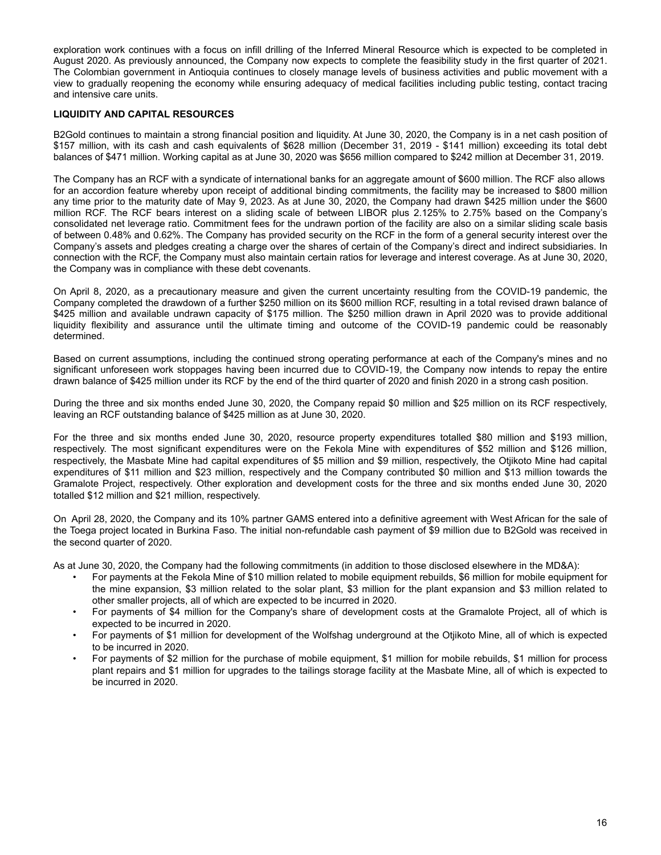<span id="page-15-0"></span>exploration work continues with a focus on infill drilling of the Inferred Mineral Resource which is expected to be completed in August 2020. As previously announced, the Company now expects to complete the feasibility study in the first quarter of 2021. The Colombian government in Antioquia continues to closely manage levels of business activities and public movement with a view to gradually reopening the economy while ensuring adequacy of medical facilities including public testing, contact tracing and intensive care units.

# **LIQUIDITY AND CAPITAL RESOURCES**

B2Gold continues to maintain a strong financial position and liquidity. At June 30, 2020, the Company is in a net cash position of \$157 million, with its cash and cash equivalents of \$628 million (December 31, 2019 - \$141 million) exceeding its total debt balances of \$471 million. Working capital as at June 30, 2020 was \$656 million compared to \$242 million at December 31, 2019.

The Company has an RCF with a syndicate of international banks for an aggregate amount of \$600 million. The RCF also allows for an accordion feature whereby upon receipt of additional binding commitments, the facility may be increased to \$800 million any time prior to the maturity date of May 9, 2023. As at June 30, 2020, the Company had drawn \$425 million under the \$600 million RCF. The RCF bears interest on a sliding scale of between LIBOR plus 2.125% to 2.75% based on the Company's consolidated net leverage ratio. Commitment fees for the undrawn portion of the facility are also on a similar sliding scale basis of between 0.48% and 0.62%. The Company has provided security on the RCF in the form of a general security interest over the Company's assets and pledges creating a charge over the shares of certain of the Company's direct and indirect subsidiaries. In connection with the RCF, the Company must also maintain certain ratios for leverage and interest coverage. As at June 30, 2020, the Company was in compliance with these debt covenants.

On April 8, 2020, as a precautionary measure and given the current uncertainty resulting from the COVID-19 pandemic, the Company completed the drawdown of a further \$250 million on its \$600 million RCF, resulting in a total revised drawn balance of \$425 million and available undrawn capacity of \$175 million. The \$250 million drawn in April 2020 was to provide additional liquidity flexibility and assurance until the ultimate timing and outcome of the COVID-19 pandemic could be reasonably determined.

Based on current assumptions, including the continued strong operating performance at each of the Company's mines and no significant unforeseen work stoppages having been incurred due to COVID-19, the Company now intends to repay the entire drawn balance of \$425 million under its RCF by the end of the third quarter of 2020 and finish 2020 in a strong cash position.

During the three and six months ended June 30, 2020, the Company repaid \$0 million and \$25 million on its RCF respectively, leaving an RCF outstanding balance of \$425 million as at June 30, 2020.

For the three and six months ended June 30, 2020, resource property expenditures totalled \$80 million and \$193 million, respectively. The most significant expenditures were on the Fekola Mine with expenditures of \$52 million and \$126 million, respectively, the Masbate Mine had capital expenditures of \$5 million and \$9 million, respectively, the Otjikoto Mine had capital expenditures of \$11 million and \$23 million, respectively and the Company contributed \$0 million and \$13 million towards the Gramalote Project, respectively. Other exploration and development costs for the three and six months ended June 30, 2020 totalled \$12 million and \$21 million, respectively.

On April 28, 2020, the Company and its 10% partner GAMS entered into a definitive agreement with West African for the sale of the Toega project located in Burkina Faso. The initial non-refundable cash payment of \$9 million due to B2Gold was received in the second quarter of 2020.

As at June 30, 2020, the Company had the following commitments (in addition to those disclosed elsewhere in the MD&A):

- For payments at the Fekola Mine of \$10 million related to mobile equipment rebuilds, \$6 million for mobile equipment for the mine expansion, \$3 million related to the solar plant, \$3 million for the plant expansion and \$3 million related to other smaller projects, all of which are expected to be incurred in 2020.
- For payments of \$4 million for the Company's share of development costs at the Gramalote Project, all of which is expected to be incurred in 2020.
- For payments of \$1 million for development of the Wolfshag underground at the Otjikoto Mine, all of which is expected to be incurred in 2020.
- For payments of \$2 million for the purchase of mobile equipment, \$1 million for mobile rebuilds, \$1 million for process plant repairs and \$1 million for upgrades to the tailings storage facility at the Masbate Mine, all of which is expected to be incurred in 2020.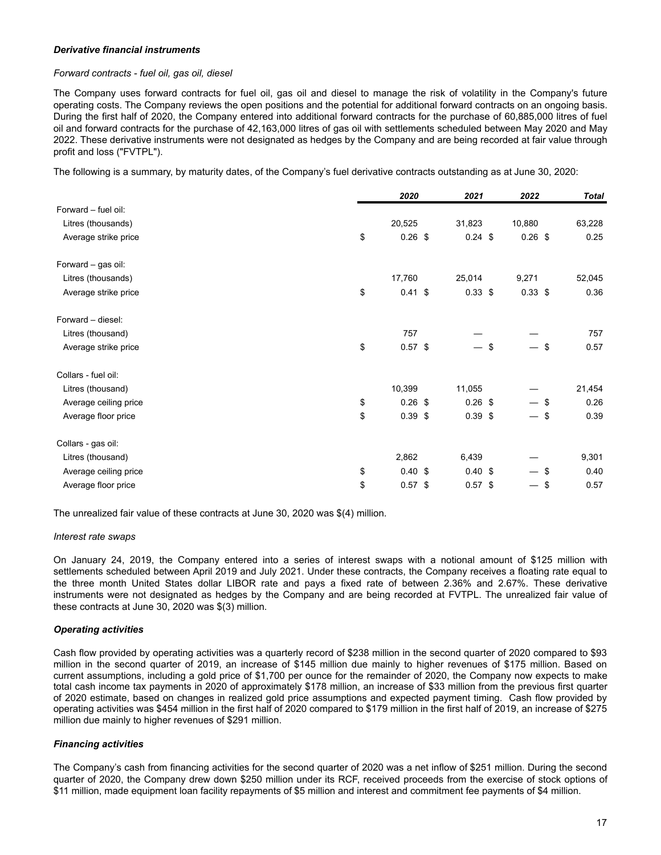## *Derivative financial instruments*

## *Forward contracts - fuel oil, gas oil, diesel*

The Company uses forward contracts for fuel oil, gas oil and diesel to manage the risk of volatility in the Company's future operating costs. The Company reviews the open positions and the potential for additional forward contracts on an ongoing basis. During the first half of 2020, the Company entered into additional forward contracts for the purchase of 60,885,000 litres of fuel oil and forward contracts for the purchase of 42,163,000 litres of gas oil with settlements scheduled between May 2020 and May 2022. These derivative instruments were not designated as hedges by the Company and are being recorded at fair value through profit and loss ("FVTPL").

The following is a summary, by maturity dates, of the Company's fuel derivative contracts outstanding as at June 30, 2020:

|                       | 2020            | 2021      |    | 2022                     |     | <b>Total</b> |
|-----------------------|-----------------|-----------|----|--------------------------|-----|--------------|
| Forward - fuel oil:   |                 |           |    |                          |     |              |
| Litres (thousands)    | 20,525          | 31,823    |    | 10,880                   |     | 63,228       |
| Average strike price  | \$<br>$0.26$ \$ | $0.24$ \$ |    | $0.26$ \$                |     | 0.25         |
| Forward - gas oil:    |                 |           |    |                          |     |              |
| Litres (thousands)    | 17,760          | 25,014    |    | 9,271                    |     | 52,045       |
| Average strike price  | \$<br>$0.41$ \$ | $0.33$ \$ |    | $0.33$ \$                |     | 0.36         |
| Forward - diesel:     |                 |           |    |                          |     |              |
| Litres (thousand)     | 757             |           |    |                          |     | 757          |
| Average strike price  | \$<br>$0.57$ \$ |           | \$ |                          | \$  | 0.57         |
| Collars - fuel oil:   |                 |           |    |                          |     |              |
| Litres (thousand)     | 10,399          | 11,055    |    |                          |     | 21,454       |
| Average ceiling price | \$<br>$0.26$ \$ | $0.26$ \$ |    | — \$                     |     | 0.26         |
| Average floor price   | \$<br>$0.39$ \$ | $0.39$ \$ |    | $\overline{\phantom{0}}$ | -\$ | 0.39         |
| Collars - gas oil:    |                 |           |    |                          |     |              |
| Litres (thousand)     | 2,862           | 6,439     |    |                          |     | 9,301        |
| Average ceiling price | \$<br>0.40~\$   | 0.40~\$   |    |                          | -\$ | 0.40         |
| Average floor price   | \$<br>$0.57$ \$ | $0.57$ \$ |    |                          | -\$ | 0.57         |

The unrealized fair value of these contracts at June 30, 2020 was \$(4) million.

#### *Interest rate swaps*

On January 24, 2019, the Company entered into a series of interest swaps with a notional amount of \$125 million with settlements scheduled between April 2019 and July 2021. Under these contracts, the Company receives a floating rate equal to the three month United States dollar LIBOR rate and pays a fixed rate of between 2.36% and 2.67%. These derivative instruments were not designated as hedges by the Company and are being recorded at FVTPL. The unrealized fair value of these contracts at June 30, 2020 was \$(3) million.

# *Operating activities*

Cash flow provided by operating activities was a quarterly record of \$238 million in the second quarter of 2020 compared to \$93 million in the second quarter of 2019, an increase of \$145 million due mainly to higher revenues of \$175 million. Based on current assumptions, including a gold price of \$1,700 per ounce for the remainder of 2020, the Company now expects to make total cash income tax payments in 2020 of approximately \$178 million, an increase of \$33 million from the previous first quarter of 2020 estimate, based on changes in realized gold price assumptions and expected payment timing. Cash flow provided by operating activities was \$454 million in the first half of 2020 compared to \$179 million in the first half of 2019, an increase of \$275 million due mainly to higher revenues of \$291 million.

#### *Financing activities*

The Company's cash from financing activities for the second quarter of 2020 was a net inflow of \$251 million. During the second quarter of 2020, the Company drew down \$250 million under its RCF, received proceeds from the exercise of stock options of \$11 million, made equipment loan facility repayments of \$5 million and interest and commitment fee payments of \$4 million.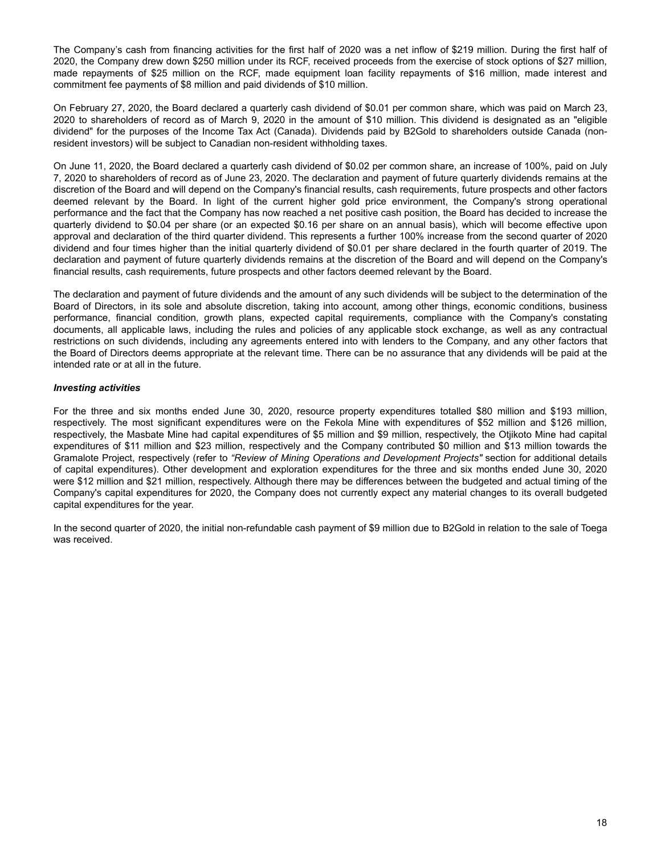The Company's cash from financing activities for the first half of 2020 was a net inflow of \$219 million. During the first half of 2020, the Company drew down \$250 million under its RCF, received proceeds from the exercise of stock options of \$27 million, made repayments of \$25 million on the RCF, made equipment loan facility repayments of \$16 million, made interest and commitment fee payments of \$8 million and paid dividends of \$10 million.

On February 27, 2020, the Board declared a quarterly cash dividend of \$0.01 per common share, which was paid on March 23, 2020 to shareholders of record as of March 9, 2020 in the amount of \$10 million. This dividend is designated as an "eligible dividend" for the purposes of the Income Tax Act (Canada). Dividends paid by B2Gold to shareholders outside Canada (nonresident investors) will be subject to Canadian non-resident withholding taxes.

On June 11, 2020, the Board declared a quarterly cash dividend of \$0.02 per common share, an increase of 100%, paid on July 7, 2020 to shareholders of record as of June 23, 2020. The declaration and payment of future quarterly dividends remains at the discretion of the Board and will depend on the Company's financial results, cash requirements, future prospects and other factors deemed relevant by the Board. In light of the current higher gold price environment, the Company's strong operational performance and the fact that the Company has now reached a net positive cash position, the Board has decided to increase the quarterly dividend to \$0.04 per share (or an expected \$0.16 per share on an annual basis), which will become effective upon approval and declaration of the third quarter dividend. This represents a further 100% increase from the second quarter of 2020 dividend and four times higher than the initial quarterly dividend of \$0.01 per share declared in the fourth quarter of 2019. The declaration and payment of future quarterly dividends remains at the discretion of the Board and will depend on the Company's financial results, cash requirements, future prospects and other factors deemed relevant by the Board.

The declaration and payment of future dividends and the amount of any such dividends will be subject to the determination of the Board of Directors, in its sole and absolute discretion, taking into account, among other things, economic conditions, business performance, financial condition, growth plans, expected capital requirements, compliance with the Company's constating documents, all applicable laws, including the rules and policies of any applicable stock exchange, as well as any contractual restrictions on such dividends, including any agreements entered into with lenders to the Company, and any other factors that the Board of Directors deems appropriate at the relevant time. There can be no assurance that any dividends will be paid at the intended rate or at all in the future.

# *Investing activities*

For the three and six months ended June 30, 2020, resource property expenditures totalled \$80 million and \$193 million, respectively. The most significant expenditures were on the Fekola Mine with expenditures of \$52 million and \$126 million, respectively, the Masbate Mine had capital expenditures of \$5 million and \$9 million, respectively, the Otjikoto Mine had capital expenditures of \$11 million and \$23 million, respectively and the Company contributed \$0 million and \$13 million towards the Gramalote Project, respectively (refer to *"Review of Mining Operations and Development Projects"* section for additional details of capital expenditures). Other development and exploration expenditures for the three and six months ended June 30, 2020 were \$12 million and \$21 million, respectively. Although there may be differences between the budgeted and actual timing of the Company's capital expenditures for 2020, the Company does not currently expect any material changes to its overall budgeted capital expenditures for the year.

In the second quarter of 2020, the initial non-refundable cash payment of \$9 million due to B2Gold in relation to the sale of Toega was received.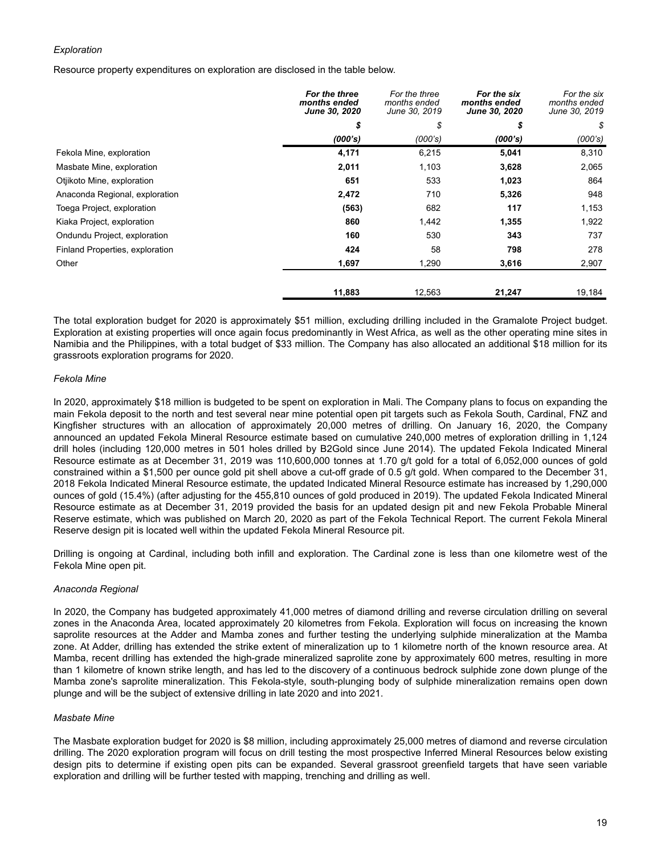# *Exploration*

Resource property expenditures on exploration are disclosed in the table below.

|                                 | For the three<br>months ended<br><b>June 30, 2020</b> | For the three<br>months ended<br>June 30, 2019 | For the six<br>months ended<br><b>June 30, 2020</b> | For the six<br>months ended<br>June 30, 2019 |
|---------------------------------|-------------------------------------------------------|------------------------------------------------|-----------------------------------------------------|----------------------------------------------|
|                                 | \$                                                    | \$                                             | \$                                                  | \$                                           |
|                                 | (000's)                                               | (000's)                                        | (000's)                                             | (000's)                                      |
| Fekola Mine, exploration        | 4,171                                                 | 6,215                                          | 5,041                                               | 8,310                                        |
| Masbate Mine, exploration       | 2,011                                                 | 1,103                                          | 3,628                                               | 2,065                                        |
| Otjikoto Mine, exploration      | 651                                                   | 533                                            | 1,023                                               | 864                                          |
| Anaconda Regional, exploration  | 2,472                                                 | 710                                            | 5,326                                               | 948                                          |
| Toega Project, exploration      | (563)                                                 | 682                                            | 117                                                 | 1,153                                        |
| Kiaka Project, exploration      | 860                                                   | 1,442                                          | 1,355                                               | 1,922                                        |
| Ondundu Project, exploration    | 160                                                   | 530                                            | 343                                                 | 737                                          |
| Finland Properties, exploration | 424                                                   | 58                                             | 798                                                 | 278                                          |
| Other                           | 1,697                                                 | 1,290                                          | 3,616                                               | 2,907                                        |
|                                 | 11,883                                                | 12,563                                         | 21,247                                              | 19,184                                       |

The total exploration budget for 2020 is approximately \$51 million, excluding drilling included in the Gramalote Project budget. Exploration at existing properties will once again focus predominantly in West Africa, as well as the other operating mine sites in Namibia and the Philippines, with a total budget of \$33 million. The Company has also allocated an additional \$18 million for its grassroots exploration programs for 2020.

# *Fekola Mine*

In 2020, approximately \$18 million is budgeted to be spent on exploration in Mali. The Company plans to focus on expanding the main Fekola deposit to the north and test several near mine potential open pit targets such as Fekola South, Cardinal, FNZ and Kingfisher structures with an allocation of approximately 20,000 metres of drilling. On January 16, 2020, the Company announced an updated Fekola Mineral Resource estimate based on cumulative 240,000 metres of exploration drilling in 1,124 drill holes (including 120,000 metres in 501 holes drilled by B2Gold since June 2014). The updated Fekola Indicated Mineral Resource estimate as at December 31, 2019 was 110,600,000 tonnes at 1.70 g/t gold for a total of 6,052,000 ounces of gold constrained within a \$1,500 per ounce gold pit shell above a cut-off grade of 0.5 g/t gold. When compared to the December 31, 2018 Fekola Indicated Mineral Resource estimate, the updated Indicated Mineral Resource estimate has increased by 1,290,000 ounces of gold (15.4%) (after adjusting for the 455,810 ounces of gold produced in 2019). The updated Fekola Indicated Mineral Resource estimate as at December 31, 2019 provided the basis for an updated design pit and new Fekola Probable Mineral Reserve estimate, which was published on March 20, 2020 as part of the Fekola Technical Report. The current Fekola Mineral Reserve design pit is located well within the updated Fekola Mineral Resource pit.

Drilling is ongoing at Cardinal, including both infill and exploration. The Cardinal zone is less than one kilometre west of the Fekola Mine open pit.

# *Anaconda Regional*

In 2020, the Company has budgeted approximately 41,000 metres of diamond drilling and reverse circulation drilling on several zones in the Anaconda Area, located approximately 20 kilometres from Fekola. Exploration will focus on increasing the known saprolite resources at the Adder and Mamba zones and further testing the underlying sulphide mineralization at the Mamba zone. At Adder, drilling has extended the strike extent of mineralization up to 1 kilometre north of the known resource area. At Mamba, recent drilling has extended the high-grade mineralized saprolite zone by approximately 600 metres, resulting in more than 1 kilometre of known strike length, and has led to the discovery of a continuous bedrock sulphide zone down plunge of the Mamba zone's saprolite mineralization. This Fekola-style, south-plunging body of sulphide mineralization remains open down plunge and will be the subject of extensive drilling in late 2020 and into 2021.

# *Masbate Mine*

The Masbate exploration budget for 2020 is \$8 million, including approximately 25,000 metres of diamond and reverse circulation drilling. The 2020 exploration program will focus on drill testing the most prospective Inferred Mineral Resources below existing design pits to determine if existing open pits can be expanded. Several grassroot greenfield targets that have seen variable exploration and drilling will be further tested with mapping, trenching and drilling as well.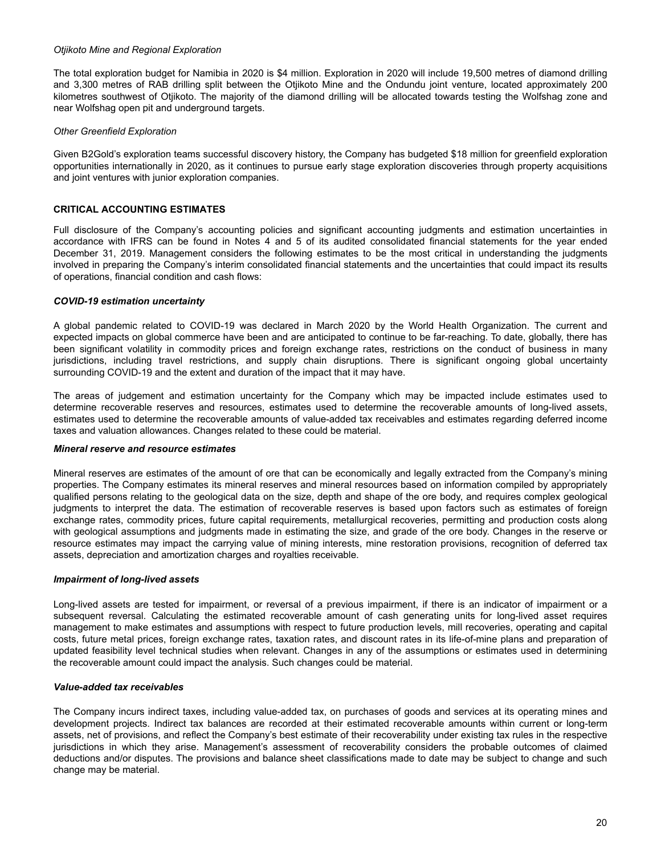## <span id="page-19-0"></span>*Otjikoto Mine and Regional Exploration*

The total exploration budget for Namibia in 2020 is \$4 million. Exploration in 2020 will include 19,500 metres of diamond drilling and 3,300 metres of RAB drilling split between the Otjikoto Mine and the Ondundu joint venture, located approximately 200 kilometres southwest of Otjikoto. The majority of the diamond drilling will be allocated towards testing the Wolfshag zone and near Wolfshag open pit and underground targets.

## *Other Greenfield Exploration*

Given B2Gold's exploration teams successful discovery history, the Company has budgeted \$18 million for greenfield exploration opportunities internationally in 2020, as it continues to pursue early stage exploration discoveries through property acquisitions and joint ventures with junior exploration companies.

# **CRITICAL ACCOUNTING ESTIMATES**

Full disclosure of the Company's accounting policies and significant accounting judgments and estimation uncertainties in accordance with IFRS can be found in Notes 4 and 5 of its audited consolidated financial statements for the year ended December 31, 2019. Management considers the following estimates to be the most critical in understanding the judgments involved in preparing the Company's interim consolidated financial statements and the uncertainties that could impact its results of operations, financial condition and cash flows:

## *COVID-19 estimation uncertainty*

A global pandemic related to COVID-19 was declared in March 2020 by the World Health Organization. The current and expected impacts on global commerce have been and are anticipated to continue to be far-reaching. To date, globally, there has been significant volatility in commodity prices and foreign exchange rates, restrictions on the conduct of business in many jurisdictions, including travel restrictions, and supply chain disruptions. There is significant ongoing global uncertainty surrounding COVID-19 and the extent and duration of the impact that it may have.

The areas of judgement and estimation uncertainty for the Company which may be impacted include estimates used to determine recoverable reserves and resources, estimates used to determine the recoverable amounts of long-lived assets, estimates used to determine the recoverable amounts of value-added tax receivables and estimates regarding deferred income taxes and valuation allowances. Changes related to these could be material.

#### *Mineral reserve and resource estimates*

Mineral reserves are estimates of the amount of ore that can be economically and legally extracted from the Company's mining properties. The Company estimates its mineral reserves and mineral resources based on information compiled by appropriately qualified persons relating to the geological data on the size, depth and shape of the ore body, and requires complex geological judgments to interpret the data. The estimation of recoverable reserves is based upon factors such as estimates of foreign exchange rates, commodity prices, future capital requirements, metallurgical recoveries, permitting and production costs along with geological assumptions and judgments made in estimating the size, and grade of the ore body. Changes in the reserve or resource estimates may impact the carrying value of mining interests, mine restoration provisions, recognition of deferred tax assets, depreciation and amortization charges and royalties receivable.

#### *Impairment of long-lived assets*

Long-lived assets are tested for impairment, or reversal of a previous impairment, if there is an indicator of impairment or a subsequent reversal. Calculating the estimated recoverable amount of cash generating units for long-lived asset requires management to make estimates and assumptions with respect to future production levels, mill recoveries, operating and capital costs, future metal prices, foreign exchange rates, taxation rates, and discount rates in its life-of-mine plans and preparation of updated feasibility level technical studies when relevant. Changes in any of the assumptions or estimates used in determining the recoverable amount could impact the analysis. Such changes could be material.

#### *Value-added tax receivables*

The Company incurs indirect taxes, including value-added tax, on purchases of goods and services at its operating mines and development projects. Indirect tax balances are recorded at their estimated recoverable amounts within current or long-term assets, net of provisions, and reflect the Company's best estimate of their recoverability under existing tax rules in the respective jurisdictions in which they arise. Management's assessment of recoverability considers the probable outcomes of claimed deductions and/or disputes. The provisions and balance sheet classifications made to date may be subject to change and such change may be material.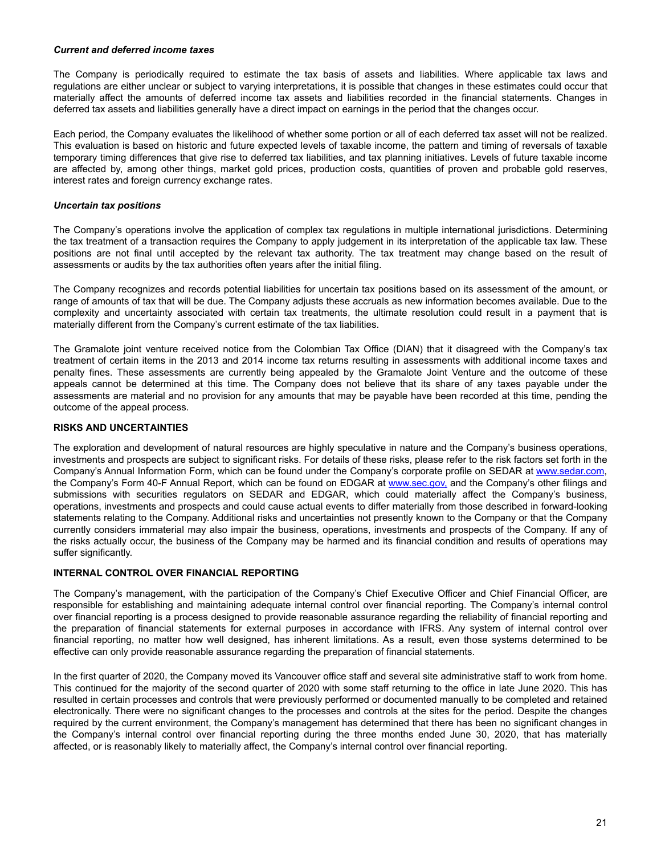## <span id="page-20-0"></span>*Current and deferred income taxes*

The Company is periodically required to estimate the tax basis of assets and liabilities. Where applicable tax laws and regulations are either unclear or subject to varying interpretations, it is possible that changes in these estimates could occur that materially affect the amounts of deferred income tax assets and liabilities recorded in the financial statements. Changes in deferred tax assets and liabilities generally have a direct impact on earnings in the period that the changes occur.

Each period, the Company evaluates the likelihood of whether some portion or all of each deferred tax asset will not be realized. This evaluation is based on historic and future expected levels of taxable income, the pattern and timing of reversals of taxable temporary timing differences that give rise to deferred tax liabilities, and tax planning initiatives. Levels of future taxable income are affected by, among other things, market gold prices, production costs, quantities of proven and probable gold reserves, interest rates and foreign currency exchange rates.

# *Uncertain tax positions*

The Company's operations involve the application of complex tax regulations in multiple international jurisdictions. Determining the tax treatment of a transaction requires the Company to apply judgement in its interpretation of the applicable tax law. These positions are not final until accepted by the relevant tax authority. The tax treatment may change based on the result of assessments or audits by the tax authorities often years after the initial filing.

The Company recognizes and records potential liabilities for uncertain tax positions based on its assessment of the amount, or range of amounts of tax that will be due. The Company adjusts these accruals as new information becomes available. Due to the complexity and uncertainty associated with certain tax treatments, the ultimate resolution could result in a payment that is materially different from the Company's current estimate of the tax liabilities.

The Gramalote joint venture received notice from the Colombian Tax Office (DIAN) that it disagreed with the Company's tax treatment of certain items in the 2013 and 2014 income tax returns resulting in assessments with additional income taxes and penalty fines. These assessments are currently being appealed by the Gramalote Joint Venture and the outcome of these appeals cannot be determined at this time. The Company does not believe that its share of any taxes payable under the assessments are material and no provision for any amounts that may be payable have been recorded at this time, pending the outcome of the appeal process.

# **RISKS AND UNCERTAINTIES**

The exploration and development of natural resources are highly speculative in nature and the Company's business operations, investments and prospects are subject to significant risks. For details of these risks, please refer to the risk factors set forth in the Company's Annual Information Form, which can be found under the Company's corporate profile on SEDAR at www.sedar.com, the Company's Form 40-F Annual Report, which can be found on EDGAR at www.sec.gov, and the Company's other filings and submissions with securities regulators on SEDAR and EDGAR, which could materially affect the Company's business, operations, investments and prospects and could cause actual events to differ materially from those described in forward-looking statements relating to the Company. Additional risks and uncertainties not presently known to the Company or that the Company currently considers immaterial may also impair the business, operations, investments and prospects of the Company. If any of the risks actually occur, the business of the Company may be harmed and its financial condition and results of operations may suffer significantly.

# **INTERNAL CONTROL OVER FINANCIAL REPORTING**

The Company's management, with the participation of the Company's Chief Executive Officer and Chief Financial Officer, are responsible for establishing and maintaining adequate internal control over financial reporting. The Company's internal control over financial reporting is a process designed to provide reasonable assurance regarding the reliability of financial reporting and the preparation of financial statements for external purposes in accordance with IFRS. Any system of internal control over financial reporting, no matter how well designed, has inherent limitations. As a result, even those systems determined to be effective can only provide reasonable assurance regarding the preparation of financial statements.

In the first quarter of 2020, the Company moved its Vancouver office staff and several site administrative staff to work from home. This continued for the majority of the second quarter of 2020 with some staff returning to the office in late June 2020. This has resulted in certain processes and controls that were previously performed or documented manually to be completed and retained electronically. There were no significant changes to the processes and controls at the sites for the period. Despite the changes required by the current environment, the Company's management has determined that there has been no significant changes in the Company's internal control over financial reporting during the three months ended June 30, 2020, that has materially affected, or is reasonably likely to materially affect, the Company's internal control over financial reporting.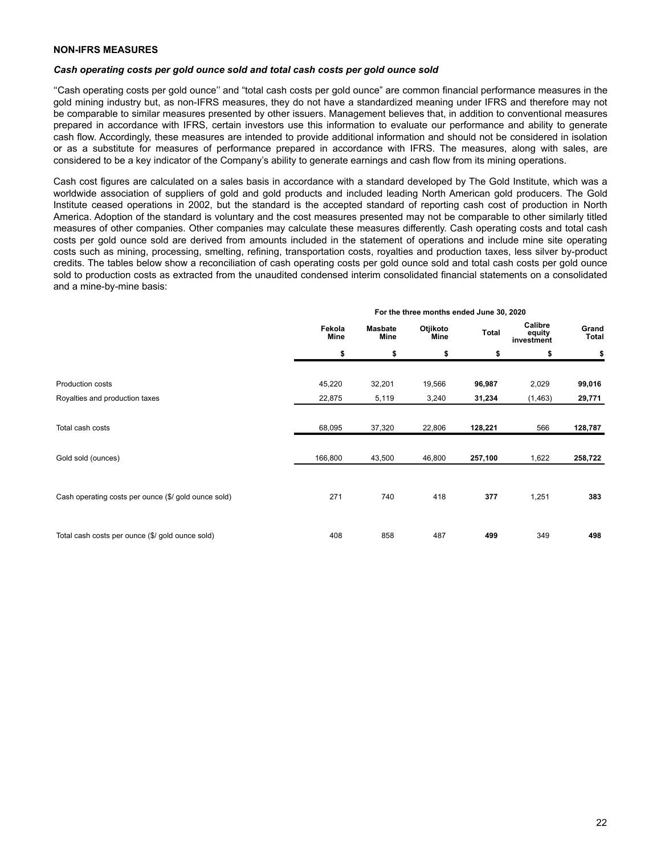# <span id="page-21-0"></span>**NON-IFRS MEASURES**

#### *Cash operating costs per gold ounce sold and total cash costs per gold ounce sold*

''Cash operating costs per gold ounce'' and "total cash costs per gold ounce" are common financial performance measures in the gold mining industry but, as non-IFRS measures, they do not have a standardized meaning under IFRS and therefore may not be comparable to similar measures presented by other issuers. Management believes that, in addition to conventional measures prepared in accordance with IFRS, certain investors use this information to evaluate our performance and ability to generate cash flow. Accordingly, these measures are intended to provide additional information and should not be considered in isolation or as a substitute for measures of performance prepared in accordance with IFRS. The measures, along with sales, are considered to be a key indicator of the Company's ability to generate earnings and cash flow from its mining operations.

Cash cost figures are calculated on a sales basis in accordance with a standard developed by The Gold Institute, which was a worldwide association of suppliers of gold and gold products and included leading North American gold producers. The Gold Institute ceased operations in 2002, but the standard is the accepted standard of reporting cash cost of production in North America. Adoption of the standard is voluntary and the cost measures presented may not be comparable to other similarly titled measures of other companies. Other companies may calculate these measures differently. Cash operating costs and total cash costs per gold ounce sold are derived from amounts included in the statement of operations and include mine site operating costs such as mining, processing, smelting, refining, transportation costs, royalties and production taxes, less silver by-product credits. The tables below show a reconciliation of cash operating costs per gold ounce sold and total cash costs per gold ounce sold to production costs as extracted from the unaudited condensed interim consolidated financial statements on a consolidated and a mine-by-mine basis:

|                                                      | Fekola<br><b>Mine</b> | <b>Masbate</b><br>Mine | Otjikoto<br>Mine | <b>Total</b> | Calibre<br>equity<br>investment | Grand<br>Total |
|------------------------------------------------------|-----------------------|------------------------|------------------|--------------|---------------------------------|----------------|
|                                                      | \$                    | \$                     | \$               | \$           | \$                              | \$             |
| Production costs                                     | 45,220                | 32,201                 | 19,566           | 96,987       | 2,029                           | 99,016         |
| Royalties and production taxes                       | 22,875                | 5,119                  | 3,240            | 31,234       | (1, 463)                        | 29,771         |
| Total cash costs                                     | 68,095                | 37,320                 | 22,806           | 128,221      | 566                             | 128,787        |
| Gold sold (ounces)                                   | 166,800               | 43,500                 | 46,800           | 257,100      | 1,622                           | 258,722        |
| Cash operating costs per ounce (\$/ gold ounce sold) | 271                   | 740                    | 418              | 377          | 1,251                           | 383            |
| Total cash costs per ounce (\$/ gold ounce sold)     | 408                   | 858                    | 487              | 499          | 349                             | 498            |

# **For the three months ended June 30, 2020**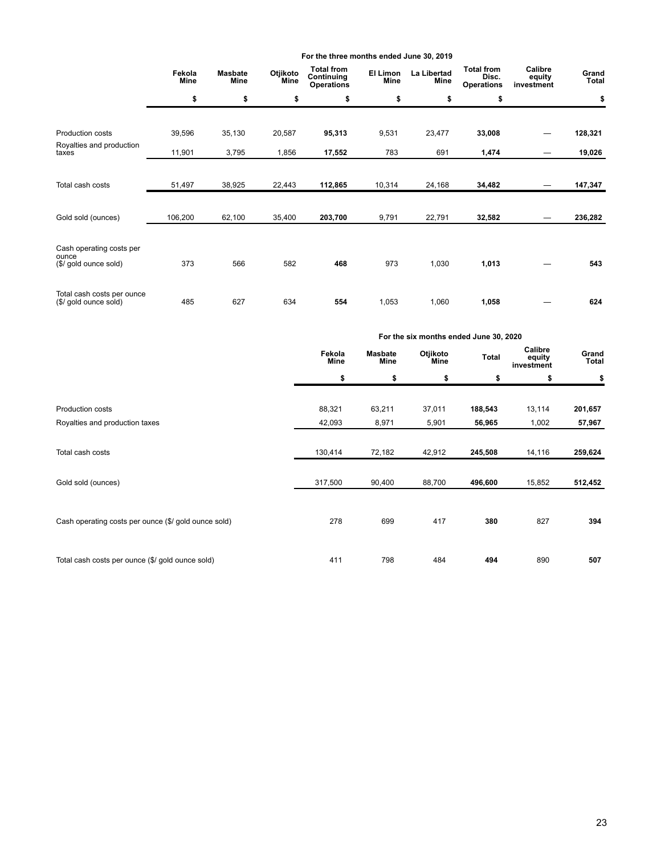|                                   |                |                        |                  | For the three months ended June 30, 2019             |                  |                            |                                                 |                                 |                       |
|-----------------------------------|----------------|------------------------|------------------|------------------------------------------------------|------------------|----------------------------|-------------------------------------------------|---------------------------------|-----------------------|
|                                   | Fekola<br>Mine | <b>Masbate</b><br>Mine | Otjikoto<br>Mine | <b>Total from</b><br>Continuing<br><b>Operations</b> | El Limon<br>Mine | <b>La Libertad</b><br>Mine | <b>Total from</b><br>Disc.<br><b>Operations</b> | Calibre<br>equity<br>investment | Grand<br><b>Total</b> |
|                                   | \$             | \$                     | \$               | \$                                                   | \$               | \$                         | \$                                              |                                 | \$                    |
|                                   |                |                        |                  |                                                      |                  |                            |                                                 |                                 |                       |
| Production costs                  | 39,596         | 35,130                 | 20,587           | 95,313                                               | 9,531            | 23,477                     | 33,008                                          |                                 | 128,321               |
| Royalties and production<br>taxes | 11,901         | 3,795                  | 1,856            | 17,552                                               | 783              | 691                        | 1,474                                           |                                 | 19,026                |
|                                   |                |                        |                  |                                                      |                  |                            |                                                 |                                 |                       |
| Total cash costs                  | 51,497         | 38,925                 | 22,443           | 112,865                                              | 10,314           | 24,168                     | 34,482                                          |                                 | 147,347               |
|                                   |                |                        |                  |                                                      |                  |                            |                                                 |                                 |                       |
| Gold sold (ounces)                | 106,200        | 62,100                 | 35,400           | 203,700                                              | 9,791            | 22,791                     | 32,582                                          |                                 | 236,282               |
|                                   |                |                        |                  |                                                      |                  |                            |                                                 |                                 |                       |
| Cash operating costs per<br>ounce |                |                        |                  |                                                      |                  |                            |                                                 |                                 |                       |
| (\$/ gold ounce sold)             | 373            | 566                    | 582              | 468                                                  | 973              | 1,030                      | 1,013                                           |                                 | 543                   |
| Total cash costs per ounce        |                |                        |                  |                                                      |                  |                            |                                                 |                                 |                       |
| (\$/ gold ounce sold)             | 485            | 627                    | 634              | 554                                                  | 1,053            | 1,060                      | 1,058                                           |                                 | 624                   |

|                                                      | For the six months ended June 30, 2020 |                        |                  |              |                                 |                       |  |  |
|------------------------------------------------------|----------------------------------------|------------------------|------------------|--------------|---------------------------------|-----------------------|--|--|
|                                                      | Fekola<br><b>Mine</b>                  | <b>Masbate</b><br>Mine | Otjikoto<br>Mine | <b>Total</b> | Calibre<br>equity<br>investment | Grand<br><b>Total</b> |  |  |
|                                                      | \$                                     | \$                     | \$               | \$           | \$                              | \$                    |  |  |
| <b>Production costs</b>                              | 88,321                                 | 63,211                 | 37,011           | 188,543      | 13,114                          | 201,657               |  |  |
| Royalties and production taxes                       | 42,093                                 | 8,971                  | 5,901            | 56,965       | 1,002                           | 57,967                |  |  |
| Total cash costs                                     | 130,414                                | 72,182                 | 42,912           | 245,508      | 14,116                          | 259,624               |  |  |
| Gold sold (ounces)                                   | 317,500                                | 90,400                 | 88,700           | 496,600      | 15,852                          | 512,452               |  |  |
| Cash operating costs per ounce (\$/ gold ounce sold) | 278                                    | 699                    | 417              | 380          | 827                             | 394                   |  |  |
| Total cash costs per ounce (\$/ gold ounce sold)     | 411                                    | 798                    | 484              | 494          | 890                             | 507                   |  |  |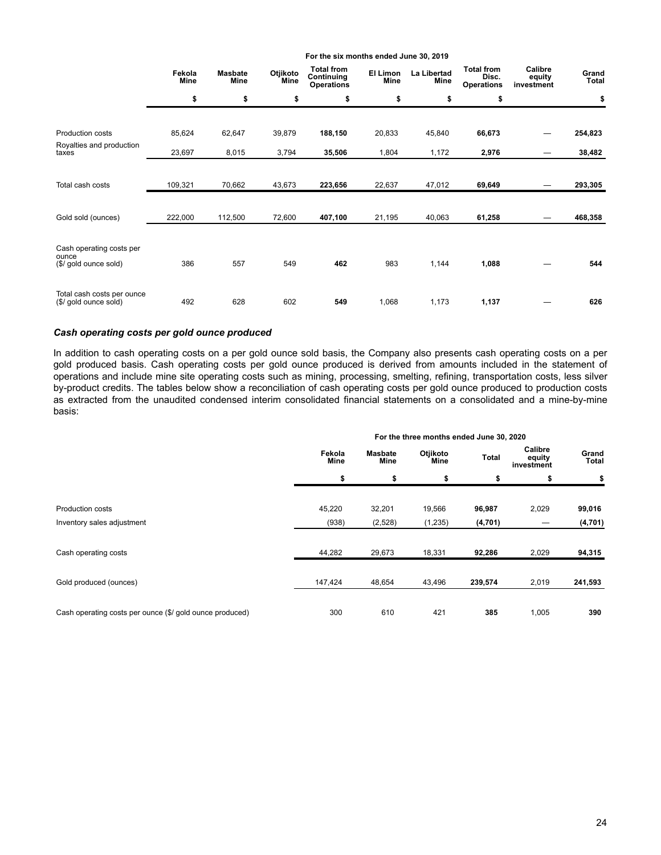|                                                            | Fekola<br>Mine | <b>Masbate</b><br>Mine | Otjikoto<br>Mine | <b>Total from</b><br>Continuing<br><b>Operations</b> | El Limon<br><b>Mine</b> | La Libertad<br>Mine | <b>Total from</b><br>Disc.<br><b>Operations</b> | Calibre<br>equity<br>investment | Grand<br>Total |
|------------------------------------------------------------|----------------|------------------------|------------------|------------------------------------------------------|-------------------------|---------------------|-------------------------------------------------|---------------------------------|----------------|
|                                                            | \$             | \$                     | \$               | \$                                                   | \$                      | \$                  | \$                                              |                                 | \$             |
| Production costs                                           | 85,624         | 62,647                 | 39,879           | 188,150                                              | 20,833                  | 45,840              | 66,673                                          |                                 | 254,823        |
| Royalties and production<br>taxes                          | 23,697         | 8,015                  | 3,794            | 35,506                                               | 1,804                   | 1,172               | 2,976                                           |                                 | 38,482         |
| Total cash costs                                           | 109,321        | 70,662                 | 43,673           | 223,656                                              | 22,637                  | 47,012              | 69,649                                          |                                 | 293,305        |
| Gold sold (ounces)                                         | 222,000        | 112,500                | 72,600           | 407,100                                              | 21,195                  | 40,063              | 61,258                                          |                                 | 468,358        |
| Cash operating costs per<br>ounce<br>(\$/ gold ounce sold) | 386            | 557                    | 549              | 462                                                  | 983                     | 1,144               | 1,088                                           |                                 | 544            |
| Total cash costs per ounce<br>(\$/ gold ounce sold)        | 492            | 628                    | 602              | 549                                                  | 1,068                   | 1,173               | 1,137                                           |                                 | 626            |

**For the six months ended June 30, 2019**

# *Cash operating costs per gold ounce produced*

In addition to cash operating costs on a per gold ounce sold basis, the Company also presents cash operating costs on a per gold produced basis. Cash operating costs per gold ounce produced is derived from amounts included in the statement of operations and include mine site operating costs such as mining, processing, smelting, refining, transportation costs, less silver by-product credits. The tables below show a reconciliation of cash operating costs per gold ounce produced to production costs as extracted from the unaudited condensed interim consolidated financial statements on a consolidated and a mine-by-mine basis:

|                                                          |                       |                 | For the three months ended June 30, 2020 |              |                                 |                |
|----------------------------------------------------------|-----------------------|-----------------|------------------------------------------|--------------|---------------------------------|----------------|
|                                                          | Fekola<br><b>Mine</b> | Masbate<br>Mine | Otjikoto<br>Mine                         | <b>Total</b> | Calibre<br>equity<br>investment | Grand<br>Total |
|                                                          | \$                    | \$              | \$                                       | \$           | \$                              | \$             |
| <b>Production costs</b>                                  | 45,220                | 32,201          | 19,566                                   | 96,987       | 2,029                           | 99,016         |
| Inventory sales adjustment                               | (938)                 | (2,528)         | (1,235)                                  | (4,701)      |                                 | (4,701)        |
| Cash operating costs                                     | 44,282                | 29,673          | 18,331                                   | 92,286       | 2,029                           | 94,315         |
| Gold produced (ounces)                                   | 147,424               | 48,654          | 43,496                                   | 239,574      | 2,019                           | 241,593        |
| Cash operating costs per ounce (\$/ gold ounce produced) | 300                   | 610             | 421                                      | 385          | 1,005                           | 390            |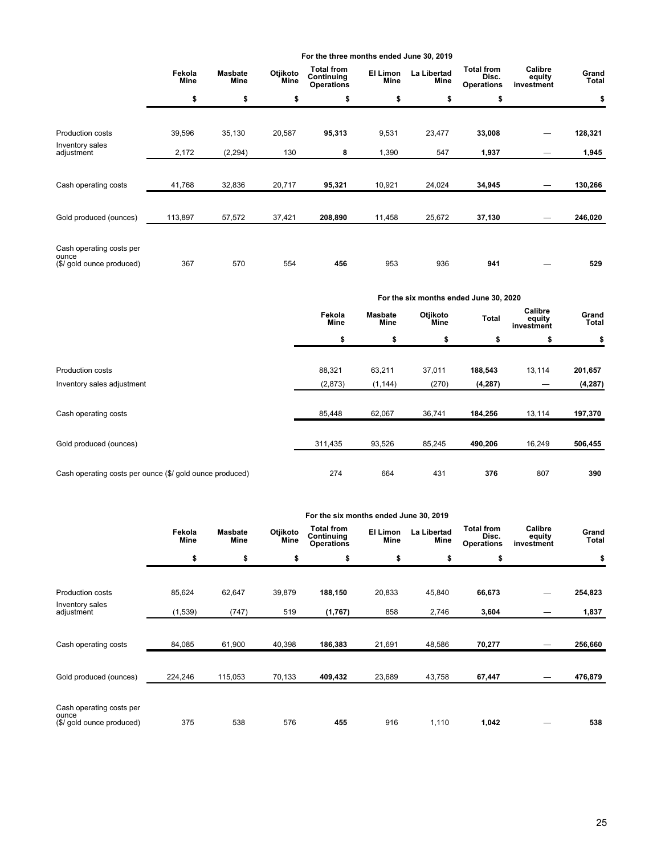|                                                                |                       |                               |                  | For the three months ended June 30, 2019             |                  |                     |                                                 |                                 |                |
|----------------------------------------------------------------|-----------------------|-------------------------------|------------------|------------------------------------------------------|------------------|---------------------|-------------------------------------------------|---------------------------------|----------------|
|                                                                | Fekola<br><b>Mine</b> | <b>Masbate</b><br><b>Mine</b> | Otjikoto<br>Mine | <b>Total from</b><br>Continuing<br><b>Operations</b> | El Limon<br>Mine | La Libertad<br>Mine | <b>Total from</b><br>Disc.<br><b>Operations</b> | Calibre<br>equity<br>investment | Grand<br>Total |
|                                                                | \$                    | \$                            | \$               | \$                                                   | \$               | \$                  | \$                                              |                                 | \$             |
| Production costs                                               | 39,596                | 35,130                        | 20,587           | 95,313                                               | 9,531            | 23,477              | 33,008                                          |                                 | 128,321        |
| Inventory sales<br>adjustment                                  | 2,172                 | (2, 294)                      | 130              | 8                                                    | 1,390            | 547                 | 1,937                                           |                                 | 1,945          |
| Cash operating costs                                           | 41,768                | 32,836                        | 20,717           | 95,321                                               | 10,921           | 24,024              | 34,945                                          |                                 | 130,266        |
| Gold produced (ounces)                                         | 113,897               | 57,572                        | 37,421           | 208,890                                              | 11,458           | 25,672              | 37,130                                          |                                 | 246,020        |
| Cash operating costs per<br>ounce<br>(\$/ gold ounce produced) | 367                   | 570                           | 554              | 456                                                  | 953              | 936                 | 941                                             |                                 | 529            |

|                                                          | For the six months ended June 30, 2020<br>Calibre<br>Otjikoto<br>Fekola<br>Masbate<br>Total<br>equity<br><b>Mine</b><br>Mine<br>Mine<br>investment<br>\$<br>\$<br>\$<br>\$<br>\$<br>88,321<br>63,211<br>37,011<br>188,543<br>13,114<br>(2,873)<br>(270)<br>(1, 144)<br>(4, 287)<br>62,067<br>36,741<br>184,256<br>13,114<br>85,448 |        |        |         |        |                       |  |  |  |  |
|----------------------------------------------------------|------------------------------------------------------------------------------------------------------------------------------------------------------------------------------------------------------------------------------------------------------------------------------------------------------------------------------------|--------|--------|---------|--------|-----------------------|--|--|--|--|
|                                                          |                                                                                                                                                                                                                                                                                                                                    |        |        |         |        | Grand<br><b>Total</b> |  |  |  |  |
|                                                          |                                                                                                                                                                                                                                                                                                                                    |        |        |         |        | \$                    |  |  |  |  |
| <b>Production costs</b>                                  |                                                                                                                                                                                                                                                                                                                                    |        |        |         |        | 201,657               |  |  |  |  |
| Inventory sales adjustment                               |                                                                                                                                                                                                                                                                                                                                    |        |        |         |        | (4, 287)              |  |  |  |  |
| Cash operating costs                                     |                                                                                                                                                                                                                                                                                                                                    |        |        |         |        | 197,370               |  |  |  |  |
| Gold produced (ounces)                                   | 311,435                                                                                                                                                                                                                                                                                                                            | 93,526 | 85,245 | 490,206 | 16,249 | 506,455               |  |  |  |  |
| Cash operating costs per ounce (\$/ gold ounce produced) | 274                                                                                                                                                                                                                                                                                                                                | 664    | 431    | 376     | 807    | 390                   |  |  |  |  |

|                                                                |                |                               |                  |                                                      | For the six months ended June 30, 2019 |                     |                                                 |                                 |                |
|----------------------------------------------------------------|----------------|-------------------------------|------------------|------------------------------------------------------|----------------------------------------|---------------------|-------------------------------------------------|---------------------------------|----------------|
|                                                                | Fekola<br>Mine | <b>Masbate</b><br><b>Mine</b> | Otjikoto<br>Mine | <b>Total from</b><br>Continuing<br><b>Operations</b> | El Limon<br>Mine                       | La Libertad<br>Mine | <b>Total from</b><br>Disc.<br><b>Operations</b> | Calibre<br>equity<br>investment | Grand<br>Total |
|                                                                | \$             | \$                            | \$               | \$                                                   | \$                                     | \$                  | \$                                              |                                 | \$             |
| <b>Production costs</b>                                        | 85,624         | 62,647                        | 39,879           | 188,150                                              | 20,833                                 | 45,840              | 66,673                                          |                                 | 254,823        |
| Inventory sales<br>adjustment                                  | (1,539)        | (747)                         | 519              | (1,767)                                              | 858                                    | 2,746               | 3,604                                           | –                               | 1,837          |
| Cash operating costs                                           | 84,085         | 61,900                        | 40,398           | 186,383                                              | 21,691                                 | 48,586              | 70,277                                          |                                 | 256,660        |
| Gold produced (ounces)                                         | 224,246        | 115,053                       | 70,133           | 409,432                                              | 23,689                                 | 43,758              | 67,447                                          |                                 | 476,879        |
|                                                                |                |                               |                  |                                                      |                                        |                     |                                                 |                                 |                |
| Cash operating costs per<br>ounce<br>(\$/ gold ounce produced) | 375            | 538                           | 576              | 455                                                  | 916                                    | 1,110               | 1,042                                           |                                 | 538            |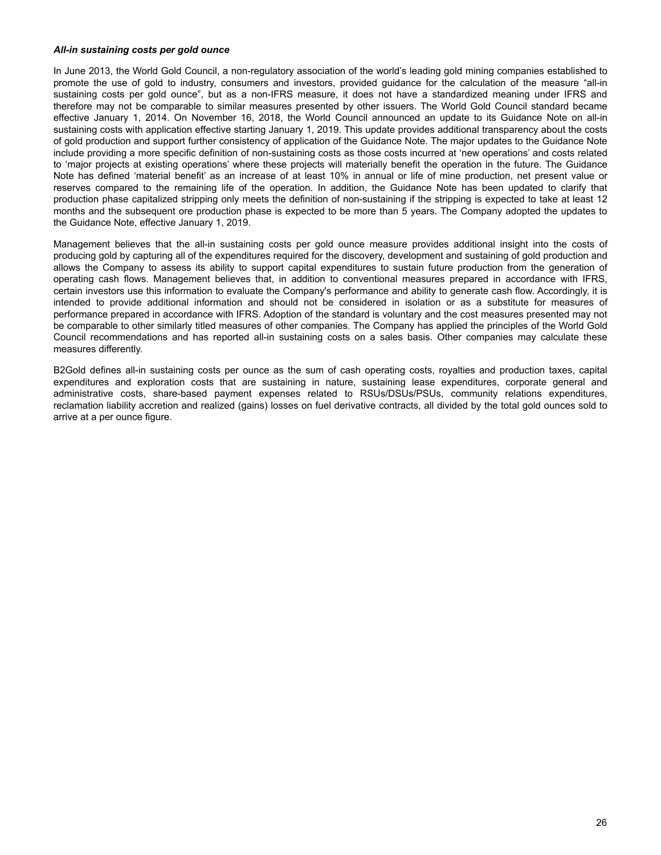#### *All-in sustaining costs per gold ounce*

In June 2013, the World Gold Council, a non-regulatory association of the world's leading gold mining companies established to promote the use of gold to industry, consumers and investors, provided guidance for the calculation of the measure "all-in sustaining costs per gold ounce", but as a non-IFRS measure, it does not have a standardized meaning under IFRS and therefore may not be comparable to similar measures presented by other issuers. The World Gold Council standard became effective January 1, 2014. On November 16, 2018, the World Council announced an update to its Guidance Note on all-in sustaining costs with application effective starting January 1, 2019. This update provides additional transparency about the costs of gold production and support further consistency of application of the Guidance Note. The major updates to the Guidance Note include providing a more specific definition of non-sustaining costs as those costs incurred at 'new operations' and costs related to 'major projects at existing operations' where these projects will materially benefit the operation in the future. The Guidance Note has defined 'material benefit' as an increase of at least 10% in annual or life of mine production, net present value or reserves compared to the remaining life of the operation. In addition, the Guidance Note has been updated to clarify that production phase capitalized stripping only meets the definition of non-sustaining if the stripping is expected to take at least 12 months and the subsequent ore production phase is expected to be more than 5 years. The Company adopted the updates to the Guidance Note, effective January 1, 2019.

Management believes that the all-in sustaining costs per gold ounce measure provides additional insight into the costs of producing gold by capturing all of the expenditures required for the discovery, development and sustaining of gold production and allows the Company to assess its ability to support capital expenditures to sustain future production from the generation of operating cash flows. Management believes that, in addition to conventional measures prepared in accordance with IFRS, certain investors use this information to evaluate the Company's performance and ability to generate cash flow. Accordingly, it is intended to provide additional information and should not be considered in isolation or as a substitute for measures of performance prepared in accordance with IFRS. Adoption of the standard is voluntary and the cost measures presented may not be comparable to other similarly titled measures of other companies. The Company has applied the principles of the World Gold Council recommendations and has reported all-in sustaining costs on a sales basis. Other companies may calculate these measures differently.

B2Gold defines all-in sustaining costs per ounce as the sum of cash operating costs, royalties and production taxes, capital expenditures and exploration costs that are sustaining in nature, sustaining lease expenditures, corporate general and administrative costs, share-based payment expenses related to RSUs/DSUs/PSUs, community relations expenditures, reclamation liability accretion and realized (gains) losses on fuel derivative contracts, all divided by the total gold ounces sold to arrive at a per ounce figure.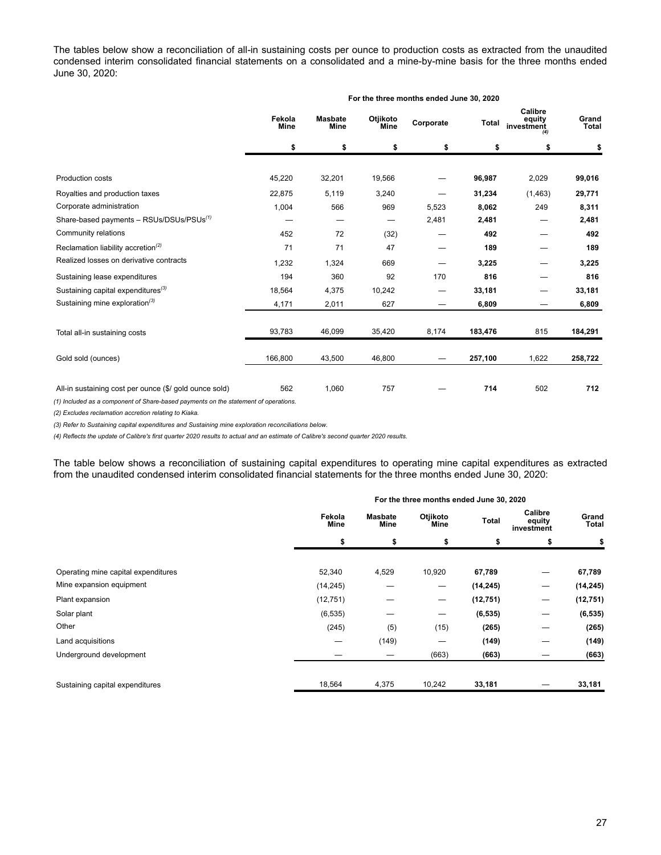The tables below show a reconciliation of all-in sustaining costs per ounce to production costs as extracted from the unaudited condensed interim consolidated financial statements on a consolidated and a mine-by-mine basis for the three months ended June 30, 2020:

|                                                        |                |                        |                  | For the three months ended June 30, 2020 |         |                                 |                |
|--------------------------------------------------------|----------------|------------------------|------------------|------------------------------------------|---------|---------------------------------|----------------|
|                                                        | Fekola<br>Mine | <b>Masbate</b><br>Mine | Otjikoto<br>Mine | Corporate                                | Total   | Calibre<br>equity<br>investment | Grand<br>Total |
|                                                        | \$             | \$                     | \$               | \$                                       | \$      | \$                              | \$             |
| Production costs                                       | 45,220         | 32,201                 | 19,566           |                                          | 96,987  | 2,029                           | 99,016         |
|                                                        |                |                        |                  |                                          |         |                                 |                |
| Royalties and production taxes                         | 22,875         | 5,119                  | 3,240            |                                          | 31,234  | (1,463)                         | 29,771         |
| Corporate administration                               | 1,004          | 566                    | 969              | 5,523                                    | 8,062   | 249                             | 8,311          |
| Share-based payments - RSUs/DSUs/PSUs <sup>(1)</sup>   |                |                        |                  | 2,481                                    | 2,481   |                                 | 2,481          |
| Community relations                                    | 452            | 72                     | (32)             |                                          | 492     |                                 | 492            |
| Reclamation liability accretion <sup>(2)</sup>         | 71             | 71                     | 47               |                                          | 189     |                                 | 189            |
| Realized losses on derivative contracts                | 1,232          | 1,324                  | 669              |                                          | 3,225   |                                 | 3,225          |
| Sustaining lease expenditures                          | 194            | 360                    | 92               | 170                                      | 816     |                                 | 816            |
| Sustaining capital expenditures <sup>(3)</sup>         | 18,564         | 4,375                  | 10,242           |                                          | 33,181  |                                 | 33,181         |
| Sustaining mine exploration <sup>(3)</sup>             | 4,171          | 2,011                  | 627              |                                          | 6,809   |                                 | 6,809          |
| Total all-in sustaining costs                          | 93,783         | 46,099                 | 35,420           | 8,174                                    | 183,476 | 815                             | 184,291        |
| Gold sold (ounces)                                     | 166,800        | 43,500                 | 46,800           |                                          | 257,100 | 1,622                           | 258,722        |
| All-in sustaining cost per ounce (\$/ gold ounce sold) | 562            | 1,060                  | 757              |                                          | 714     | 502                             | 712            |

*(1) Included as a component of Share-based payments on the statement of operations.* 

*(2) Excludes reclamation accretion relating to Kiaka.* 

*(3) Refer to Sustaining capital expenditures and Sustaining mine exploration reconciliations below.*

*(4) Reflects the update of Calibre's first quarter 2020 results to actual and an estimate of Calibre's second quarter 2020 results.*

The table below shows a reconciliation of sustaining capital expenditures to operating mine capital expenditures as extracted from the unaudited condensed interim consolidated financial statements for the three months ended June 30, 2020:

|                                     |                |                        | For the three months ended June 30, 2020 |           |                                 |                |
|-------------------------------------|----------------|------------------------|------------------------------------------|-----------|---------------------------------|----------------|
|                                     | Fekola<br>Mine | <b>Masbate</b><br>Mine | Otjikoto<br>Mine                         | Total     | Calibre<br>equity<br>investment | Grand<br>Total |
|                                     | \$             | \$                     | \$                                       | \$        | \$                              | \$             |
|                                     |                |                        |                                          |           |                                 |                |
| Operating mine capital expenditures | 52,340         | 4,529                  | 10,920                                   | 67,789    | —                               | 67,789         |
| Mine expansion equipment            | (14, 245)      | —                      | $\hspace{0.1mm}-\hspace{0.1mm}$          | (14, 245) | —                               | (14, 245)      |
| Plant expansion                     | (12, 751)      |                        | $\hspace{0.1mm}-\hspace{0.1mm}$          | (12, 751) | —                               | (12, 751)      |
| Solar plant                         | (6, 535)       | –                      | $\qquad \qquad \longleftarrow$           | (6, 535)  | —                               | (6, 535)       |
| Other                               | (245)          | (5)                    | (15)                                     | (265)     | –                               | (265)          |
| Land acquisitions                   | —              | (149)                  | –                                        | (149)     | –                               | (149)          |
| Underground development             |                |                        | (663)                                    | (663)     |                                 | (663)          |
|                                     |                |                        |                                          |           |                                 |                |
| Sustaining capital expenditures     | 18,564         | 4,375                  | 10,242                                   | 33,181    |                                 | 33,181         |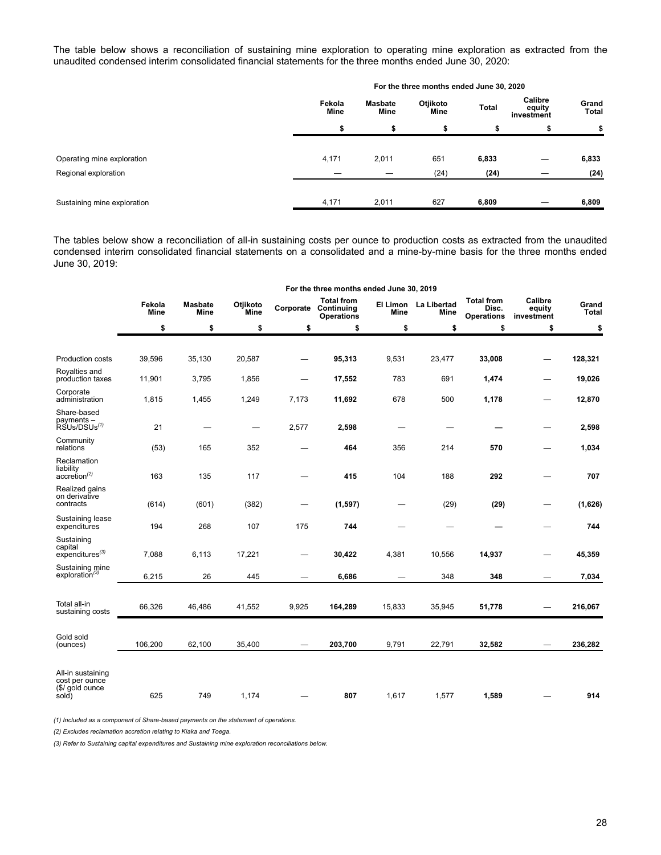The table below shows a reconciliation of sustaining mine exploration to operating mine exploration as extracted from the unaudited condensed interim consolidated financial statements for the three months ended June 30, 2020:

|                             |                       |                        | For the three months ended June 30, 2020 |              |                                 |                       |
|-----------------------------|-----------------------|------------------------|------------------------------------------|--------------|---------------------------------|-----------------------|
|                             | Fekola<br><b>Mine</b> | <b>Masbate</b><br>Mine | Otjikoto<br>Mine                         | <b>Total</b> | Calibre<br>equity<br>investment | Grand<br><b>Total</b> |
|                             | ъ                     |                        |                                          |              |                                 | \$                    |
| Operating mine exploration  | 4,171                 | 2,011                  | 651                                      | 6,833        |                                 | 6,833                 |
| Regional exploration        |                       |                        | (24)                                     | (24)         |                                 | (24)                  |
| Sustaining mine exploration | 4,171                 | 2,011                  | 627                                      | 6,809        |                                 | 6,809                 |

The tables below show a reconciliation of all-in sustaining costs per ounce to production costs as extracted from the unaudited condensed interim consolidated financial statements on a consolidated and a mine-by-mine basis for the three months ended June 30, 2019:

|                                                                 |                       |                               |                          |                                | For the three months ended June 30, 2019                       |        |                              |                                                 |                                 |                       |
|-----------------------------------------------------------------|-----------------------|-------------------------------|--------------------------|--------------------------------|----------------------------------------------------------------|--------|------------------------------|-------------------------------------------------|---------------------------------|-----------------------|
|                                                                 | Fekola<br><b>Mine</b> | <b>Masbate</b><br><b>Mine</b> | Otjikoto<br><b>Mine</b>  |                                | <b>Total from</b><br><b>Corporate Continuing</b><br>Operations | Mine   | El Limon La Libertad<br>Mine | <b>Total from</b><br>Disc.<br><b>Operations</b> | Calibre<br>equity<br>investment | Grand<br><b>Total</b> |
|                                                                 | \$                    | \$                            | \$                       | \$                             | \$                                                             | \$     | \$                           | \$                                              | \$                              | \$                    |
|                                                                 |                       |                               |                          |                                |                                                                |        |                              |                                                 |                                 |                       |
| <b>Production costs</b>                                         | 39,596                | 35,130                        | 20,587                   | $\qquad \qquad \longleftarrow$ | 95,313                                                         | 9,531  | 23,477                       | 33,008                                          |                                 | 128,321               |
| Royalties and<br>production taxes                               | 11,901                | 3,795                         | 1,856                    |                                | 17,552                                                         | 783    | 691                          | 1,474                                           |                                 | 19,026                |
| Corporate<br>administration                                     | 1,815                 | 1,455                         | 1,249                    | 7,173                          | 11,692                                                         | 678    | 500                          | 1,178                                           |                                 | 12,870                |
| Share-based<br>payments -<br>RSUs/DSUs <sup>(1)</sup>           | 21                    |                               | $\overline{\phantom{0}}$ | 2,577                          | 2,598                                                          |        |                              |                                                 |                                 | 2,598                 |
| Community<br>relations                                          | (53)                  | 165                           | 352                      |                                | 464                                                            | 356    | 214                          | 570                                             |                                 | 1,034                 |
| Reclamation<br>liability<br>$accretion^{(2)}$                   | 163                   | 135                           | 117                      |                                | 415                                                            | 104    | 188                          | 292                                             |                                 | 707                   |
| Realized gains<br>on derivative<br>contracts                    | (614)                 | (601)                         | (382)                    |                                | (1, 597)                                                       |        | (29)                         | (29)                                            |                                 | (1,626)               |
| Sustaining lease<br>expenditures                                | 194                   | 268                           | 107                      | 175                            | 744                                                            |        | --                           |                                                 |                                 | 744                   |
| Sustaining<br>capital<br>$expenditures^{(3)}$                   | 7,088                 | 6,113                         | 17,221                   |                                | 30,422                                                         | 4,381  | 10,556                       | 14,937                                          |                                 | 45,359                |
| Sustaining mine<br>exploration <sup>(3)</sup>                   | 6,215                 | 26                            | 445                      |                                | 6,686                                                          |        | 348                          | 348                                             |                                 | 7,034                 |
| Total all-in<br>sustaining costs                                | 66,326                | 46,486                        | 41,552                   | 9,925                          | 164,289                                                        | 15,833 | 35,945                       | 51,778                                          |                                 | 216,067               |
| Gold sold<br>(ounces)                                           | 106,200               | 62,100                        | 35,400                   |                                | 203,700                                                        | 9,791  | 22,791                       | 32,582                                          |                                 | 236,282               |
| All-in sustaining<br>cost per ounce<br>(\$/ gold ounce<br>sold) | 625                   | 749                           | 1,174                    |                                | 807                                                            | 1,617  | 1,577                        | 1,589                                           |                                 | 914                   |

*(1) Included as a component of Share-based payments on the statement of operations.* 

*(2) Excludes reclamation accretion relating to Kiaka and Toega.* 

*(3) Refer to Sustaining capital expenditures and Sustaining mine exploration reconciliations below.*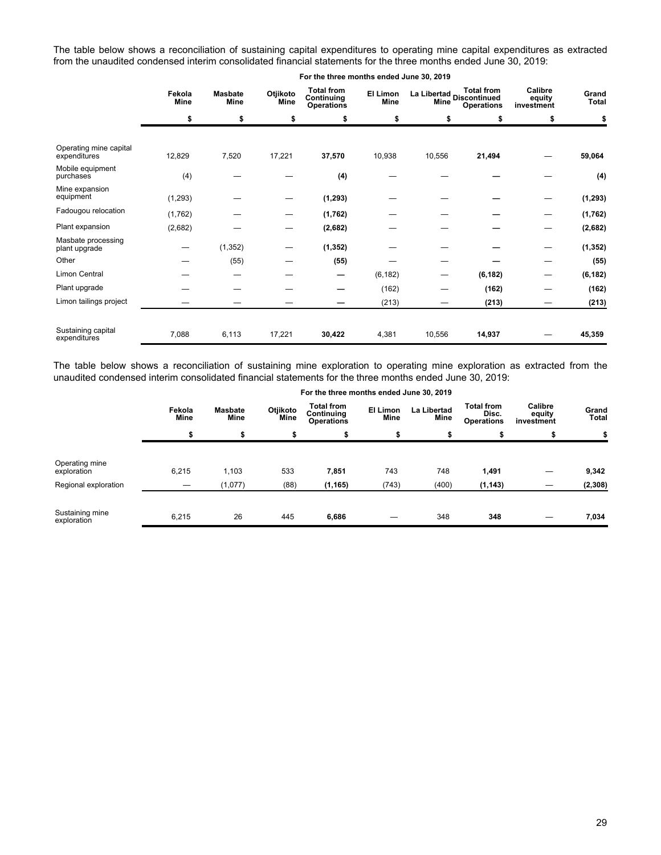The table below shows a reconciliation of sustaining capital expenditures to operating mine capital expenditures as extracted from the unaudited condensed interim consolidated financial statements for the three months ended June 30, 2019:

|                                        | Fekola<br>Mine | <b>Masbate</b><br>Mine | Otjikoto<br>Mine | <b>Total from</b><br>Continuing<br><b>Operations</b> | El Limon<br>Mine | <b>Mine</b> | <b>Total from</b><br>La Libertad Discontinued<br><b>Operations</b> | Calibre<br>equity<br>investment | Grand<br><b>Total</b> |
|----------------------------------------|----------------|------------------------|------------------|------------------------------------------------------|------------------|-------------|--------------------------------------------------------------------|---------------------------------|-----------------------|
|                                        | \$             | \$                     | \$               | \$                                                   | \$               | \$          | \$                                                                 | \$                              | \$                    |
|                                        |                |                        |                  |                                                      |                  |             |                                                                    |                                 |                       |
| Operating mine capital<br>expenditures | 12,829         | 7,520                  | 17,221           | 37,570                                               | 10,938           | 10,556      | 21,494                                                             |                                 | 59,064                |
| Mobile equipment<br>purchases          | (4)            |                        |                  | (4)                                                  |                  |             |                                                                    |                                 | (4)                   |
| Mine expansion<br>equipment            | (1, 293)       |                        |                  | (1, 293)                                             |                  |             |                                                                    |                                 | (1, 293)              |
| Fadougou relocation                    | (1,762)        |                        |                  | (1,762)                                              |                  |             |                                                                    |                                 | (1,762)               |
| Plant expansion                        | (2,682)        |                        |                  | (2,682)                                              |                  |             |                                                                    |                                 | (2,682)               |
| Masbate processing<br>plant upgrade    |                | (1, 352)               |                  | (1, 352)                                             |                  |             |                                                                    |                                 | (1, 352)              |
| Other                                  |                | (55)                   |                  | (55)                                                 |                  |             |                                                                    |                                 | (55)                  |
| Limon Central                          |                |                        |                  | –                                                    | (6, 182)         |             | (6, 182)                                                           |                                 | (6, 182)              |
| Plant upgrade                          |                |                        |                  |                                                      | (162)            |             | (162)                                                              |                                 | (162)                 |
| Limon tailings project                 |                |                        |                  |                                                      | (213)            |             | (213)                                                              |                                 | (213)                 |
| Sustaining capital<br>expenditures     | 7,088          | 6,113                  | 17,221           | 30,422                                               | 4,381            | 10,556      | 14,937                                                             |                                 | 45,359                |

The table below shows a reconciliation of sustaining mine exploration to operating mine exploration as extracted from the unaudited condensed interim consolidated financial statements for the three months ended June 30, 2019:

|                                |                       |                        |                  | For the three months ended June 30, 2019             |                         |                            |                                                 |                                 |                       |
|--------------------------------|-----------------------|------------------------|------------------|------------------------------------------------------|-------------------------|----------------------------|-------------------------------------------------|---------------------------------|-----------------------|
|                                | Fekola<br><b>Mine</b> | Masbate<br><b>Mine</b> | Otjikoto<br>Mine | <b>Total from</b><br>Continuing<br><b>Operations</b> | El Limon<br><b>Mine</b> | <b>La Libertad</b><br>Mine | <b>Total from</b><br>Disc.<br><b>Operations</b> | Calibre<br>equity<br>investment | Grand<br><b>Total</b> |
|                                | \$                    | \$                     | \$               |                                                      | \$                      |                            |                                                 |                                 |                       |
| Operating mine<br>exploration  | 6,215                 | 1,103                  | 533              | 7,851                                                | 743                     | 748                        | 1,491                                           |                                 | 9,342                 |
| Regional exploration           | —                     | (1,077)                | (88)             | (1, 165)                                             | (743)                   | (400)                      | (1, 143)                                        |                                 | (2, 308)              |
| Sustaining mine<br>exploration | 6,215                 | 26                     | 445              | 6,686                                                |                         | 348                        | 348                                             |                                 | 7,034                 |

#### **For the three months ended June 30, 2019**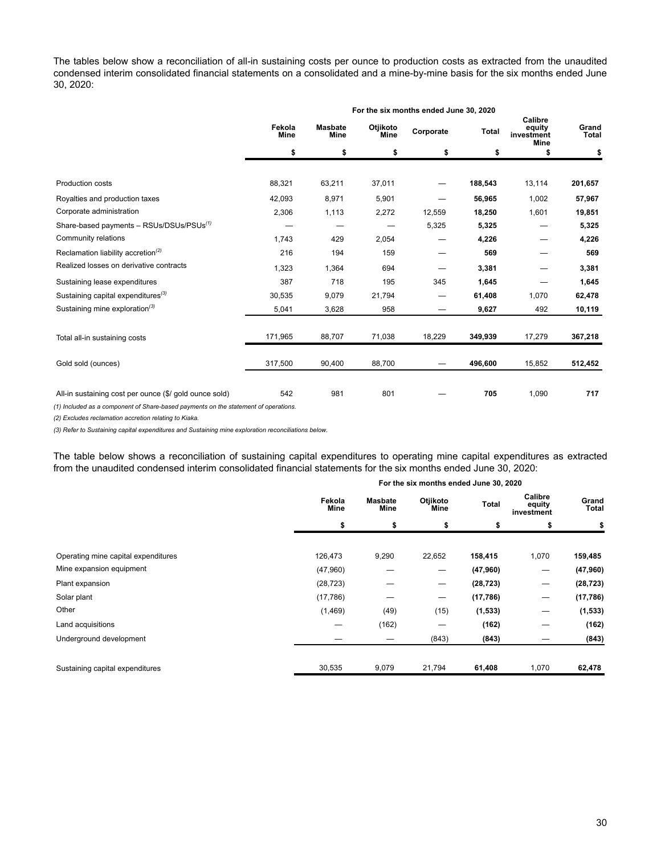The tables below show a reconciliation of all-in sustaining costs per ounce to production costs as extracted from the unaudited condensed interim consolidated financial statements on a consolidated and a mine-by-mine basis for the six months ended June 30, 2020:

|                                                        |                |                        |                  | For the six months ended June 30, 2020 |         |                                                |                |
|--------------------------------------------------------|----------------|------------------------|------------------|----------------------------------------|---------|------------------------------------------------|----------------|
|                                                        | Fekola<br>Mine | <b>Masbate</b><br>Mine | Otjikoto<br>Mine | Corporate                              | Total   | Calibre<br>equity<br>investment<br><b>Mine</b> | Grand<br>Total |
|                                                        | \$             | \$                     | \$               | \$                                     | \$      | \$                                             | \$             |
|                                                        |                |                        |                  |                                        |         |                                                |                |
| Production costs                                       | 88,321         | 63,211                 | 37,011           |                                        | 188,543 | 13,114                                         | 201,657        |
| Royalties and production taxes                         | 42,093         | 8,971                  | 5,901            |                                        | 56,965  | 1,002                                          | 57,967         |
| Corporate administration                               | 2,306          | 1,113                  | 2,272            | 12,559                                 | 18,250  | 1,601                                          | 19,851         |
| Share-based payments - RSUs/DSUs/PSUs <sup>(1)</sup>   |                |                        |                  | 5,325                                  | 5,325   |                                                | 5,325          |
| Community relations                                    | 1,743          | 429                    | 2,054            |                                        | 4,226   |                                                | 4,226          |
| Reclamation liability accretion <sup>(2)</sup>         | 216            | 194                    | 159              |                                        | 569     |                                                | 569            |
| Realized losses on derivative contracts                | 1,323          | 1,364                  | 694              |                                        | 3,381   |                                                | 3,381          |
| Sustaining lease expenditures                          | 387            | 718                    | 195              | 345                                    | 1,645   |                                                | 1,645          |
| Sustaining capital expenditures <sup>(3)</sup>         | 30,535         | 9,079                  | 21,794           |                                        | 61,408  | 1,070                                          | 62,478         |
| Sustaining mine exploration <sup>(3)</sup>             | 5,041          | 3,628                  | 958              |                                        | 9,627   | 492                                            | 10,119         |
|                                                        |                |                        |                  |                                        |         |                                                |                |
| Total all-in sustaining costs                          | 171,965        | 88,707                 | 71,038           | 18,229                                 | 349,939 | 17,279                                         | 367,218        |
| Gold sold (ounces)                                     | 317,500        | 90,400                 | 88,700           |                                        | 496,600 | 15,852                                         | 512,452        |
| All-in sustaining cost per ounce (\$/ gold ounce sold) | 542            | 981                    | 801              |                                        | 705     | 1,090                                          | 717            |

*(1) Included as a component of Share-based payments on the statement of operations.* 

*(2) Excludes reclamation accretion relating to Kiaka.* 

*(3) Refer to Sustaining capital expenditures and Sustaining mine exploration reconciliations below.*

The table below shows a reconciliation of sustaining capital expenditures to operating mine capital expenditures as extracted from the unaudited condensed interim consolidated financial statements for the six months ended June 30, 2020:

|                                     |                |                 | For the six months ended June 30, 2020 |           |                                 |                |
|-------------------------------------|----------------|-----------------|----------------------------------------|-----------|---------------------------------|----------------|
|                                     | Fekola<br>Mine | Masbate<br>Mine | Otjikoto<br>Mine                       | Total     | Calibre<br>equity<br>investment | Grand<br>Total |
|                                     | \$             | \$              | \$                                     | \$        | \$                              | \$             |
|                                     |                |                 |                                        |           |                                 |                |
| Operating mine capital expenditures | 126,473        | 9,290           | 22,652                                 | 158,415   | 1,070                           | 159,485        |
| Mine expansion equipment            | (47,960)       |                 | —                                      | (47,960)  | –                               | (47,960)       |
| Plant expansion                     | (28, 723)      |                 |                                        | (28, 723) | —                               | (28, 723)      |
| Solar plant                         | (17,786)       |                 | $\overline{\phantom{0}}$               | (17,786)  | –                               | (17, 786)      |
| Other                               | (1,469)        | (49)            | (15)                                   | (1, 533)  | –                               | (1, 533)       |
| Land acquisitions                   | –              | (162)           |                                        | (162)     |                                 | (162)          |
| Underground development             |                |                 | (843)                                  | (843)     |                                 | (843)          |
|                                     |                |                 |                                        |           |                                 |                |
| Sustaining capital expenditures     | 30,535         | 9,079           | 21,794                                 | 61,408    | 1,070                           | 62,478         |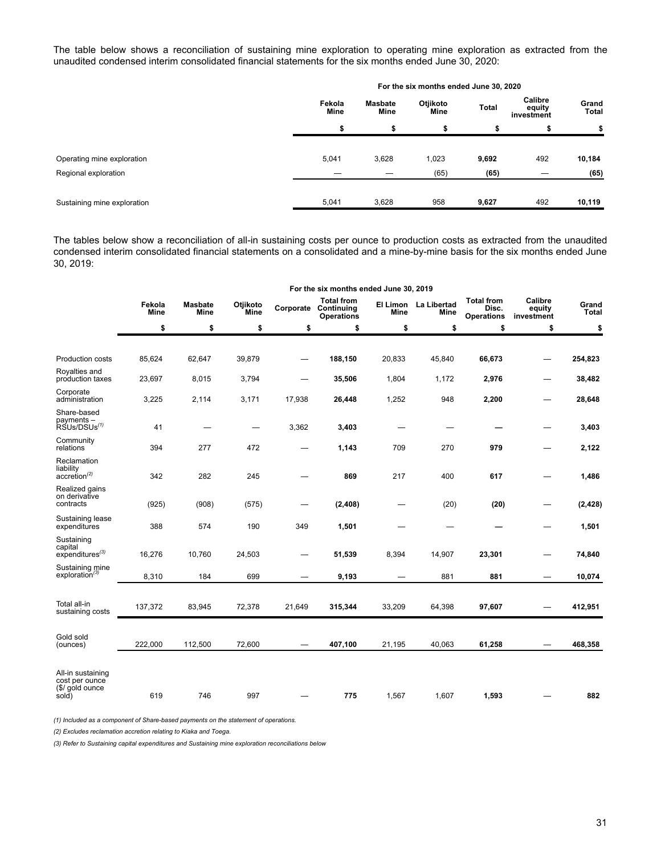The table below shows a reconciliation of sustaining mine exploration to operating mine exploration as extracted from the unaudited condensed interim consolidated financial statements for the six months ended June 30, 2020:

|                             |                       |                 | For the six months ended June 30, 2020 |       |                                 |                       |
|-----------------------------|-----------------------|-----------------|----------------------------------------|-------|---------------------------------|-----------------------|
|                             | Fekola<br><b>Mine</b> | Masbate<br>Mine | Otjikoto<br>Mine                       | Total | Calibre<br>equity<br>investment | Grand<br><b>Total</b> |
|                             |                       |                 |                                        |       |                                 | \$                    |
| Operating mine exploration  | 5,041                 | 3,628           | 1,023                                  | 9,692 | 492                             | 10,184                |
| Regional exploration        |                       |                 | (65)                                   | (65)  |                                 | (65)                  |
| Sustaining mine exploration | 5,041                 | 3,628           | 958                                    | 9,627 | 492                             | 10,119                |

The tables below show a reconciliation of all-in sustaining costs per ounce to production costs as extracted from the unaudited condensed interim consolidated financial statements on a consolidated and a mine-by-mine basis for the six months ended June 30, 2019:

|                                                                 | For the six months ended June 30, 2019 |                        |                         |                                 |                                                                       |             |                              |                                                 |                                 |                       |  |
|-----------------------------------------------------------------|----------------------------------------|------------------------|-------------------------|---------------------------------|-----------------------------------------------------------------------|-------------|------------------------------|-------------------------------------------------|---------------------------------|-----------------------|--|
|                                                                 | Fekola<br>Mine                         | <b>Masbate</b><br>Mine | Otjikoto<br><b>Mine</b> |                                 | <b>Total from</b><br><b>Corporate Continuing</b><br><b>Operations</b> | <b>Mine</b> | El Limon La Libertad<br>Mine | <b>Total from</b><br>Disc.<br><b>Operations</b> | Calibre<br>equity<br>investment | Grand<br><b>Total</b> |  |
|                                                                 | \$                                     | \$                     | \$                      | \$                              | \$                                                                    | \$          | \$                           | \$                                              | \$                              | \$                    |  |
|                                                                 |                                        |                        |                         |                                 |                                                                       |             |                              |                                                 |                                 |                       |  |
| <b>Production costs</b>                                         | 85,624                                 | 62,647                 | 39,879                  | $\hspace{0.1mm}-\hspace{0.1mm}$ | 188,150                                                               | 20,833      | 45,840                       | 66,673                                          |                                 | 254,823               |  |
| Royalties and<br>production taxes                               | 23,697                                 | 8,015                  | 3,794                   |                                 | 35,506                                                                | 1,804       | 1,172                        | 2,976                                           |                                 | 38,482                |  |
| Corporate<br>administration                                     | 3,225                                  | 2,114                  | 3,171                   | 17,938                          | 26,448                                                                | 1,252       | 948                          | 2,200                                           |                                 | 28,648                |  |
| Share-based<br>payments -<br>RSUs/DSUs <sup>(1)</sup>           | 41                                     |                        | —                       | 3,362                           | 3,403                                                                 |             |                              |                                                 |                                 | 3,403                 |  |
| Community<br>relations                                          | 394                                    | 277                    | 472                     |                                 | 1,143                                                                 | 709         | 270                          | 979                                             |                                 | 2,122                 |  |
| Reclamation<br>liability<br>$accretion^{(2)}$                   | 342                                    | 282                    | 245                     |                                 | 869                                                                   | 217         | 400                          | 617                                             |                                 | 1,486                 |  |
| Realized gains<br>on derivative<br>contracts                    | (925)                                  | (908)                  | (575)                   | $\hspace{0.1mm}-\hspace{0.1mm}$ | (2, 408)                                                              |             | (20)                         | (20)                                            |                                 | (2, 428)              |  |
| Sustaining lease<br>expenditures                                | 388                                    | 574                    | 190                     | 349                             | 1,501                                                                 |             |                              |                                                 |                                 | 1,501                 |  |
| Sustaining<br>capital<br>$expenditures^{(3)}$                   | 16,276                                 | 10,760                 | 24,503                  |                                 | 51,539                                                                | 8,394       | 14,907                       | 23,301                                          |                                 | 74,840                |  |
| Sustaining mine<br>exploration <sup>(3)</sup>                   | 8,310                                  | 184                    | 699                     |                                 | 9,193                                                                 |             | 881                          | 881                                             |                                 | 10,074                |  |
| Total all-in<br>sustaining costs                                | 137,372                                | 83,945                 | 72,378                  | 21,649                          | 315,344                                                               | 33,209      | 64,398                       | 97,607                                          |                                 | 412,951               |  |
| Gold sold<br>(ounces)                                           | 222,000                                | 112,500                | 72,600                  |                                 | 407,100                                                               | 21,195      | 40,063                       | 61,258                                          |                                 | 468,358               |  |
| All-in sustaining<br>cost per ounce<br>(\$/ gold ounce<br>sold) | 619                                    | 746                    | 997                     |                                 | 775                                                                   | 1,567       | 1,607                        | 1,593                                           |                                 | 882                   |  |

*(1) Included as a component of Share-based payments on the statement of operations.* 

*(2) Excludes reclamation accretion relating to Kiaka and Toega.* 

*(3) Refer to Sustaining capital expenditures and Sustaining mine exploration reconciliations below*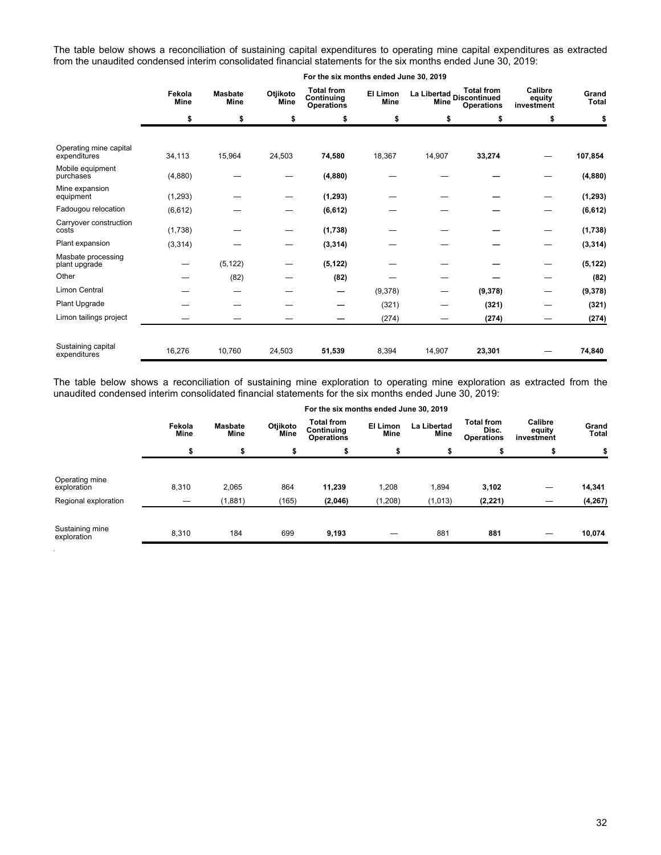The table below shows a reconciliation of sustaining capital expenditures to operating mine capital expenditures as extracted from the unaudited condensed interim consolidated financial statements for the six months ended June 30, 2019:

|                                        | Fekola<br><b>Masbate</b><br><b>Mine</b><br><b>Mine</b> |          | Otjikoto<br>Mine | <b>Total from</b><br>Continuing<br><b>Operations</b> | El Limon<br>Mine | Mine   | <b>Total from</b><br>La Libertad<br>Discontinued<br><b>Operations</b> | Calibre<br>equity<br>investment | Grand<br>Total |
|----------------------------------------|--------------------------------------------------------|----------|------------------|------------------------------------------------------|------------------|--------|-----------------------------------------------------------------------|---------------------------------|----------------|
|                                        | \$                                                     | \$       | \$               | \$                                                   | \$               | \$     | \$                                                                    | \$                              | \$             |
|                                        |                                                        |          |                  |                                                      |                  |        |                                                                       |                                 |                |
| Operating mine capital<br>expenditures | 34,113                                                 | 15,964   | 24,503           | 74,580                                               | 18,367           | 14,907 | 33,274                                                                |                                 | 107,854        |
| Mobile equipment<br>purchases          | (4,880)                                                |          |                  | (4,880)                                              |                  |        |                                                                       |                                 | (4,880)        |
| Mine expansion<br>equipment            | (1,293)                                                |          |                  | (1, 293)                                             |                  |        |                                                                       |                                 | (1, 293)       |
| Fadougou relocation                    | (6, 612)                                               |          |                  | (6, 612)                                             |                  |        |                                                                       |                                 | (6, 612)       |
| Carryover construction<br>costs        | (1,738)                                                |          |                  | (1,738)                                              |                  |        |                                                                       |                                 | (1,738)        |
| Plant expansion                        | (3, 314)                                               |          |                  | (3, 314)                                             |                  |        |                                                                       |                                 | (3, 314)       |
| Masbate processing<br>plant upgrade    |                                                        | (5, 122) |                  | (5, 122)                                             |                  |        |                                                                       |                                 | (5, 122)       |
| Other                                  |                                                        | (82)     |                  | (82)                                                 |                  |        |                                                                       |                                 | (82)           |
| Limon Central                          |                                                        |          |                  |                                                      | (9,378)          |        | (9,378)                                                               |                                 | (9,378)        |
| Plant Upgrade                          |                                                        |          |                  |                                                      | (321)            |        | (321)                                                                 |                                 | (321)          |
| Limon tailings project                 |                                                        |          |                  |                                                      | (274)            |        | (274)                                                                 |                                 | (274)          |
|                                        |                                                        |          |                  |                                                      |                  |        |                                                                       |                                 |                |
| Sustaining capital<br>expenditures     | 16,276                                                 | 10,760   | 24,503           | 51,539                                               | 8,394            | 14,907 | 23,301                                                                |                                 | 74,840         |

#### **For the six months ended June 30, 2019**

The table below shows a reconciliation of sustaining mine exploration to operating mine exploration as extracted from the unaudited condensed interim consolidated financial statements for the six months ended June 30, 2019:

|                                | For the six months ended June 30, 2019 |                 |                  |                                                      |                         |                     |                                                 |                                 |                |
|--------------------------------|----------------------------------------|-----------------|------------------|------------------------------------------------------|-------------------------|---------------------|-------------------------------------------------|---------------------------------|----------------|
|                                | Fekola<br>Mine                         | Masbate<br>Mine | Otjikoto<br>Mine | <b>Total from</b><br>Continuing<br><b>Operations</b> | El Limon<br><b>Mine</b> | La Libertad<br>Mine | <b>Total from</b><br>Disc.<br><b>Operations</b> | Calibre<br>equity<br>investment | Grand<br>Total |
|                                | \$                                     | \$              | \$               |                                                      | \$                      | \$                  |                                                 |                                 |                |
| Operating mine<br>exploration  | 8,310                                  | 2.065           | 864              | 11,239                                               | 1,208                   | 1,894               | 3,102                                           |                                 | 14,341         |
| Regional exploration           |                                        | (1,881)         | (165)            | (2,046)                                              | (1, 208)                | (1,013)             | (2, 221)                                        |                                 | (4, 267)       |
| Sustaining mine<br>exploration | 8,310                                  | 184             | 699              | 9,193                                                |                         | 881                 | 881                                             | _                               | 10,074         |

*.*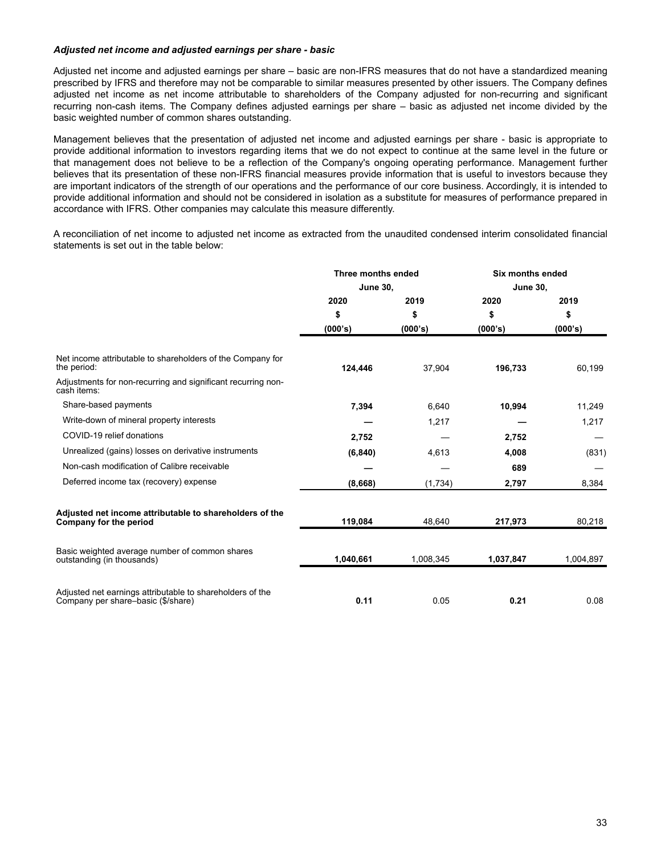## *Adjusted net income and adjusted earnings per share - basic*

Adjusted net income and adjusted earnings per share – basic are non-IFRS measures that do not have a standardized meaning prescribed by IFRS and therefore may not be comparable to similar measures presented by other issuers. The Company defines adjusted net income as net income attributable to shareholders of the Company adjusted for non-recurring and significant recurring non-cash items. The Company defines adjusted earnings per share – basic as adjusted net income divided by the basic weighted number of common shares outstanding.

Management believes that the presentation of adjusted net income and adjusted earnings per share - basic is appropriate to provide additional information to investors regarding items that we do not expect to continue at the same level in the future or that management does not believe to be a reflection of the Company's ongoing operating performance. Management further believes that its presentation of these non-IFRS financial measures provide information that is useful to investors because they are important indicators of the strength of our operations and the performance of our core business. Accordingly, it is intended to provide additional information and should not be considered in isolation as a substitute for measures of performance prepared in accordance with IFRS. Other companies may calculate this measure differently.

A reconciliation of net income to adjusted net income as extracted from the unaudited condensed interim consolidated financial statements is set out in the table below:

|                                                                                                 | Three months ended |           | <b>Six months ended</b> |           |  |
|-------------------------------------------------------------------------------------------------|--------------------|-----------|-------------------------|-----------|--|
|                                                                                                 | <b>June 30,</b>    |           | <b>June 30,</b>         |           |  |
|                                                                                                 | 2020               | 2019      | 2020                    | 2019      |  |
|                                                                                                 | \$                 | \$        | \$                      | \$        |  |
|                                                                                                 | (000's)            | (000's)   | (000's)                 | (000's)   |  |
| Net income attributable to shareholders of the Company for<br>the period:                       | 124,446            | 37,904    | 196,733                 | 60,199    |  |
| Adjustments for non-recurring and significant recurring non-<br>cash items:                     |                    |           |                         |           |  |
| Share-based payments                                                                            | 7,394              | 6,640     | 10,994                  | 11,249    |  |
| Write-down of mineral property interests                                                        |                    | 1,217     |                         | 1,217     |  |
| COVID-19 relief donations                                                                       | 2,752              |           | 2,752                   |           |  |
| Unrealized (gains) losses on derivative instruments                                             | (6, 840)           | 4,613     | 4,008                   | (831)     |  |
| Non-cash modification of Calibre receivable                                                     |                    |           | 689                     |           |  |
| Deferred income tax (recovery) expense                                                          | (8,668)            | (1,734)   | 2,797                   | 8,384     |  |
| Adjusted net income attributable to shareholders of the<br>Company for the period               | 119,084            | 48,640    | 217,973                 | 80,218    |  |
| Basic weighted average number of common shares<br>outstanding (in thousands)                    | 1,040,661          | 1,008,345 | 1,037,847               | 1,004,897 |  |
| Adjusted net earnings attributable to shareholders of the<br>Company per share-basic (\$/share) | 0.11               | 0.05      | 0.21                    | 0.08      |  |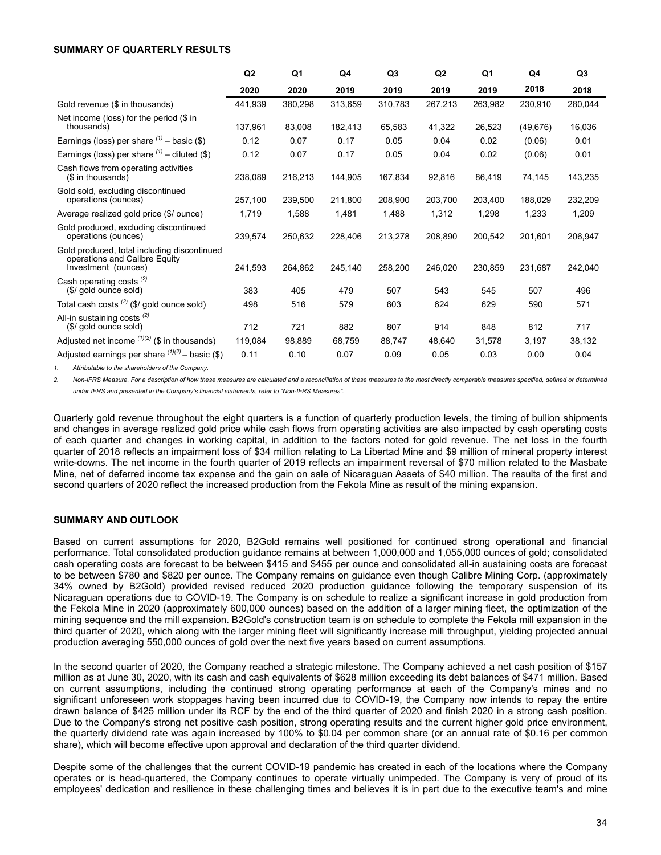#### <span id="page-33-0"></span>**SUMMARY OF QUARTERLY RESULTS**

|                                                                                                     | Q2      | Q1      | Q4      | Q <sub>3</sub> | Q <sub>2</sub> | Q1      | Q4        | Q <sub>3</sub> |
|-----------------------------------------------------------------------------------------------------|---------|---------|---------|----------------|----------------|---------|-----------|----------------|
|                                                                                                     | 2020    | 2020    | 2019    | 2019           | 2019           | 2019    | 2018      | 2018           |
| Gold revenue (\$ in thousands)                                                                      | 441,939 | 380,298 | 313,659 | 310,783        | 267,213        | 263,982 | 230,910   | 280,044        |
| Net income (loss) for the period (\$ in<br>thousands)                                               | 137,961 | 83,008  | 182,413 | 65,583         | 41,322         | 26,523  | (49, 676) | 16,036         |
| Earnings (loss) per share $(1)$ – basic (\$)                                                        | 0.12    | 0.07    | 0.17    | 0.05           | 0.04           | 0.02    | (0.06)    | 0.01           |
| Earnings (loss) per share $(1)$ – diluted (\$)                                                      | 0.12    | 0.07    | 0.17    | 0.05           | 0.04           | 0.02    | (0.06)    | 0.01           |
| Cash flows from operating activities<br>(\$ in thousands)                                           | 238,089 | 216,213 | 144,905 | 167,834        | 92,816         | 86,419  | 74,145    | 143,235        |
| Gold sold, excluding discontinued<br>operations (ounces)                                            | 257,100 | 239,500 | 211,800 | 208,900        | 203,700        | 203,400 | 188.029   | 232,209        |
| Average realized gold price (\$/ ounce)                                                             | 1,719   | 1,588   | 1,481   | 1,488          | 1,312          | 1,298   | 1,233     | 1,209          |
| Gold produced, excluding discontinued<br>operations (ounces)                                        | 239,574 | 250,632 | 228,406 | 213,278        | 208,890        | 200,542 | 201,601   | 206,947        |
| Gold produced, total including discontinued<br>operations and Calibre Equity<br>Investment (ounces) | 241,593 | 264,862 | 245,140 | 258,200        | 246,020        | 230,859 | 231,687   | 242,040        |
| Cash operating costs <sup>(2)</sup><br>(\$/ gold ounce sold)                                        | 383     | 405     | 479     | 507            | 543            | 545     | 507       | 496            |
| Total cash costs $(2)$ (\$/ gold ounce sold)                                                        | 498     | 516     | 579     | 603            | 624            | 629     | 590       | 571            |
| All-in sustaining costs <sup>(2)</sup><br>(\$/ gold ounce sold)                                     | 712     | 721     | 882     | 807            | 914            | 848     | 812       | 717            |
| Adjusted net income $(1)(2)$ (\$ in thousands)                                                      | 119,084 | 98,889  | 68,759  | 88,747         | 48.640         | 31,578  | 3,197     | 38,132         |
| Adjusted earnings per share $(1)(2)$ – basic (\$)                                                   | 0.11    | 0.10    | 0.07    | 0.09           | 0.05           | 0.03    | 0.00      | 0.04           |

*1. Attributable to the shareholders of the Company.*

2. Non-IFRS Measure. For a description of how these measures are calculated and a reconciliation of these measures to the most directly comparable measures specified, defined or determined *under IFRS and presented in the Company's financial statements, refer to "Non-IFRS Measures".*

Quarterly gold revenue throughout the eight quarters is a function of quarterly production levels, the timing of bullion shipments and changes in average realized gold price while cash flows from operating activities are also impacted by cash operating costs of each quarter and changes in working capital, in addition to the factors noted for gold revenue. The net loss in the fourth quarter of 2018 reflects an impairment loss of \$34 million relating to La Libertad Mine and \$9 million of mineral property interest write-downs. The net income in the fourth quarter of 2019 reflects an impairment reversal of \$70 million related to the Masbate Mine, net of deferred income tax expense and the gain on sale of Nicaraguan Assets of \$40 million. The results of the first and second quarters of 2020 reflect the increased production from the Fekola Mine as result of the mining expansion.

# **SUMMARY AND OUTLOOK**

Based on current assumptions for 2020, B2Gold remains well positioned for continued strong operational and financial performance. Total consolidated production guidance remains at between 1,000,000 and 1,055,000 ounces of gold; consolidated cash operating costs are forecast to be between \$415 and \$455 per ounce and consolidated all-in sustaining costs are forecast to be between \$780 and \$820 per ounce. The Company remains on guidance even though Calibre Mining Corp. (approximately 34% owned by B2Gold) provided revised reduced 2020 production guidance following the temporary suspension of its Nicaraguan operations due to COVID-19. The Company is on schedule to realize a significant increase in gold production from the Fekola Mine in 2020 (approximately 600,000 ounces) based on the addition of a larger mining fleet, the optimization of the mining sequence and the mill expansion. B2Gold's construction team is on schedule to complete the Fekola mill expansion in the third quarter of 2020, which along with the larger mining fleet will significantly increase mill throughput, yielding projected annual production averaging 550,000 ounces of gold over the next five years based on current assumptions.

In the second quarter of 2020, the Company reached a strategic milestone. The Company achieved a net cash position of \$157 million as at June 30, 2020, with its cash and cash equivalents of \$628 million exceeding its debt balances of \$471 million. Based on current assumptions, including the continued strong operating performance at each of the Company's mines and no significant unforeseen work stoppages having been incurred due to COVID-19, the Company now intends to repay the entire drawn balance of \$425 million under its RCF by the end of the third quarter of 2020 and finish 2020 in a strong cash position. Due to the Company's strong net positive cash position, strong operating results and the current higher gold price environment, the quarterly dividend rate was again increased by 100% to \$0.04 per common share (or an annual rate of \$0.16 per common share), which will become effective upon approval and declaration of the third quarter dividend.

Despite some of the challenges that the current COVID-19 pandemic has created in each of the locations where the Company operates or is head-quartered, the Company continues to operate virtually unimpeded. The Company is very of proud of its employees' dedication and resilience in these challenging times and believes it is in part due to the executive team's and mine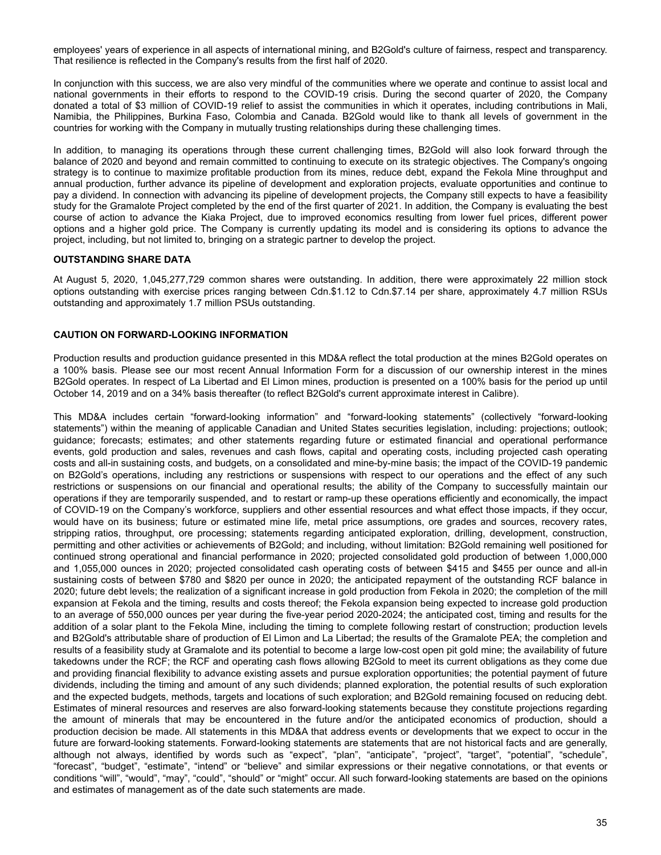<span id="page-34-0"></span>employees' years of experience in all aspects of international mining, and B2Gold's culture of fairness, respect and transparency. That resilience is reflected in the Company's results from the first half of 2020.

In conjunction with this success, we are also very mindful of the communities where we operate and continue to assist local and national governments in their efforts to respond to the COVID-19 crisis. During the second quarter of 2020, the Company donated a total of \$3 million of COVID-19 relief to assist the communities in which it operates, including contributions in Mali, Namibia, the Philippines, Burkina Faso, Colombia and Canada. B2Gold would like to thank all levels of government in the countries for working with the Company in mutually trusting relationships during these challenging times.

In addition, to managing its operations through these current challenging times, B2Gold will also look forward through the balance of 2020 and beyond and remain committed to continuing to execute on its strategic objectives. The Company's ongoing strategy is to continue to maximize profitable production from its mines, reduce debt, expand the Fekola Mine throughput and annual production, further advance its pipeline of development and exploration projects, evaluate opportunities and continue to pay a dividend. In connection with advancing its pipeline of development projects, the Company still expects to have a feasibility study for the Gramalote Project completed by the end of the first quarter of 2021. In addition, the Company is evaluating the best course of action to advance the Kiaka Project, due to improved economics resulting from lower fuel prices, different power options and a higher gold price. The Company is currently updating its model and is considering its options to advance the project, including, but not limited to, bringing on a strategic partner to develop the project.

# **OUTSTANDING SHARE DATA**

At August 5, 2020, 1,045,277,729 common shares were outstanding. In addition, there were approximately 22 million stock options outstanding with exercise prices ranging between Cdn.\$1.12 to Cdn.\$7.14 per share, approximately 4.7 million RSUs outstanding and approximately 1.7 million PSUs outstanding.

# **CAUTION ON FORWARD-LOOKING INFORMATION**

Production results and production guidance presented in this MD&A reflect the total production at the mines B2Gold operates on a 100% basis. Please see our most recent Annual Information Form for a discussion of our ownership interest in the mines B2Gold operates. In respect of La Libertad and El Limon mines, production is presented on a 100% basis for the period up until October 14, 2019 and on a 34% basis thereafter (to reflect B2Gold's current approximate interest in Calibre).

This MD&A includes certain "forward-looking information" and "forward-looking statements" (collectively "forward-looking statements") within the meaning of applicable Canadian and United States securities legislation, including: projections; outlook; guidance; forecasts; estimates; and other statements regarding future or estimated financial and operational performance events, gold production and sales, revenues and cash flows, capital and operating costs, including projected cash operating costs and all-in sustaining costs, and budgets, on a consolidated and mine-by-mine basis; the impact of the COVID-19 pandemic on B2Gold's operations, including any restrictions or suspensions with respect to our operations and the effect of any such restrictions or suspensions on our financial and operational results; the ability of the Company to successfully maintain our operations if they are temporarily suspended, and to restart or ramp-up these operations efficiently and economically, the impact of COVID-19 on the Company's workforce, suppliers and other essential resources and what effect those impacts, if they occur, would have on its business; future or estimated mine life, metal price assumptions, ore grades and sources, recovery rates, stripping ratios, throughput, ore processing; statements regarding anticipated exploration, drilling, development, construction, permitting and other activities or achievements of B2Gold; and including, without limitation: B2Gold remaining well positioned for continued strong operational and financial performance in 2020; projected consolidated gold production of between 1,000,000 and 1,055,000 ounces in 2020; projected consolidated cash operating costs of between \$415 and \$455 per ounce and all-in sustaining costs of between \$780 and \$820 per ounce in 2020; the anticipated repayment of the outstanding RCF balance in 2020; future debt levels; the realization of a significant increase in gold production from Fekola in 2020; the completion of the mill expansion at Fekola and the timing, results and costs thereof; the Fekola expansion being expected to increase gold production to an average of 550,000 ounces per year during the five-year period 2020-2024; the anticipated cost, timing and results for the addition of a solar plant to the Fekola Mine, including the timing to complete following restart of construction; production levels and B2Gold's attributable share of production of El Limon and La Libertad; the results of the Gramalote PEA; the completion and results of a feasibility study at Gramalote and its potential to become a large low-cost open pit gold mine; the availability of future takedowns under the RCF; the RCF and operating cash flows allowing B2Gold to meet its current obligations as they come due and providing financial flexibility to advance existing assets and pursue exploration opportunities; the potential payment of future dividends, including the timing and amount of any such dividends; planned exploration, the potential results of such exploration and the expected budgets, methods, targets and locations of such exploration; and B2Gold remaining focused on reducing debt. Estimates of mineral resources and reserves are also forward-looking statements because they constitute projections regarding the amount of minerals that may be encountered in the future and/or the anticipated economics of production, should a production decision be made. All statements in this MD&A that address events or developments that we expect to occur in the future are forward-looking statements. Forward-looking statements are statements that are not historical facts and are generally, although not always, identified by words such as "expect", "plan", "anticipate", "project", "target", "potential", "schedule", "forecast", "budget", "estimate", "intend" or "believe" and similar expressions or their negative connotations, or that events or conditions "will", "would", "may", "could", "should" or "might" occur. All such forward-looking statements are based on the opinions and estimates of management as of the date such statements are made.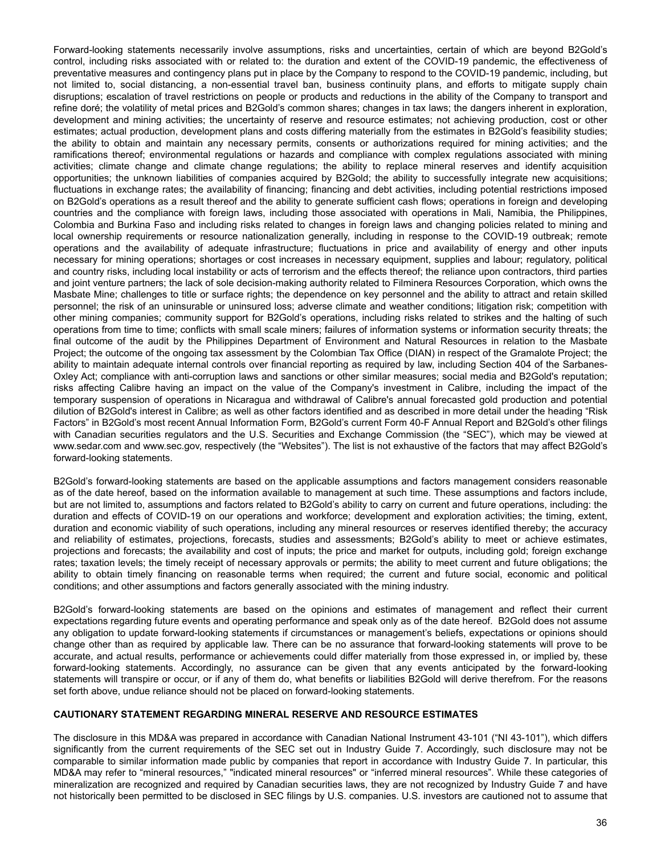Forward-looking statements necessarily involve assumptions, risks and uncertainties, certain of which are beyond B2Gold's control, including risks associated with or related to: the duration and extent of the COVID-19 pandemic, the effectiveness of preventative measures and contingency plans put in place by the Company to respond to the COVID-19 pandemic, including, but not limited to, social distancing, a non-essential travel ban, business continuity plans, and efforts to mitigate supply chain disruptions; escalation of travel restrictions on people or products and reductions in the ability of the Company to transport and refine doré; the volatility of metal prices and B2Gold's common shares; changes in tax laws; the dangers inherent in exploration, development and mining activities; the uncertainty of reserve and resource estimates; not achieving production, cost or other estimates; actual production, development plans and costs differing materially from the estimates in B2Gold's feasibility studies; the ability to obtain and maintain any necessary permits, consents or authorizations required for mining activities; and the ramifications thereof; environmental regulations or hazards and compliance with complex regulations associated with mining activities; climate change and climate change regulations; the ability to replace mineral reserves and identify acquisition opportunities; the unknown liabilities of companies acquired by B2Gold; the ability to successfully integrate new acquisitions; fluctuations in exchange rates; the availability of financing; financing and debt activities, including potential restrictions imposed on B2Gold's operations as a result thereof and the ability to generate sufficient cash flows; operations in foreign and developing countries and the compliance with foreign laws, including those associated with operations in Mali, Namibia, the Philippines, Colombia and Burkina Faso and including risks related to changes in foreign laws and changing policies related to mining and local ownership requirements or resource nationalization generally, including in response to the COVID-19 outbreak; remote operations and the availability of adequate infrastructure; fluctuations in price and availability of energy and other inputs necessary for mining operations; shortages or cost increases in necessary equipment, supplies and labour; regulatory, political and country risks, including local instability or acts of terrorism and the effects thereof; the reliance upon contractors, third parties and joint venture partners; the lack of sole decision-making authority related to Filminera Resources Corporation, which owns the Masbate Mine; challenges to title or surface rights; the dependence on key personnel and the ability to attract and retain skilled personnel; the risk of an uninsurable or uninsured loss; adverse climate and weather conditions; litigation risk; competition with other mining companies; community support for B2Gold's operations, including risks related to strikes and the halting of such operations from time to time; conflicts with small scale miners; failures of information systems or information security threats; the final outcome of the audit by the Philippines Department of Environment and Natural Resources in relation to the Masbate Project; the outcome of the ongoing tax assessment by the Colombian Tax Office (DIAN) in respect of the Gramalote Project; the ability to maintain adequate internal controls over financial reporting as required by law, including Section 404 of the Sarbanes-Oxley Act; compliance with anti-corruption laws and sanctions or other similar measures; social media and B2Gold's reputation; risks affecting Calibre having an impact on the value of the Company's investment in Calibre, including the impact of the temporary suspension of operations in Nicaragua and withdrawal of Calibre's annual forecasted gold production and potential dilution of B2Gold's interest in Calibre; as well as other factors identified and as described in more detail under the heading "Risk Factors" in B2Gold's most recent Annual Information Form, B2Gold's current Form 40-F Annual Report and B2Gold's other filings with Canadian securities regulators and the U.S. Securities and Exchange Commission (the "SEC"), which may be viewed at www.sedar.com and www.sec.gov, respectively (the "Websites"). The list is not exhaustive of the factors that may affect B2Gold's forward-looking statements.

B2Gold's forward-looking statements are based on the applicable assumptions and factors management considers reasonable as of the date hereof, based on the information available to management at such time. These assumptions and factors include, but are not limited to, assumptions and factors related to B2Gold's ability to carry on current and future operations, including: the duration and effects of COVID-19 on our operations and workforce; development and exploration activities; the timing, extent, duration and economic viability of such operations, including any mineral resources or reserves identified thereby; the accuracy and reliability of estimates, projections, forecasts, studies and assessments; B2Gold's ability to meet or achieve estimates, projections and forecasts; the availability and cost of inputs; the price and market for outputs, including gold; foreign exchange rates; taxation levels; the timely receipt of necessary approvals or permits; the ability to meet current and future obligations; the ability to obtain timely financing on reasonable terms when required; the current and future social, economic and political conditions; and other assumptions and factors generally associated with the mining industry.

B2Gold's forward-looking statements are based on the opinions and estimates of management and reflect their current expectations regarding future events and operating performance and speak only as of the date hereof. B2Gold does not assume any obligation to update forward-looking statements if circumstances or management's beliefs, expectations or opinions should change other than as required by applicable law. There can be no assurance that forward-looking statements will prove to be accurate, and actual results, performance or achievements could differ materially from those expressed in, or implied by, these forward-looking statements. Accordingly, no assurance can be given that any events anticipated by the forward-looking statements will transpire or occur, or if any of them do, what benefits or liabilities B2Gold will derive therefrom. For the reasons set forth above, undue reliance should not be placed on forward-looking statements.

# **CAUTIONARY STATEMENT REGARDING MINERAL RESERVE AND RESOURCE ESTIMATES**

The disclosure in this MD&A was prepared in accordance with Canadian National Instrument 43-101 ("NI 43-101"), which differs significantly from the current requirements of the SEC set out in Industry Guide 7. Accordingly, such disclosure may not be comparable to similar information made public by companies that report in accordance with Industry Guide 7. In particular, this MD&A may refer to "mineral resources," "indicated mineral resources" or "inferred mineral resources". While these categories of mineralization are recognized and required by Canadian securities laws, they are not recognized by Industry Guide 7 and have not historically been permitted to be disclosed in SEC filings by U.S. companies. U.S. investors are cautioned not to assume that